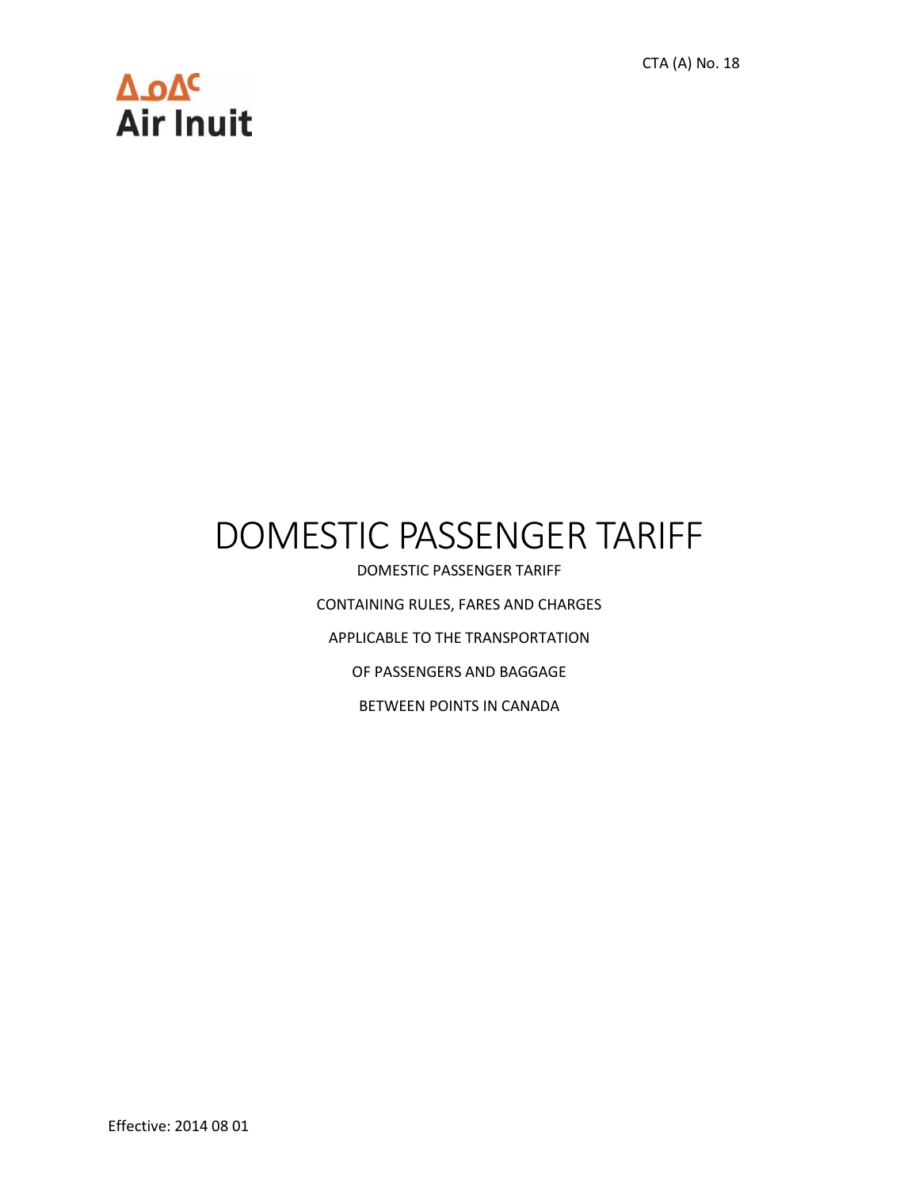CTA (A) No. 18

# Δ.οΔ<sup>c</sup><br>Air Inuit

## DOMESTIC PASSENGER TARIFF

DOMESTIC PASSENGER TARIFF CONTAINING RULES, FARES AND CHARGES APPLICABLE TO THE TRANSPORTATION OF PASSENGERS AND BAGGAGE BETWEEN POINTS IN CANADA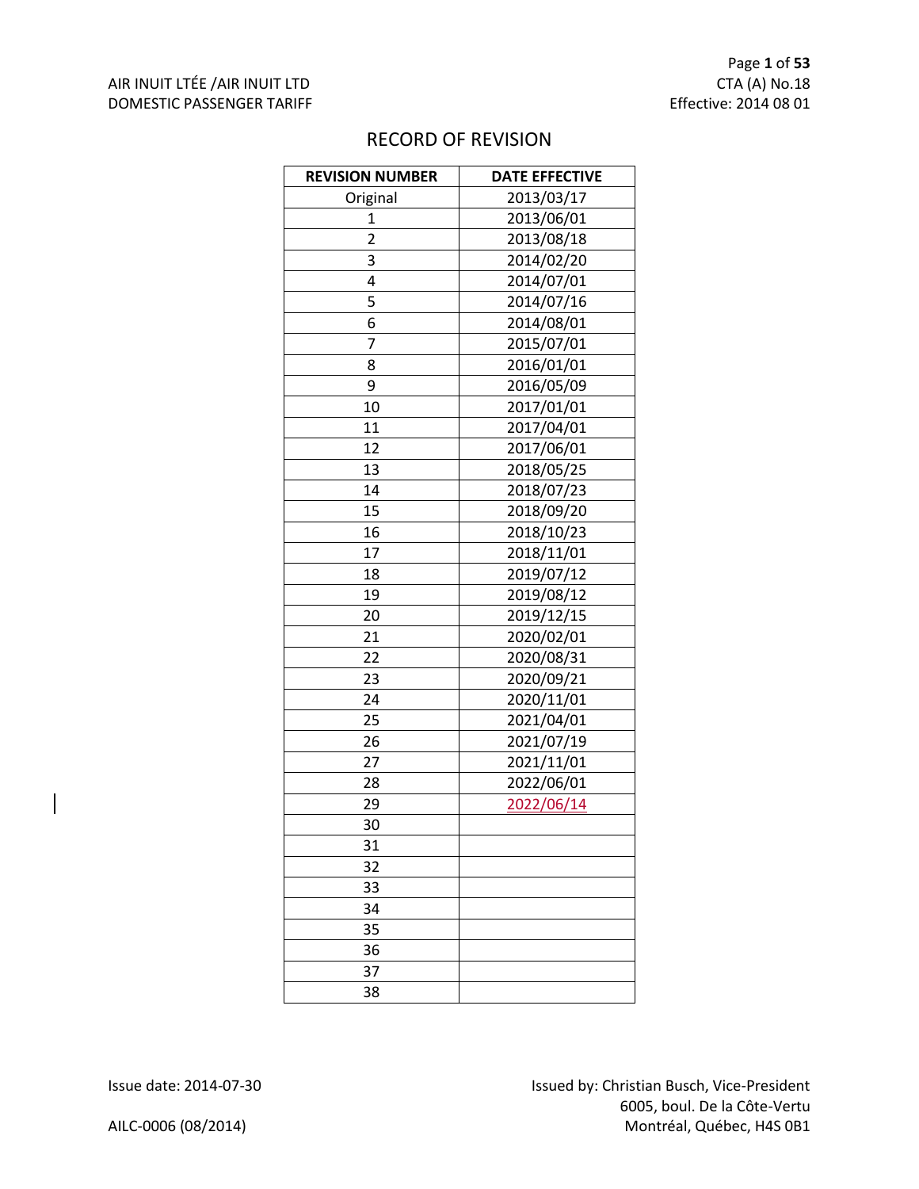| <b>REVISION NUMBER</b> | <b>DATE EFFECTIVE</b> |
|------------------------|-----------------------|
| Original               | 2013/03/17            |
| 1                      | 2013/06/01            |
| $\overline{2}$         | 2013/08/18            |
| 3                      | 2014/02/20            |
| 4                      | 2014/07/01            |
| 5                      | 2014/07/16            |
| 6                      | 2014/08/01            |
| 7                      | 2015/07/01            |
| 8                      | 2016/01/01            |
| 9                      | 2016/05/09            |
| 10                     | 2017/01/01            |
| 11                     | 2017/04/01            |
| 12                     | 2017/06/01            |
| 13                     | 2018/05/25            |
| 14                     | 2018/07/23            |
| 15                     | 2018/09/20            |
| 16                     | 2018/10/23            |
| 17                     | 2018/11/01            |
| 18                     | 2019/07/12            |
| 19                     | 2019/08/12            |
| 20                     | 2019/12/15            |
| 21                     | 2020/02/01            |
| 22                     | 2020/08/31            |
| 23                     | 2020/09/21            |
| 24                     | 2020/11/01            |
| 25                     | 2021/04/01            |
| 26                     | 2021/07/19            |
| 27                     | 2021/11/01            |
| 28                     | 2022/06/01            |
| 29                     | 2022/06/14            |
| 30                     |                       |
| 31                     |                       |
| 32                     |                       |
| 33                     |                       |
| 34                     |                       |
| 35                     |                       |
| 36                     |                       |
| 37                     |                       |
| 38                     |                       |

#### RECORD OF REVISION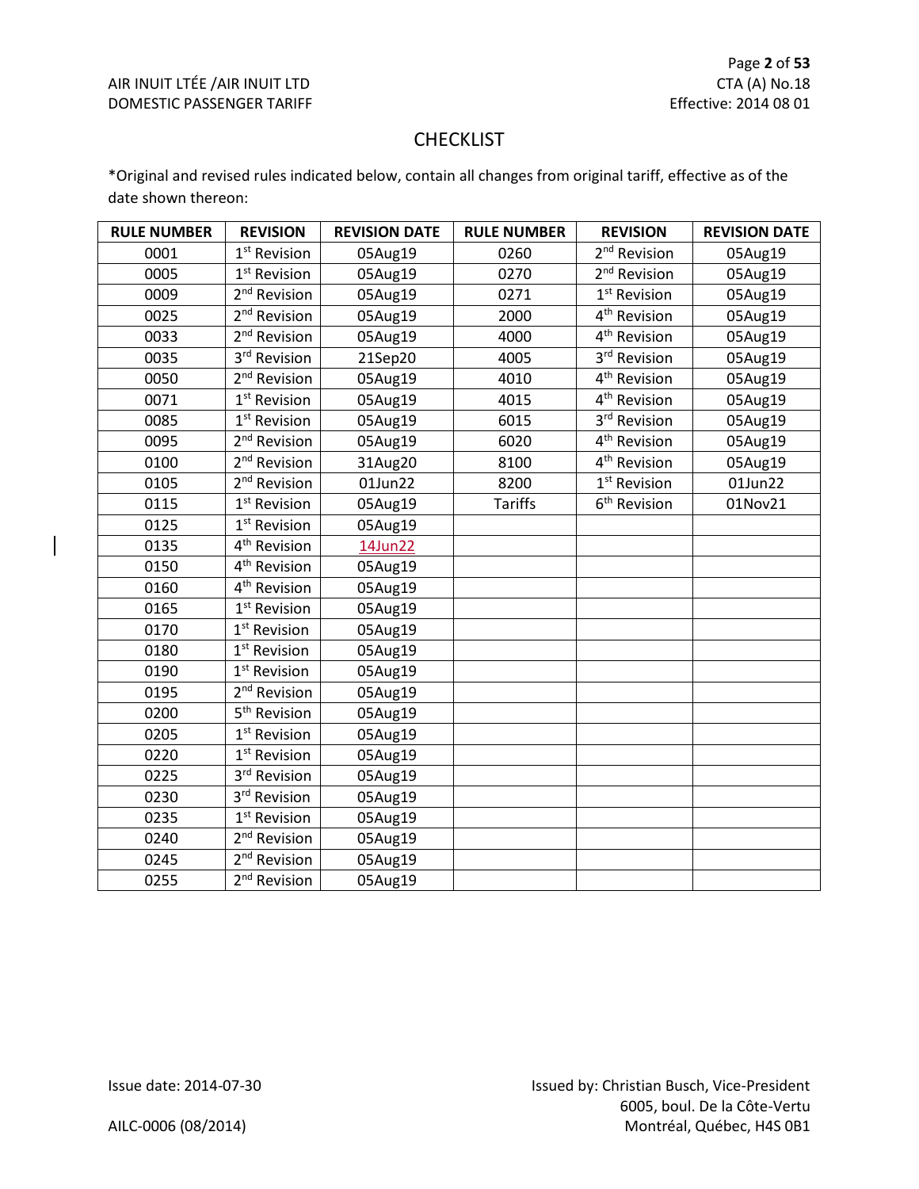#### CHECKLIST

\*Original and revised rules indicated below, contain all changes from original tariff, effective as of the date shown thereon:

| <b>RULE NUMBER</b> | <b>REVISION</b>          | <b>REVISION DATE</b> | <b>RULE NUMBER</b> | <b>REVISION</b>          | <b>REVISION DATE</b> |
|--------------------|--------------------------|----------------------|--------------------|--------------------------|----------------------|
| 0001               | 1 <sup>st</sup> Revision | 05Aug19              | 0260               | 2 <sup>nd</sup> Revision | 05Aug19              |
| 0005               | 1 <sup>st</sup> Revision | 05Aug19              | 0270               | 2 <sup>nd</sup> Revision | 05Aug19              |
| 0009               | 2 <sup>nd</sup> Revision | 05Aug19              | 0271               | 1 <sup>st</sup> Revision | 05Aug19              |
| 0025               | 2 <sup>nd</sup> Revision | 05Aug19              | 2000               | 4 <sup>th</sup> Revision | 05Aug19              |
| 0033               | 2 <sup>nd</sup> Revision | 05Aug19              | 4000               | 4 <sup>th</sup> Revision | 05Aug19              |
| 0035               | 3 <sup>rd</sup> Revision | 21Sep20              | 4005               | 3rd Revision             | 05Aug19              |
| 0050               | 2 <sup>nd</sup> Revision | 05Aug19              | 4010               | 4 <sup>th</sup> Revision | 05Aug19              |
| 0071               | 1 <sup>st</sup> Revision | 05Aug19              | 4015               | 4 <sup>th</sup> Revision | 05Aug19              |
| 0085               | 1 <sup>st</sup> Revision | 05Aug19              | 6015               | 3rd Revision             | 05Aug19              |
| 0095               | 2 <sup>nd</sup> Revision | 05Aug19              | 6020               | 4 <sup>th</sup> Revision | 05Aug19              |
| 0100               | 2 <sup>nd</sup> Revision | 31Aug20              | 8100               | 4 <sup>th</sup> Revision | 05Aug19              |
| 0105               | 2 <sup>nd</sup> Revision | 01Jun22              | 8200               | 1 <sup>st</sup> Revision | 01Jun22              |
| 0115               | 1 <sup>st</sup> Revision | 05Aug19              | <b>Tariffs</b>     | 6 <sup>th</sup> Revision | 01Nov21              |
| 0125               | 1 <sup>st</sup> Revision | 05Aug19              |                    |                          |                      |
| 0135               | 4 <sup>th</sup> Revision | 14Jun22              |                    |                          |                      |
| 0150               | 4 <sup>th</sup> Revision | 05Aug19              |                    |                          |                      |
| 0160               | 4 <sup>th</sup> Revision | 05Aug19              |                    |                          |                      |
| 0165               | 1 <sup>st</sup> Revision | 05Aug19              |                    |                          |                      |
| 0170               | 1 <sup>st</sup> Revision | 05Aug19              |                    |                          |                      |
| 0180               | 1 <sup>st</sup> Revision | 05Aug19              |                    |                          |                      |
| 0190               | 1 <sup>st</sup> Revision | 05Aug19              |                    |                          |                      |
| 0195               | 2 <sup>nd</sup> Revision | 05Aug19              |                    |                          |                      |
| 0200               | 5 <sup>th</sup> Revision | 05Aug19              |                    |                          |                      |
| 0205               | 1 <sup>st</sup> Revision | 05Aug19              |                    |                          |                      |
| 0220               | $1st$ Revision           | 05Aug19              |                    |                          |                      |
| 0225               | 3rd Revision             | 05Aug19              |                    |                          |                      |
| 0230               | 3rd Revision             | 05Aug19              |                    |                          |                      |
| 0235               | 1 <sup>st</sup> Revision | 05Aug19              |                    |                          |                      |
| 0240               | 2 <sup>nd</sup> Revision | 05Aug19              |                    |                          |                      |
| 0245               | 2 <sup>nd</sup> Revision | 05Aug19              |                    |                          |                      |
| 0255               | 2 <sup>nd</sup> Revision | 05Aug19              |                    |                          |                      |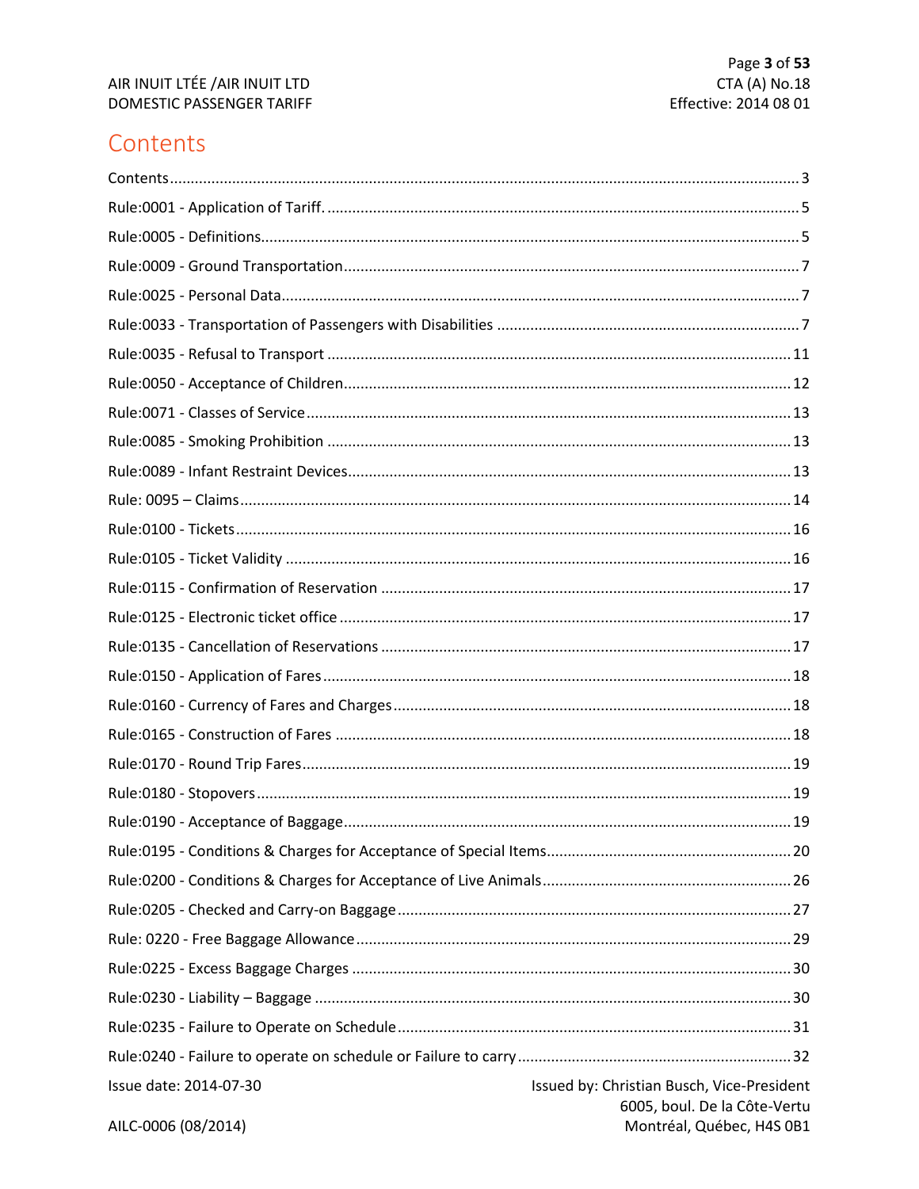### <span id="page-3-0"></span>Contents

| Issue date: 2014-07-30 | Issued by: Christian Busch, Vice-President                |
|------------------------|-----------------------------------------------------------|
| AILC-0006 (08/2014)    | 6005, boul. De la Côte-Vertu<br>Montréal, Québec, H4S 0B1 |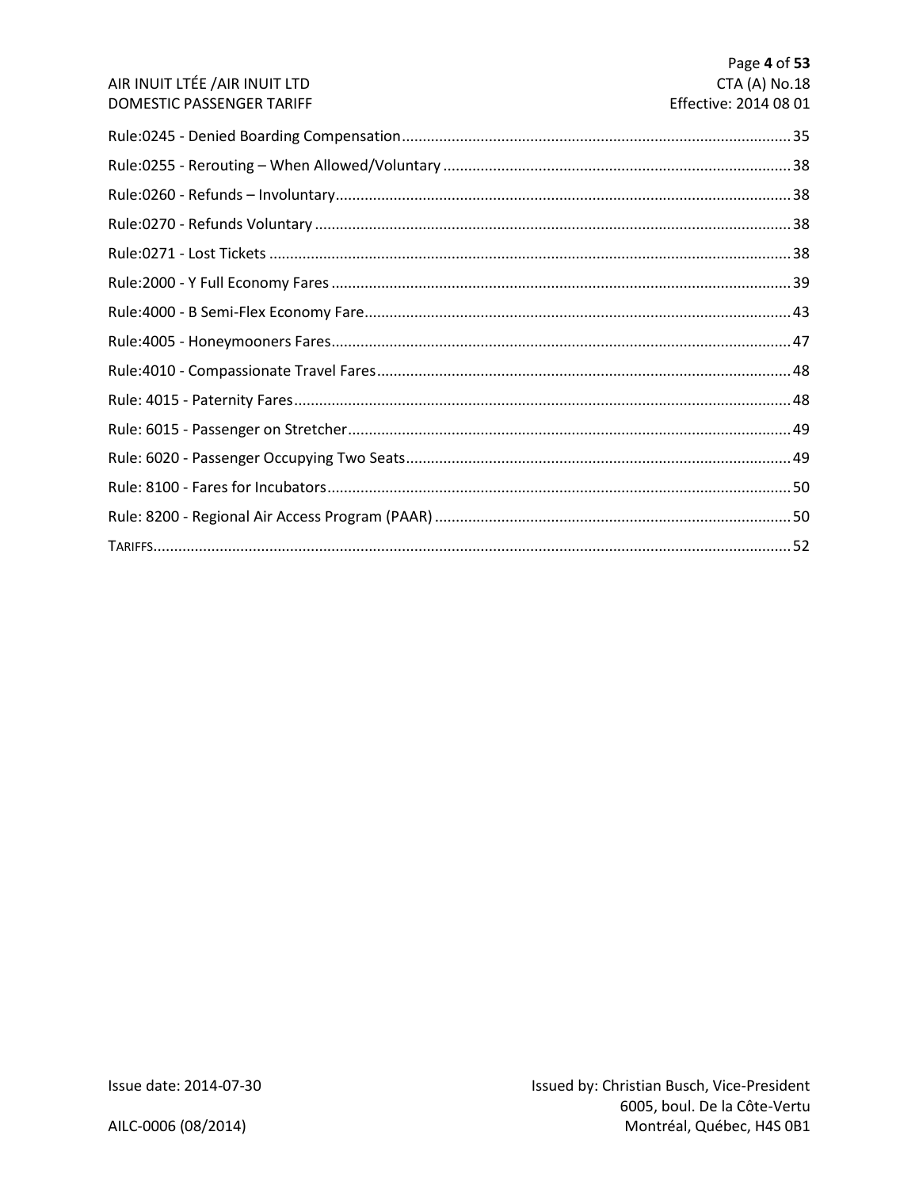|                                | Page 4 of 53          |
|--------------------------------|-----------------------|
| AIR INUIT LTÉE / AIR INUIT LTD | CTA (A) No.18         |
| DOMESTIC PASSENGER TARIFF      | Effective: 2014 08 01 |
|                                |                       |
|                                |                       |
|                                |                       |
|                                |                       |
|                                |                       |
|                                |                       |
|                                |                       |
|                                |                       |
|                                |                       |
|                                |                       |
|                                |                       |
|                                |                       |
|                                |                       |
|                                |                       |
|                                |                       |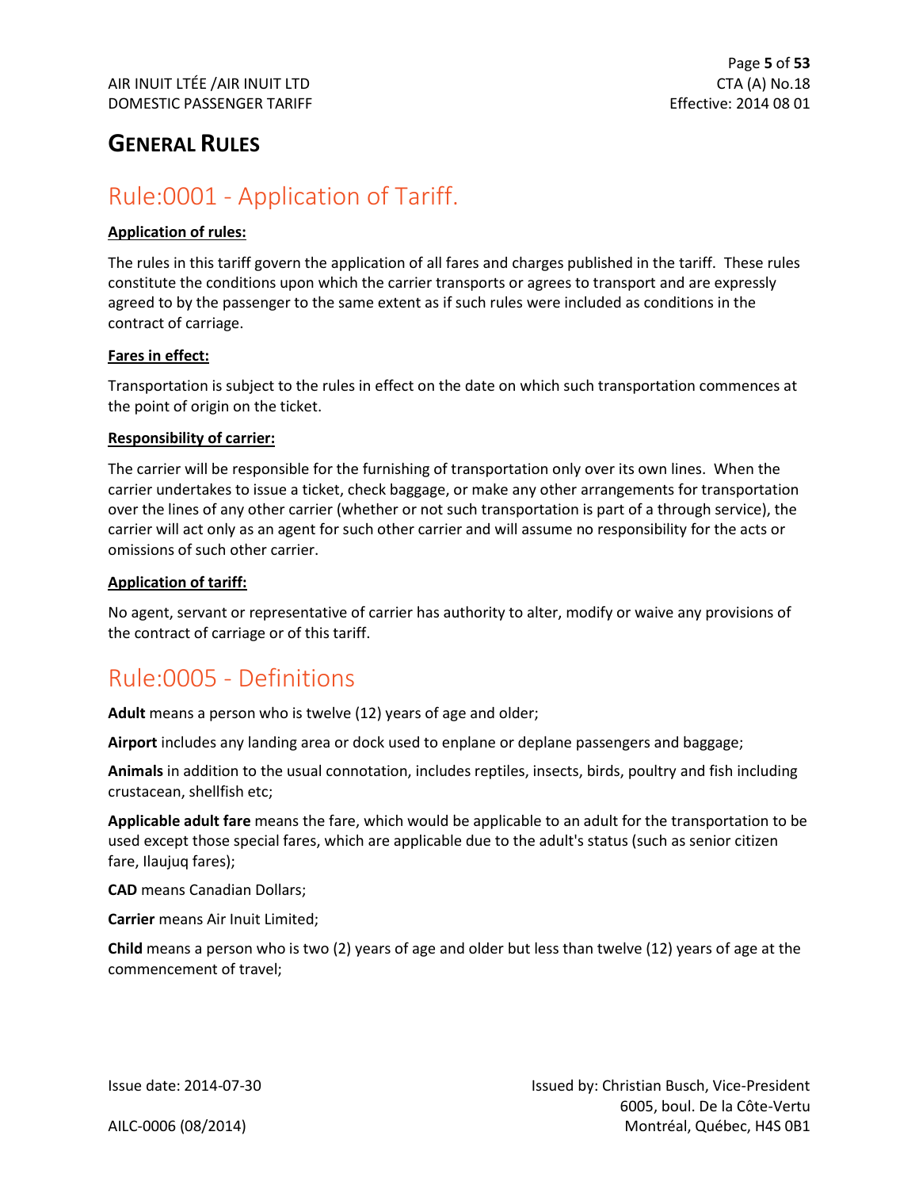### **GENERAL RULES**

### <span id="page-5-0"></span>Rule:0001 - Application of Tariff.

#### **Application of rules:**

The rules in this tariff govern the application of all fares and charges published in the tariff. These rules constitute the conditions upon which the carrier transports or agrees to transport and are expressly agreed to by the passenger to the same extent as if such rules were included as conditions in the contract of carriage.

#### **Fares in effect:**

Transportation is subject to the rules in effect on the date on which such transportation commences at the point of origin on the ticket.

#### **Responsibility of carrier:**

The carrier will be responsible for the furnishing of transportation only over its own lines. When the carrier undertakes to issue a ticket, check baggage, or make any other arrangements for transportation over the lines of any other carrier (whether or not such transportation is part of a through service), the carrier will act only as an agent for such other carrier and will assume no responsibility for the acts or omissions of such other carrier.

#### **Application of tariff:**

No agent, servant or representative of carrier has authority to alter, modify or waive any provisions of the contract of carriage or of this tariff.

### <span id="page-5-1"></span>Rule:0005 - Definitions

**Adult** means a person who is twelve (12) years of age and older;

**Airport** includes any landing area or dock used to enplane or deplane passengers and baggage;

**Animals** in addition to the usual connotation, includes reptiles, insects, birds, poultry and fish including crustacean, shellfish etc;

**Applicable adult fare** means the fare, which would be applicable to an adult for the transportation to be used except those special fares, which are applicable due to the adult's status (such as senior citizen fare, Ilaujuq fares);

**CAD** means Canadian Dollars;

**Carrier** means Air Inuit Limited;

**Child** means a person who is two (2) years of age and older but less than twelve (12) years of age at the commencement of travel;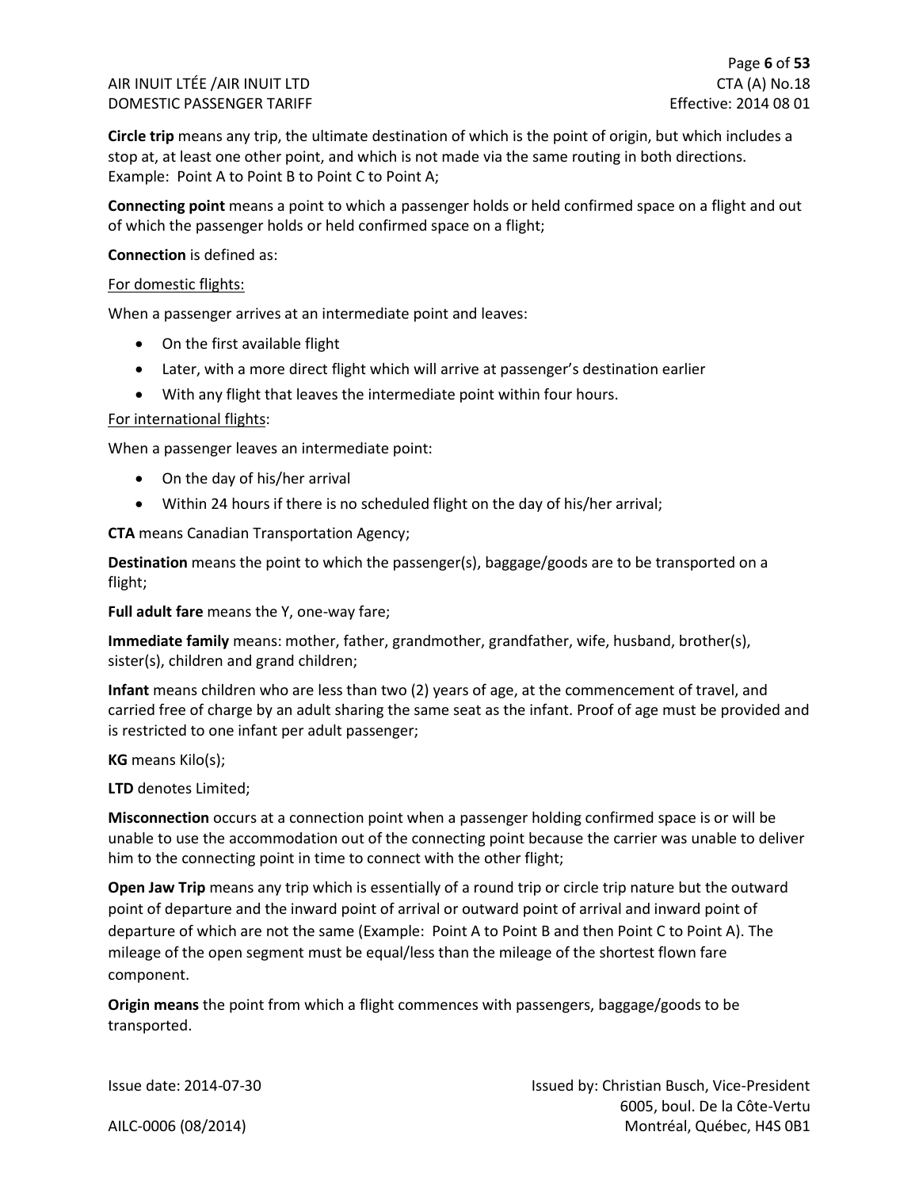**Circle trip** means any trip, the ultimate destination of which is the point of origin, but which includes a stop at, at least one other point, and which is not made via the same routing in both directions. Example: Point A to Point B to Point C to Point A;

**Connecting point** means a point to which a passenger holds or held confirmed space on a flight and out of which the passenger holds or held confirmed space on a flight;

#### **Connection** is defined as:

#### For domestic flights:

When a passenger arrives at an intermediate point and leaves:

- On the first available flight
- Later, with a more direct flight which will arrive at passenger's destination earlier
- With any flight that leaves the intermediate point within four hours.

#### For international flights:

When a passenger leaves an intermediate point:

- On the day of his/her arrival
- Within 24 hours if there is no scheduled flight on the day of his/her arrival;

**CTA** means Canadian Transportation Agency;

**Destination** means the point to which the passenger(s), baggage/goods are to be transported on a flight;

**Full adult fare** means the Y, one-way fare;

**Immediate family** means: mother, father, grandmother, grandfather, wife, husband, brother(s), sister(s), children and grand children;

**Infant** means children who are less than two (2) years of age, at the commencement of travel, and carried free of charge by an adult sharing the same seat as the infant. Proof of age must be provided and is restricted to one infant per adult passenger;

**KG** means Kilo(s);

**LTD** denotes Limited;

**Misconnection** occurs at a connection point when a passenger holding confirmed space is or will be unable to use the accommodation out of the connecting point because the carrier was unable to deliver him to the connecting point in time to connect with the other flight;

**Open Jaw Trip** means any trip which is essentially of a round trip or circle trip nature but the outward point of departure and the inward point of arrival or outward point of arrival and inward point of departure of which are not the same (Example: Point A to Point B and then Point C to Point A). The mileage of the open segment must be equal/less than the mileage of the shortest flown fare component.

**Origin means** the point from which a flight commences with passengers, baggage/goods to be transported.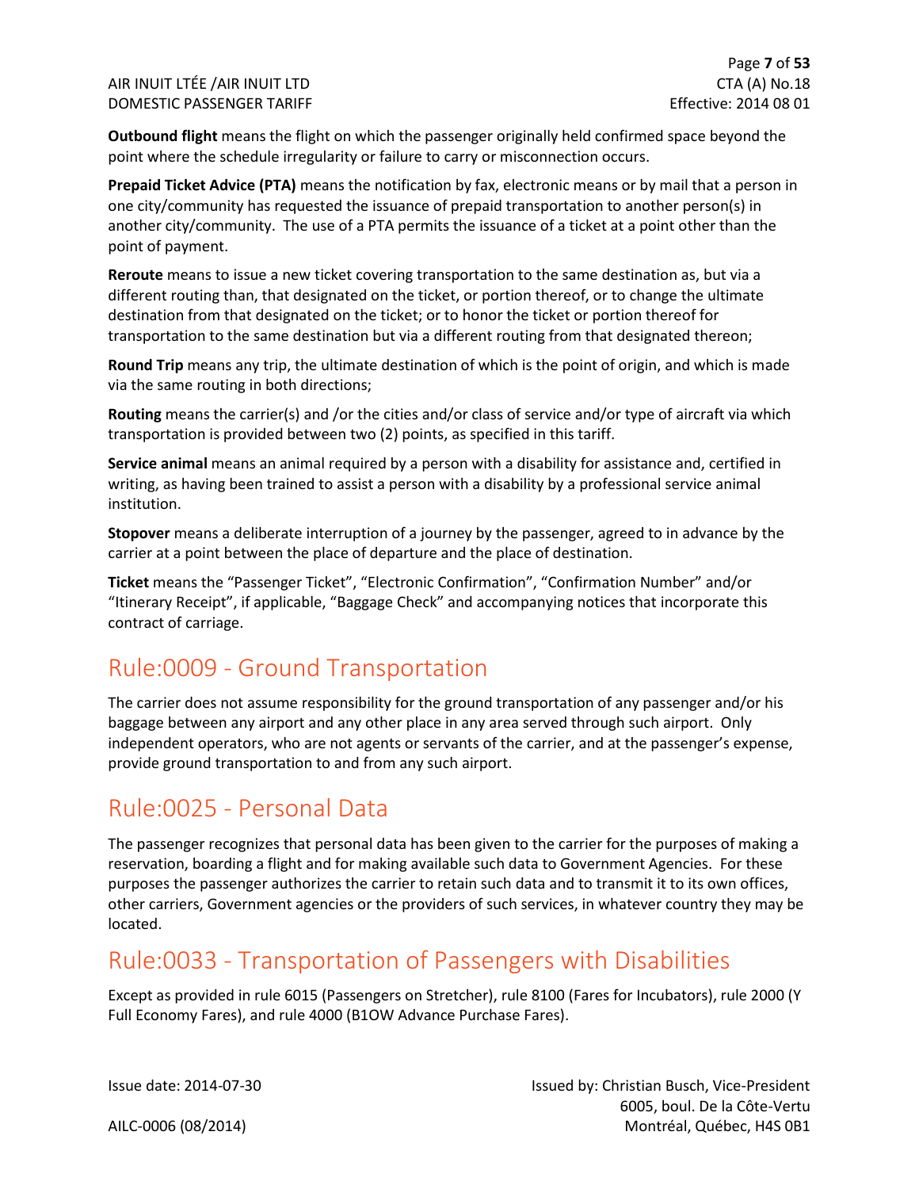**Outbound flight** means the flight on which the passenger originally held confirmed space beyond the point where the schedule irregularity or failure to carry or misconnection occurs.

**Prepaid Ticket Advice (PTA)** means the notification by fax, electronic means or by mail that a person in one city/community has requested the issuance of prepaid transportation to another person(s) in another city/community. The use of a PTA permits the issuance of a ticket at a point other than the point of payment.

**Reroute** means to issue a new ticket covering transportation to the same destination as, but via a different routing than, that designated on the ticket, or portion thereof, or to change the ultimate destination from that designated on the ticket; or to honor the ticket or portion thereof for transportation to the same destination but via a different routing from that designated thereon;

**Round Trip** means any trip, the ultimate destination of which is the point of origin, and which is made via the same routing in both directions;

**Routing** means the carrier(s) and /or the cities and/or class of service and/or type of aircraft via which transportation is provided between two (2) points, as specified in this tariff.

**Service animal** means an animal required by a person with a disability for assistance and, certified in writing, as having been trained to assist a person with a disability by a professional service animal institution.

**Stopover** means a deliberate interruption of a journey by the passenger, agreed to in advance by the carrier at a point between the place of departure and the place of destination.

**Ticket** means the "Passenger Ticket", "Electronic Confirmation", "Confirmation Number" and/or "Itinerary Receipt", if applicable, "Baggage Check" and accompanying notices that incorporate this contract of carriage.

### <span id="page-7-0"></span>Rule:0009 - Ground Transportation

The carrier does not assume responsibility for the ground transportation of any passenger and/or his baggage between any airport and any other place in any area served through such airport. Only independent operators, who are not agents or servants of the carrier, and at the passenger's expense, provide ground transportation to and from any such airport.

### <span id="page-7-1"></span>Rule:0025 - Personal Data

The passenger recognizes that personal data has been given to the carrier for the purposes of making a reservation, boarding a flight and for making available such data to Government Agencies. For these purposes the passenger authorizes the carrier to retain such data and to transmit it to its own offices, other carriers, Government agencies or the providers of such services, in whatever country they may be located.

### <span id="page-7-2"></span>Rule:0033 - Transportation of Passengers with Disabilities

Except as provided in rule 6015 (Passengers on Stretcher), rule 8100 (Fares for Incubators), rule 2000 (Y Full Economy Fares), and rule 4000 (B1OW Advance Purchase Fares).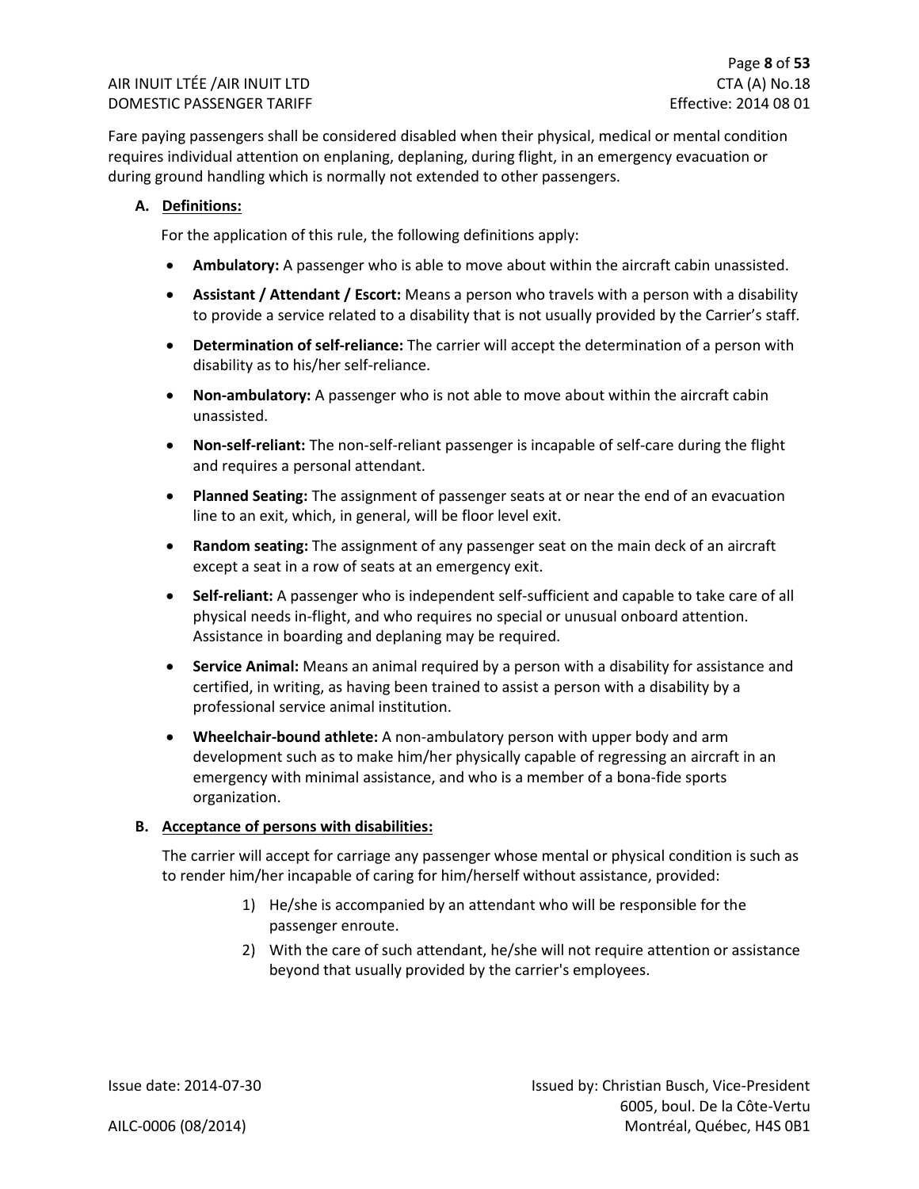Fare paying passengers shall be considered disabled when their physical, medical or mental condition requires individual attention on enplaning, deplaning, during flight, in an emergency evacuation or during ground handling which is normally not extended to other passengers.

#### **A. Definitions:**

For the application of this rule, the following definitions apply:

- **Ambulatory:** A passenger who is able to move about within the aircraft cabin unassisted.
- **Assistant / Attendant / Escort:** Means a person who travels with a person with a disability to provide a service related to a disability that is not usually provided by the Carrier's staff.
- **Determination of self-reliance:** The carrier will accept the determination of a person with disability as to his/her self-reliance.
- **Non-ambulatory:** A passenger who is not able to move about within the aircraft cabin unassisted.
- **Non-self-reliant:** The non-self-reliant passenger is incapable of self-care during the flight and requires a personal attendant.
- **Planned Seating:** The assignment of passenger seats at or near the end of an evacuation line to an exit, which, in general, will be floor level exit.
- **Random seating:** The assignment of any passenger seat on the main deck of an aircraft except a seat in a row of seats at an emergency exit.
- **Self-reliant:** A passenger who is independent self-sufficient and capable to take care of all physical needs in-flight, and who requires no special or unusual onboard attention. Assistance in boarding and deplaning may be required.
- **Service Animal:** Means an animal required by a person with a disability for assistance and certified, in writing, as having been trained to assist a person with a disability by a professional service animal institution.
- **Wheelchair-bound athlete:** A non-ambulatory person with upper body and arm development such as to make him/her physically capable of regressing an aircraft in an emergency with minimal assistance, and who is a member of a bona-fide sports organization.

#### **B. Acceptance of persons with disabilities:**

The carrier will accept for carriage any passenger whose mental or physical condition is such as to render him/her incapable of caring for him/herself without assistance, provided:

- 1) He/she is accompanied by an attendant who will be responsible for the passenger enroute.
- 2) With the care of such attendant, he/she will not require attention or assistance beyond that usually provided by the carrier's employees.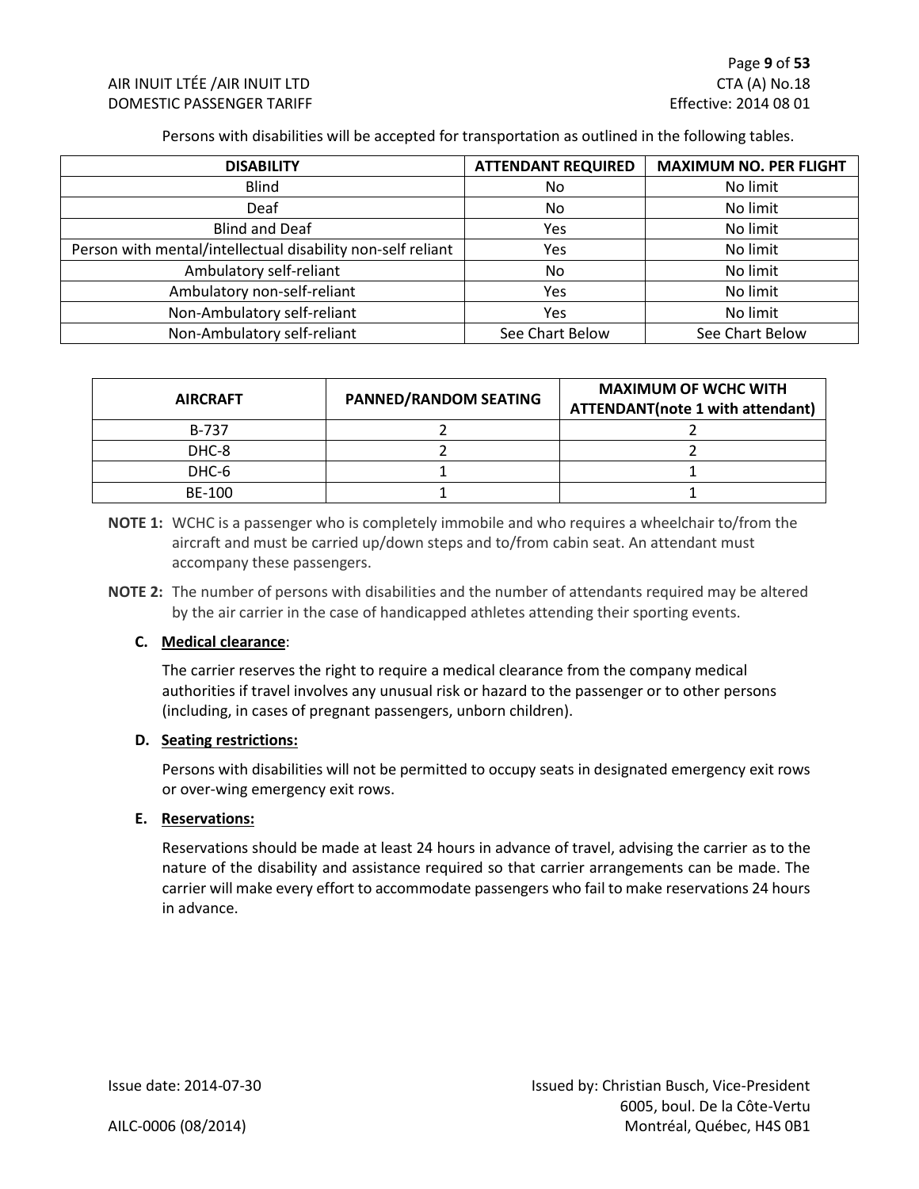Persons with disabilities will be accepted for transportation as outlined in the following tables.

| <b>DISABILITY</b>                                           | <b>ATTENDANT REQUIRED</b> | <b>MAXIMUM NO. PER FLIGHT</b> |
|-------------------------------------------------------------|---------------------------|-------------------------------|
| <b>Blind</b>                                                | No.                       | No limit                      |
| Deaf                                                        | No.                       | No limit                      |
| <b>Blind and Deaf</b>                                       | Yes                       | No limit                      |
| Person with mental/intellectual disability non-self reliant | Yes                       | No limit                      |
| Ambulatory self-reliant                                     | No.                       | No limit                      |
| Ambulatory non-self-reliant                                 | Yes                       | No limit                      |
| Non-Ambulatory self-reliant                                 | Yes                       | No limit                      |
| Non-Ambulatory self-reliant                                 | See Chart Below           | See Chart Below               |

| <b>AIRCRAFT</b> | <b>PANNED/RANDOM SEATING</b> | <b>MAXIMUM OF WCHC WITH</b><br><b>ATTENDANT(note 1 with attendant)</b> |
|-----------------|------------------------------|------------------------------------------------------------------------|
| B-737           |                              |                                                                        |
| DHC-8           |                              |                                                                        |
| DHC-6           |                              |                                                                        |
| BE-100          |                              |                                                                        |

**NOTE 1:** WCHC is a passenger who is completely immobile and who requires a wheelchair to/from the aircraft and must be carried up/down steps and to/from cabin seat. An attendant must accompany these passengers.

**NOTE 2:** The number of persons with disabilities and the number of attendants required may be altered by the air carrier in the case of handicapped athletes attending their sporting events.

#### **C. Medical clearance**:

The carrier reserves the right to require a medical clearance from the company medical authorities if travel involves any unusual risk or hazard to the passenger or to other persons (including, in cases of pregnant passengers, unborn children).

#### **D. Seating restrictions:**

Persons with disabilities will not be permitted to occupy seats in designated emergency exit rows or over-wing emergency exit rows.

#### **E. Reservations:**

Reservations should be made at least 24 hours in advance of travel, advising the carrier as to the nature of the disability and assistance required so that carrier arrangements can be made. The carrier will make every effort to accommodate passengers who fail to make reservations 24 hours in advance.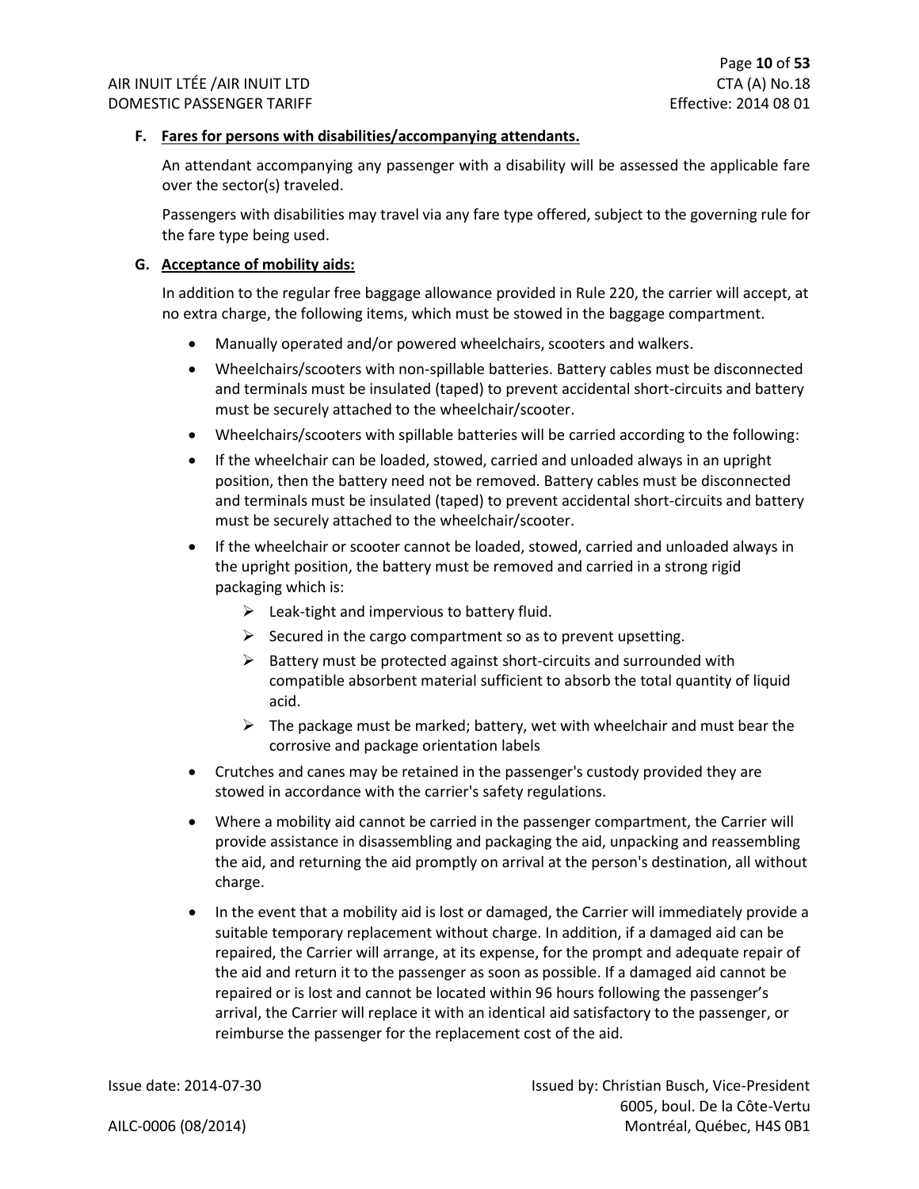#### **F. Fares for persons with disabilities/accompanying attendants.**

An attendant accompanying any passenger with a disability will be assessed the applicable fare over the sector(s) traveled.

Passengers with disabilities may travel via any fare type offered, subject to the governing rule for the fare type being used.

#### **G. Acceptance of mobility aids:**

In addition to the regular free baggage allowance provided in Rule 220, the carrier will accept, at no extra charge, the following items, which must be stowed in the baggage compartment.

- Manually operated and/or powered wheelchairs, scooters and walkers.
- Wheelchairs/scooters with non-spillable batteries. Battery cables must be disconnected and terminals must be insulated (taped) to prevent accidental short-circuits and battery must be securely attached to the wheelchair/scooter.
- Wheelchairs/scooters with spillable batteries will be carried according to the following:
- If the wheelchair can be loaded, stowed, carried and unloaded always in an upright position, then the battery need not be removed. Battery cables must be disconnected and terminals must be insulated (taped) to prevent accidental short-circuits and battery must be securely attached to the wheelchair/scooter.
- If the wheelchair or scooter cannot be loaded, stowed, carried and unloaded always in the upright position, the battery must be removed and carried in a strong rigid packaging which is:
	- $\triangleright$  Leak-tight and impervious to battery fluid.
	- $\triangleright$  Secured in the cargo compartment so as to prevent upsetting.
	- $\triangleright$  Battery must be protected against short-circuits and surrounded with compatible absorbent material sufficient to absorb the total quantity of liquid acid.
	- $\triangleright$  The package must be marked; battery, wet with wheelchair and must bear the corrosive and package orientation labels
- Crutches and canes may be retained in the passenger's custody provided they are stowed in accordance with the carrier's safety regulations.
- Where a mobility aid cannot be carried in the passenger compartment, the Carrier will provide assistance in disassembling and packaging the aid, unpacking and reassembling the aid, and returning the aid promptly on arrival at the person's destination, all without charge.
- In the event that a mobility aid is lost or damaged, the Carrier will immediately provide a suitable temporary replacement without charge. In addition, if a damaged aid can be repaired, the Carrier will arrange, at its expense, for the prompt and adequate repair of the aid and return it to the passenger as soon as possible. If a damaged aid cannot be repaired or is lost and cannot be located within 96 hours following the passenger's arrival, the Carrier will replace it with an identical aid satisfactory to the passenger, or reimburse the passenger for the replacement cost of the aid.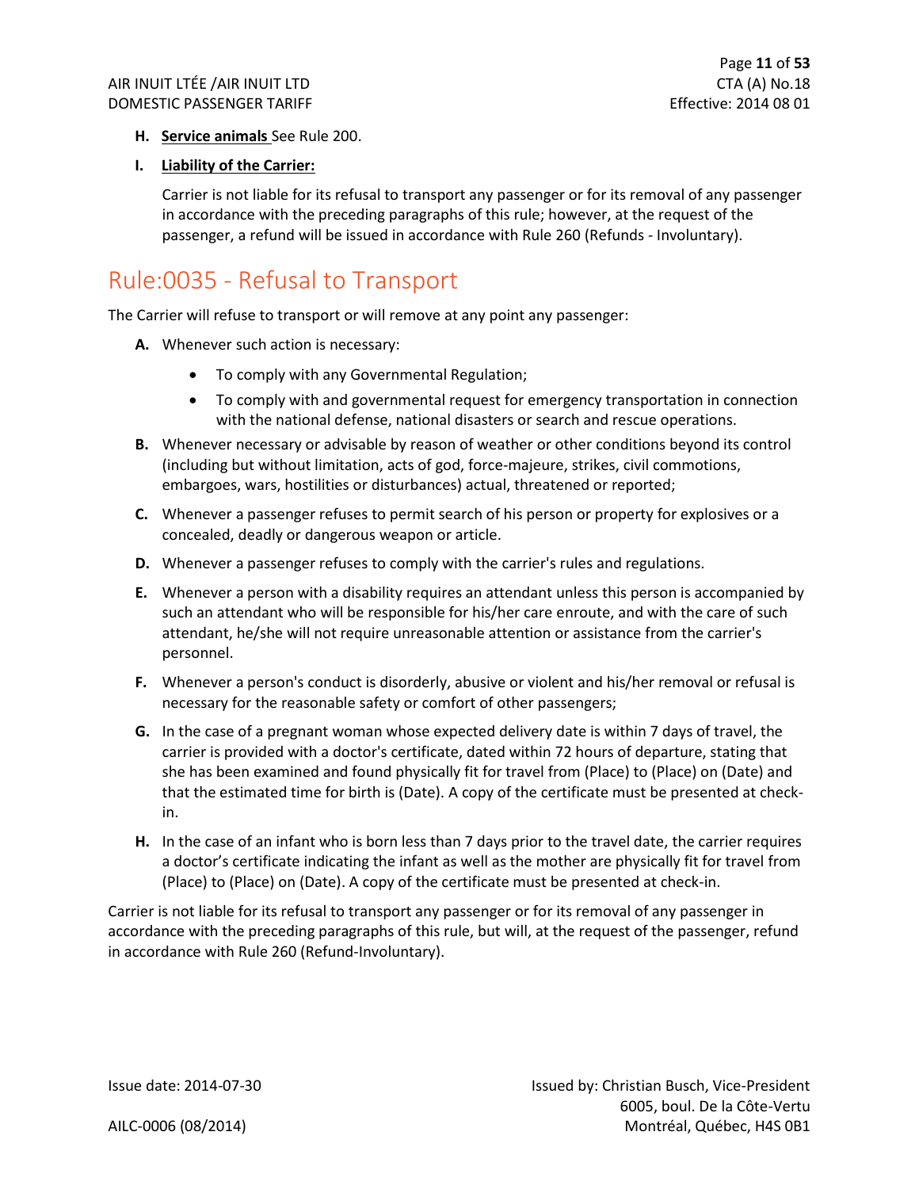#### **H. Service animals** See Rule 200.

#### **I. Liability of the Carrier:**

Carrier is not liable for its refusal to transport any passenger or for its removal of any passenger in accordance with the preceding paragraphs of this rule; however, at the request of the passenger, a refund will be issued in accordance with Rule 260 (Refunds - Involuntary).

### <span id="page-11-0"></span>Rule:0035 - Refusal to Transport

The Carrier will refuse to transport or will remove at any point any passenger:

- **A.** Whenever such action is necessary:
	- To comply with any Governmental Regulation;
	- To comply with and governmental request for emergency transportation in connection with the national defense, national disasters or search and rescue operations.
- **B.** Whenever necessary or advisable by reason of weather or other conditions beyond its control (including but without limitation, acts of god, force-majeure, strikes, civil commotions, embargoes, wars, hostilities or disturbances) actual, threatened or reported;
- **C.** Whenever a passenger refuses to permit search of his person or property for explosives or a concealed, deadly or dangerous weapon or article.
- **D.** Whenever a passenger refuses to comply with the carrier's rules and regulations.
- **E.** Whenever a person with a disability requires an attendant unless this person is accompanied by such an attendant who will be responsible for his/her care enroute, and with the care of such attendant, he/she will not require unreasonable attention or assistance from the carrier's personnel.
- **F.** Whenever a person's conduct is disorderly, abusive or violent and his/her removal or refusal is necessary for the reasonable safety or comfort of other passengers;
- **G.** In the case of a pregnant woman whose expected delivery date is within 7 days of travel, the carrier is provided with a doctor's certificate, dated within 72 hours of departure, stating that she has been examined and found physically fit for travel from (Place) to (Place) on (Date) and that the estimated time for birth is (Date). A copy of the certificate must be presented at checkin.
- **H.** In the case of an infant who is born less than 7 days prior to the travel date, the carrier requires a doctor's certificate indicating the infant as well as the mother are physically fit for travel from (Place) to (Place) on (Date). A copy of the certificate must be presented at check-in.

Carrier is not liable for its refusal to transport any passenger or for its removal of any passenger in accordance with the preceding paragraphs of this rule, but will, at the request of the passenger, refund in accordance with Rule 260 (Refund-Involuntary).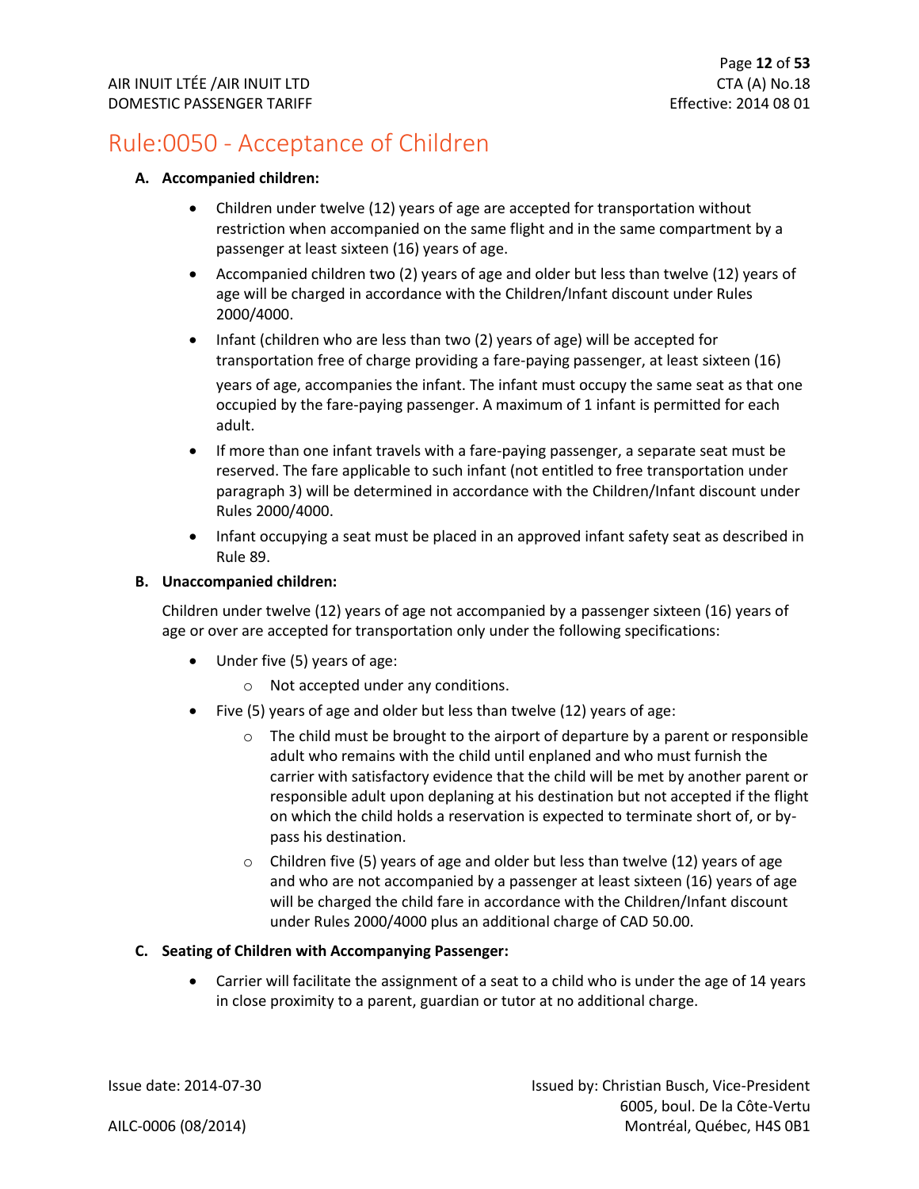### <span id="page-12-0"></span>Rule:0050 - Acceptance of Children

#### **A. Accompanied children:**

- Children under twelve (12) years of age are accepted for transportation without restriction when accompanied on the same flight and in the same compartment by a passenger at least sixteen (16) years of age.
- Accompanied children two (2) years of age and older but less than twelve (12) years of age will be charged in accordance with the Children/Infant discount under Rules 2000/4000.
- Infant (children who are less than two (2) years of age) will be accepted for transportation free of charge providing a fare-paying passenger, at least sixteen (16) years of age, accompanies the infant. The infant must occupy the same seat as that one occupied by the fare-paying passenger. A maximum of 1 infant is permitted for each adult.
- If more than one infant travels with a fare-paying passenger, a separate seat must be reserved. The fare applicable to such infant (not entitled to free transportation under paragraph 3) will be determined in accordance with the Children/Infant discount under Rules 2000/4000.
- Infant occupying a seat must be placed in an approved infant safety seat as described in Rule 89.

#### **B. Unaccompanied children:**

Children under twelve (12) years of age not accompanied by a passenger sixteen (16) years of age or over are accepted for transportation only under the following specifications:

- Under five (5) years of age:
	- o Not accepted under any conditions.
- Five (5) years of age and older but less than twelve (12) years of age:
	- $\circ$  The child must be brought to the airport of departure by a parent or responsible adult who remains with the child until enplaned and who must furnish the carrier with satisfactory evidence that the child will be met by another parent or responsible adult upon deplaning at his destination but not accepted if the flight on which the child holds a reservation is expected to terminate short of, or bypass his destination.
	- o Children five (5) years of age and older but less than twelve (12) years of age and who are not accompanied by a passenger at least sixteen (16) years of age will be charged the child fare in accordance with the Children/Infant discount under Rules 2000/4000 plus an additional charge of CAD 50.00.

#### **C. Seating of Children with Accompanying Passenger:**

• Carrier will facilitate the assignment of a seat to a child who is under the age of 14 years in close proximity to a parent, guardian or tutor at no additional charge.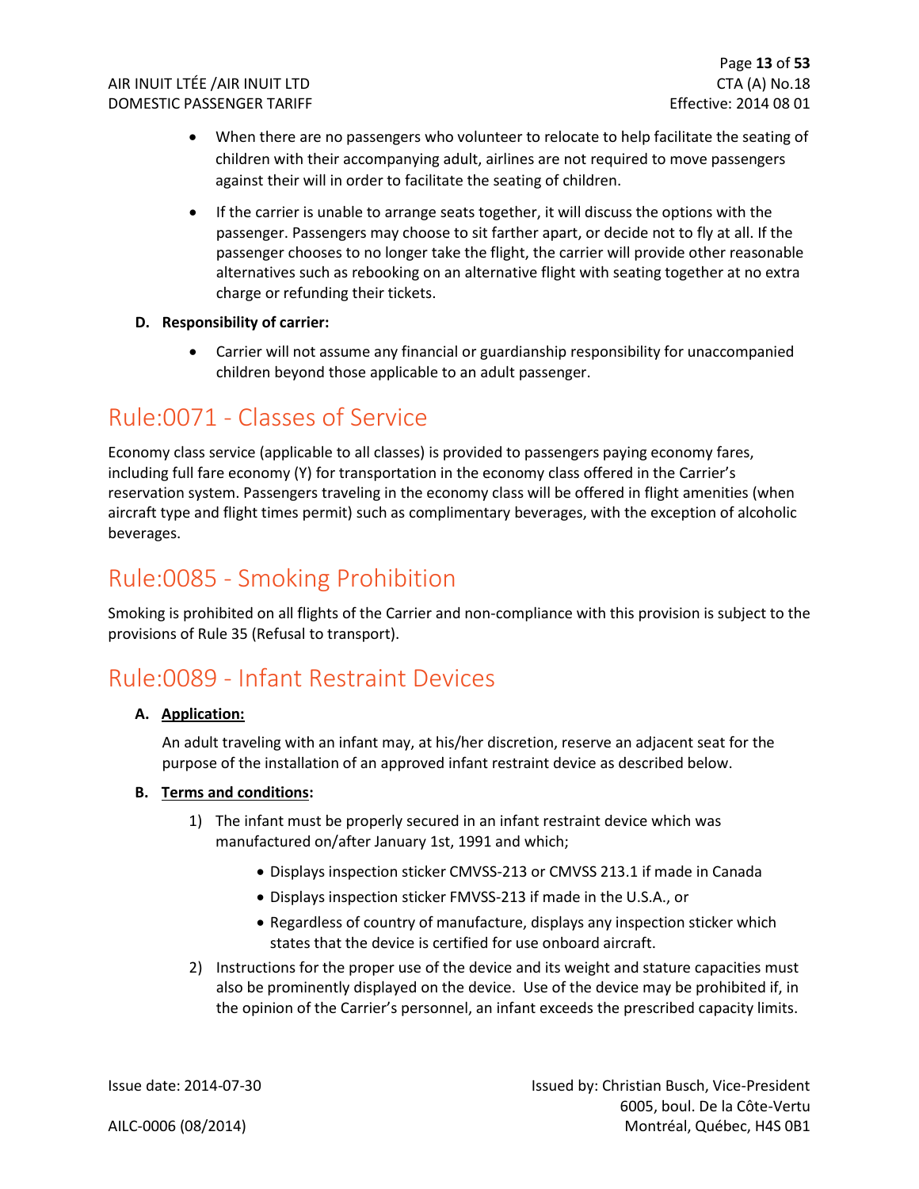- When there are no passengers who volunteer to relocate to help facilitate the seating of children with their accompanying adult, airlines are not required to move passengers against their will in order to facilitate the seating of children.
- If the carrier is unable to arrange seats together, it will discuss the options with the passenger. Passengers may choose to sit farther apart, or decide not to fly at all. If the passenger chooses to no longer take the flight, the carrier will provide other reasonable alternatives such as rebooking on an alternative flight with seating together at no extra charge or refunding their tickets.

#### **D. Responsibility of carrier:**

• Carrier will not assume any financial or guardianship responsibility for unaccompanied children beyond those applicable to an adult passenger.

### <span id="page-13-0"></span>Rule:0071 - Classes of Service

Economy class service (applicable to all classes) is provided to passengers paying economy fares, including full fare economy (Y) for transportation in the economy class offered in the Carrier's reservation system. Passengers traveling in the economy class will be offered in flight amenities (when aircraft type and flight times permit) such as complimentary beverages, with the exception of alcoholic beverages.

### <span id="page-13-1"></span>Rule:0085 - Smoking Prohibition

Smoking is prohibited on all flights of the Carrier and non-compliance with this provision is subject to the provisions of Rule 35 (Refusal to transport).

### <span id="page-13-2"></span>Rule:0089 - Infant Restraint Devices

#### **A. Application:**

An adult traveling with an infant may, at his/her discretion, reserve an adjacent seat for the purpose of the installation of an approved infant restraint device as described below.

#### **B. Terms and conditions:**

- 1) The infant must be properly secured in an infant restraint device which was manufactured on/after January 1st, 1991 and which;
	- Displays inspection sticker CMVSS-213 or CMVSS 213.1 if made in Canada
	- Displays inspection sticker FMVSS-213 if made in the U.S.A., or
	- Regardless of country of manufacture, displays any inspection sticker which states that the device is certified for use onboard aircraft.
- 2) Instructions for the proper use of the device and its weight and stature capacities must also be prominently displayed on the device. Use of the device may be prohibited if, in the opinion of the Carrier's personnel, an infant exceeds the prescribed capacity limits.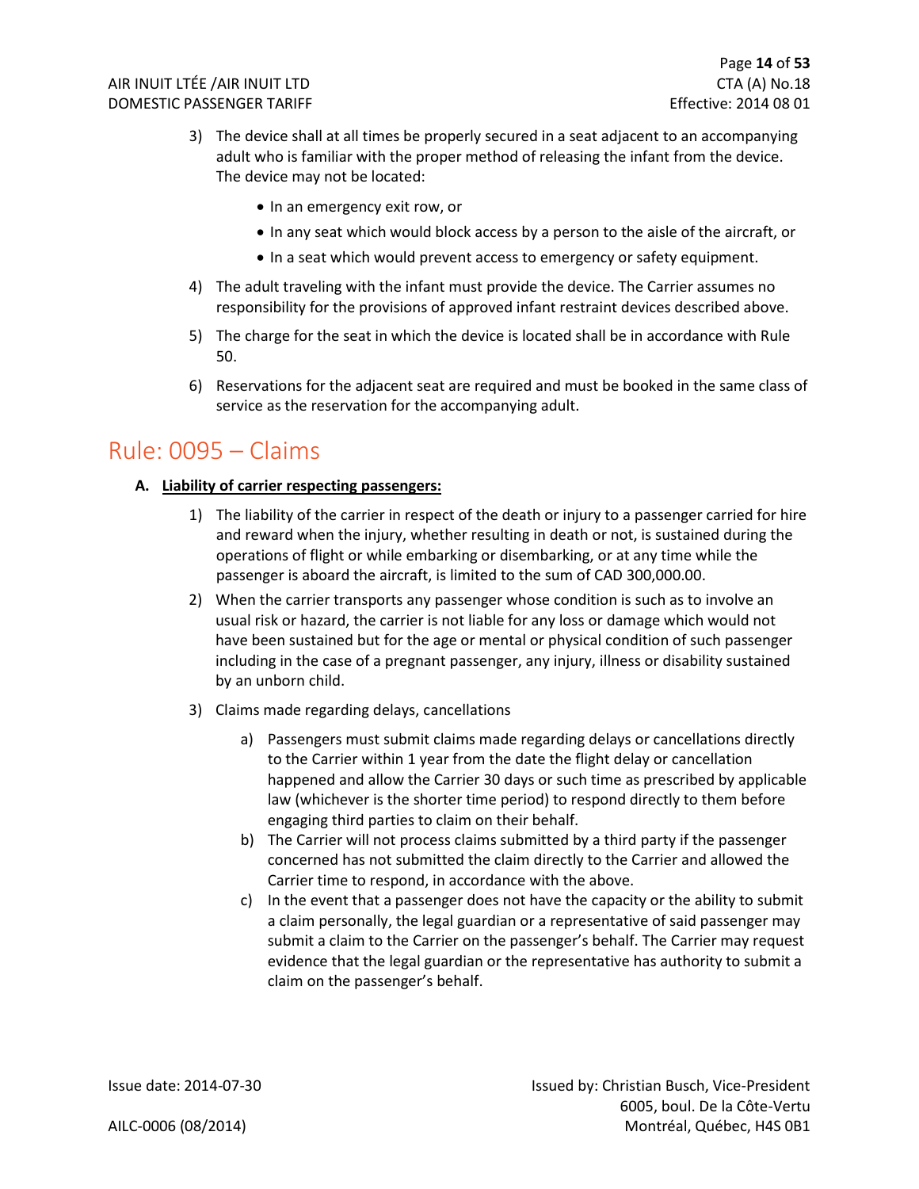- 3) The device shall at all times be properly secured in a seat adjacent to an accompanying adult who is familiar with the proper method of releasing the infant from the device. The device may not be located:
	- In an emergency exit row, or
	- In any seat which would block access by a person to the aisle of the aircraft, or
	- In a seat which would prevent access to emergency or safety equipment.
- 4) The adult traveling with the infant must provide the device. The Carrier assumes no responsibility for the provisions of approved infant restraint devices described above.
- 5) The charge for the seat in which the device is located shall be in accordance with Rule 50.
- 6) Reservations for the adjacent seat are required and must be booked in the same class of service as the reservation for the accompanying adult.

### <span id="page-14-0"></span>Rule: 0095 – Claims

#### **A. Liability of carrier respecting passengers:**

- 1) The liability of the carrier in respect of the death or injury to a passenger carried for hire and reward when the injury, whether resulting in death or not, is sustained during the operations of flight or while embarking or disembarking, or at any time while the passenger is aboard the aircraft, is limited to the sum of CAD 300,000.00.
- 2) When the carrier transports any passenger whose condition is such as to involve an usual risk or hazard, the carrier is not liable for any loss or damage which would not have been sustained but for the age or mental or physical condition of such passenger including in the case of a pregnant passenger, any injury, illness or disability sustained by an unborn child.
- 3) Claims made regarding delays, cancellations
	- a) Passengers must submit claims made regarding delays or cancellations directly to the Carrier within 1 year from the date the flight delay or cancellation happened and allow the Carrier 30 days or such time as prescribed by applicable law (whichever is the shorter time period) to respond directly to them before engaging third parties to claim on their behalf.
	- b) The Carrier will not process claims submitted by a third party if the passenger concerned has not submitted the claim directly to the Carrier and allowed the Carrier time to respond, in accordance with the above.
	- c) In the event that a passenger does not have the capacity or the ability to submit a claim personally, the legal guardian or a representative of said passenger may submit a claim to the Carrier on the passenger's behalf. The Carrier may request evidence that the legal guardian or the representative has authority to submit a claim on the passenger's behalf.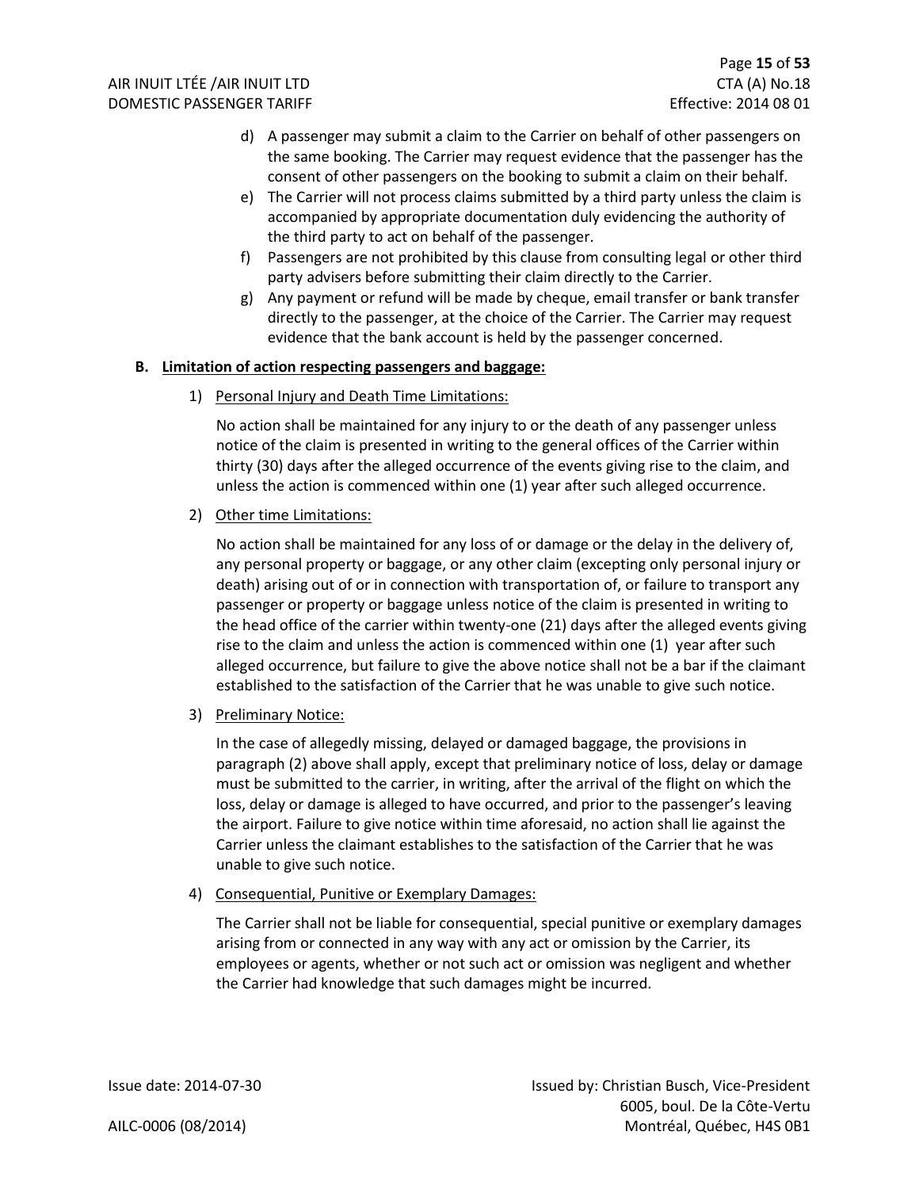- d) A passenger may submit a claim to the Carrier on behalf of other passengers on the same booking. The Carrier may request evidence that the passenger has the consent of other passengers on the booking to submit a claim on their behalf.
- e) The Carrier will not process claims submitted by a third party unless the claim is accompanied by appropriate documentation duly evidencing the authority of the third party to act on behalf of the passenger.
- f) Passengers are not prohibited by this clause from consulting legal or other third party advisers before submitting their claim directly to the Carrier.
- g) Any payment or refund will be made by cheque, email transfer or bank transfer directly to the passenger, at the choice of the Carrier. The Carrier may request evidence that the bank account is held by the passenger concerned.

#### **B. Limitation of action respecting passengers and baggage:**

1) Personal Injury and Death Time Limitations:

No action shall be maintained for any injury to or the death of any passenger unless notice of the claim is presented in writing to the general offices of the Carrier within thirty (30) days after the alleged occurrence of the events giving rise to the claim, and unless the action is commenced within one (1) year after such alleged occurrence.

2) Other time Limitations:

No action shall be maintained for any loss of or damage or the delay in the delivery of, any personal property or baggage, or any other claim (excepting only personal injury or death) arising out of or in connection with transportation of, or failure to transport any passenger or property or baggage unless notice of the claim is presented in writing to the head office of the carrier within twenty-one (21) days after the alleged events giving rise to the claim and unless the action is commenced within one (1) year after such alleged occurrence, but failure to give the above notice shall not be a bar if the claimant established to the satisfaction of the Carrier that he was unable to give such notice.

3) Preliminary Notice:

In the case of allegedly missing, delayed or damaged baggage, the provisions in paragraph (2) above shall apply, except that preliminary notice of loss, delay or damage must be submitted to the carrier, in writing, after the arrival of the flight on which the loss, delay or damage is alleged to have occurred, and prior to the passenger's leaving the airport. Failure to give notice within time aforesaid, no action shall lie against the Carrier unless the claimant establishes to the satisfaction of the Carrier that he was unable to give such notice.

4) Consequential, Punitive or Exemplary Damages:

The Carrier shall not be liable for consequential, special punitive or exemplary damages arising from or connected in any way with any act or omission by the Carrier, its employees or agents, whether or not such act or omission was negligent and whether the Carrier had knowledge that such damages might be incurred.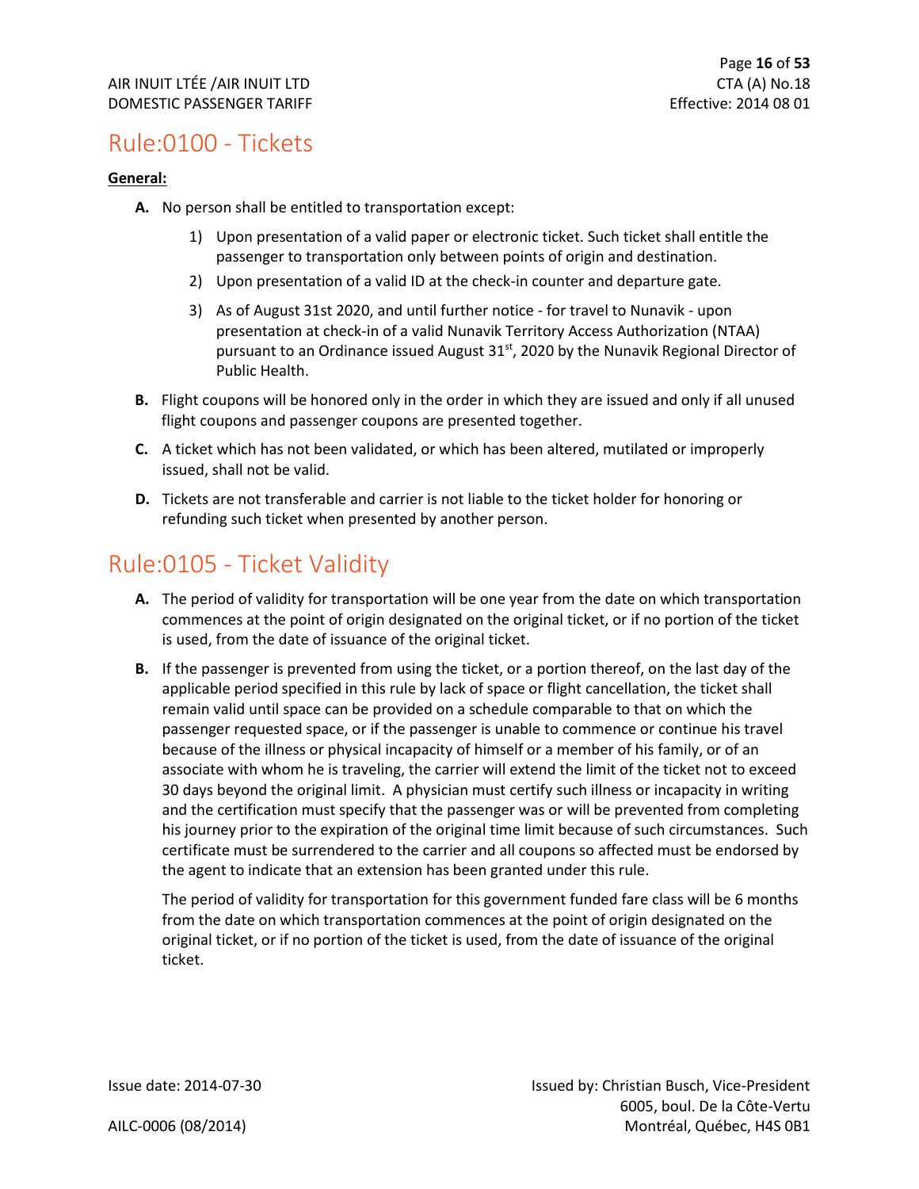### <span id="page-16-0"></span>Rule:0100 - Tickets

#### **General:**

- **A.** No person shall be entitled to transportation except:
	- 1) Upon presentation of a valid paper or electronic ticket. Such ticket shall entitle the passenger to transportation only between points of origin and destination.
	- 2) Upon presentation of a valid ID at the check-in counter and departure gate.
	- 3) As of August 31st 2020, and until further notice for travel to Nunavik upon presentation at check-in of a valid Nunavik Territory Access Authorization (NTAA) pursuant to an Ordinance issued August 31<sup>st</sup>, 2020 by the Nunavik Regional Director of Public Health.
- **B.** Flight coupons will be honored only in the order in which they are issued and only if all unused flight coupons and passenger coupons are presented together.
- **C.** A ticket which has not been validated, or which has been altered, mutilated or improperly issued, shall not be valid.
- **D.** Tickets are not transferable and carrier is not liable to the ticket holder for honoring or refunding such ticket when presented by another person.

### <span id="page-16-1"></span>Rule:0105 - Ticket Validity

- **A.** The period of validity for transportation will be one year from the date on which transportation commences at the point of origin designated on the original ticket, or if no portion of the ticket is used, from the date of issuance of the original ticket.
- **B.** If the passenger is prevented from using the ticket, or a portion thereof, on the last day of the applicable period specified in this rule by lack of space or flight cancellation, the ticket shall remain valid until space can be provided on a schedule comparable to that on which the passenger requested space, or if the passenger is unable to commence or continue his travel because of the illness or physical incapacity of himself or a member of his family, or of an associate with whom he is traveling, the carrier will extend the limit of the ticket not to exceed 30 days beyond the original limit. A physician must certify such illness or incapacity in writing and the certification must specify that the passenger was or will be prevented from completing his journey prior to the expiration of the original time limit because of such circumstances. Such certificate must be surrendered to the carrier and all coupons so affected must be endorsed by the agent to indicate that an extension has been granted under this rule.

The period of validity for transportation for this government funded fare class will be 6 months from the date on which transportation commences at the point of origin designated on the original ticket, or if no portion of the ticket is used, from the date of issuance of the original ticket.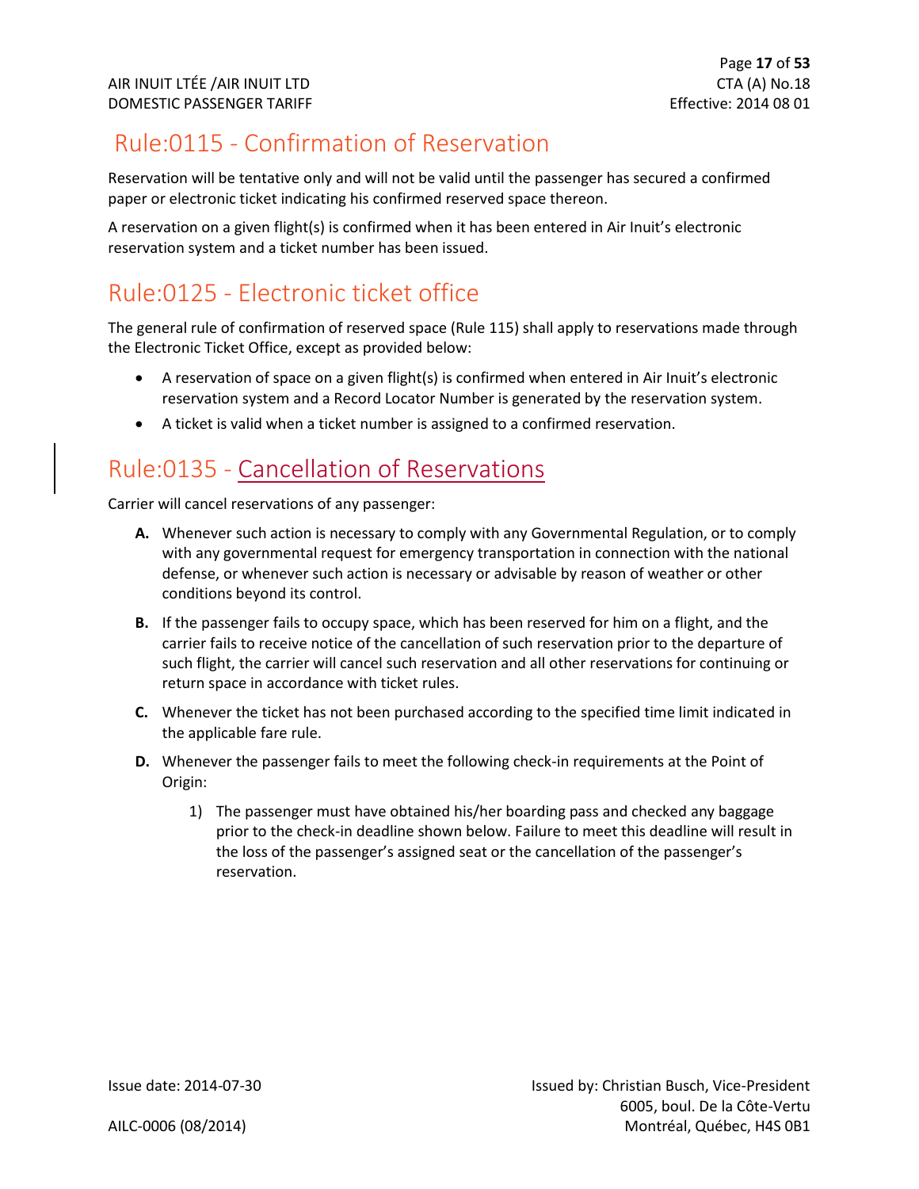### <span id="page-17-0"></span>Rule:0115 - Confirmation of Reservation

Reservation will be tentative only and will not be valid until the passenger has secured a confirmed paper or electronic ticket indicating his confirmed reserved space thereon.

A reservation on a given flight(s) is confirmed when it has been entered in Air Inuit's electronic reservation system and a ticket number has been issued.

### <span id="page-17-1"></span>Rule:0125 - Electronic ticket office

The general rule of confirmation of reserved space (Rule 115) shall apply to reservations made through the Electronic Ticket Office, except as provided below:

- A reservation of space on a given flight(s) is confirmed when entered in Air Inuit's electronic reservation system and a Record Locator Number is generated by the reservation system.
- A ticket is valid when a ticket number is assigned to a confirmed reservation.

### <span id="page-17-2"></span>Rule:0135 - Cancellation of Reservations

Carrier will cancel reservations of any passenger:

- **A.** Whenever such action is necessary to comply with any Governmental Regulation, or to comply with any governmental request for emergency transportation in connection with the national defense, or whenever such action is necessary or advisable by reason of weather or other conditions beyond its control.
- **B.** If the passenger fails to occupy space, which has been reserved for him on a flight, and the carrier fails to receive notice of the cancellation of such reservation prior to the departure of such flight, the carrier will cancel such reservation and all other reservations for continuing or return space in accordance with ticket rules.
- **C.** Whenever the ticket has not been purchased according to the specified time limit indicated in the applicable fare rule.
- **D.** Whenever the passenger fails to meet the following check-in requirements at the Point of Origin:
	- 1) The passenger must have obtained his/her boarding pass and checked any baggage prior to the check-in deadline shown below. Failure to meet this deadline will result in the loss of the passenger's assigned seat or the cancellation of the passenger's reservation.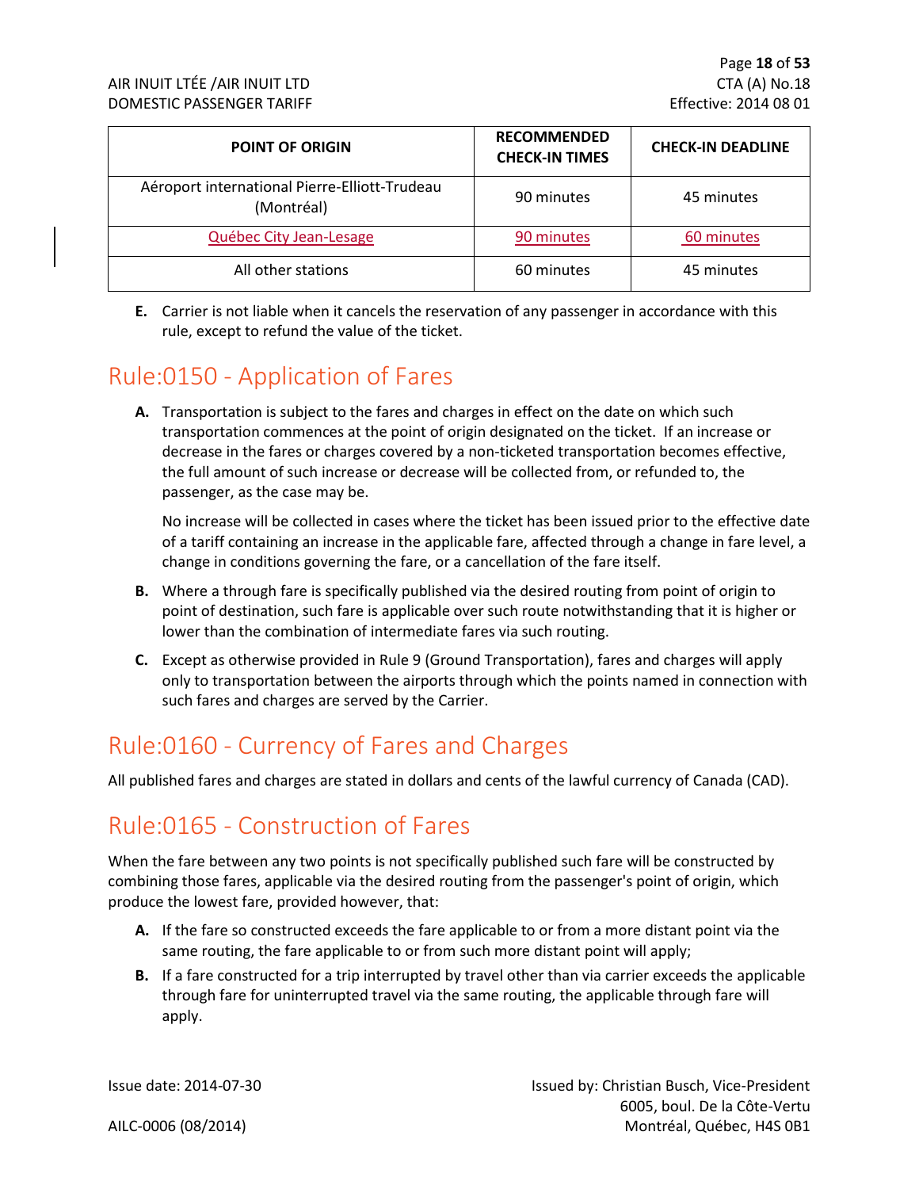| <b>POINT OF ORIGIN</b>                                      | <b>RECOMMENDED</b><br><b>CHECK-IN TIMES</b> | <b>CHECK-IN DEADLINE</b> |
|-------------------------------------------------------------|---------------------------------------------|--------------------------|
| Aéroport international Pierre-Elliott-Trudeau<br>(Montréal) | 90 minutes                                  | 45 minutes               |
| Québec City Jean-Lesage                                     | 90 minutes                                  | 60 minutes               |
| All other stations                                          | 60 minutes                                  | 45 minutes               |

**E.** Carrier is not liable when it cancels the reservation of any passenger in accordance with this rule, except to refund the value of the ticket.

### <span id="page-18-0"></span>Rule:0150 - Application of Fares

**A.** Transportation is subject to the fares and charges in effect on the date on which such transportation commences at the point of origin designated on the ticket. If an increase or decrease in the fares or charges covered by a non-ticketed transportation becomes effective, the full amount of such increase or decrease will be collected from, or refunded to, the passenger, as the case may be.

No increase will be collected in cases where the ticket has been issued prior to the effective date of a tariff containing an increase in the applicable fare, affected through a change in fare level, a change in conditions governing the fare, or a cancellation of the fare itself.

- **B.** Where a through fare is specifically published via the desired routing from point of origin to point of destination, such fare is applicable over such route notwithstanding that it is higher or lower than the combination of intermediate fares via such routing.
- **C.** Except as otherwise provided in Rule 9 (Ground Transportation), fares and charges will apply only to transportation between the airports through which the points named in connection with such fares and charges are served by the Carrier.

### <span id="page-18-1"></span>Rule:0160 - Currency of Fares and Charges

All published fares and charges are stated in dollars and cents of the lawful currency of Canada (CAD).

### <span id="page-18-2"></span>Rule:0165 - Construction of Fares

When the fare between any two points is not specifically published such fare will be constructed by combining those fares, applicable via the desired routing from the passenger's point of origin, which produce the lowest fare, provided however, that:

- **A.** If the fare so constructed exceeds the fare applicable to or from a more distant point via the same routing, the fare applicable to or from such more distant point will apply;
- **B.** If a fare constructed for a trip interrupted by travel other than via carrier exceeds the applicable through fare for uninterrupted travel via the same routing, the applicable through fare will apply.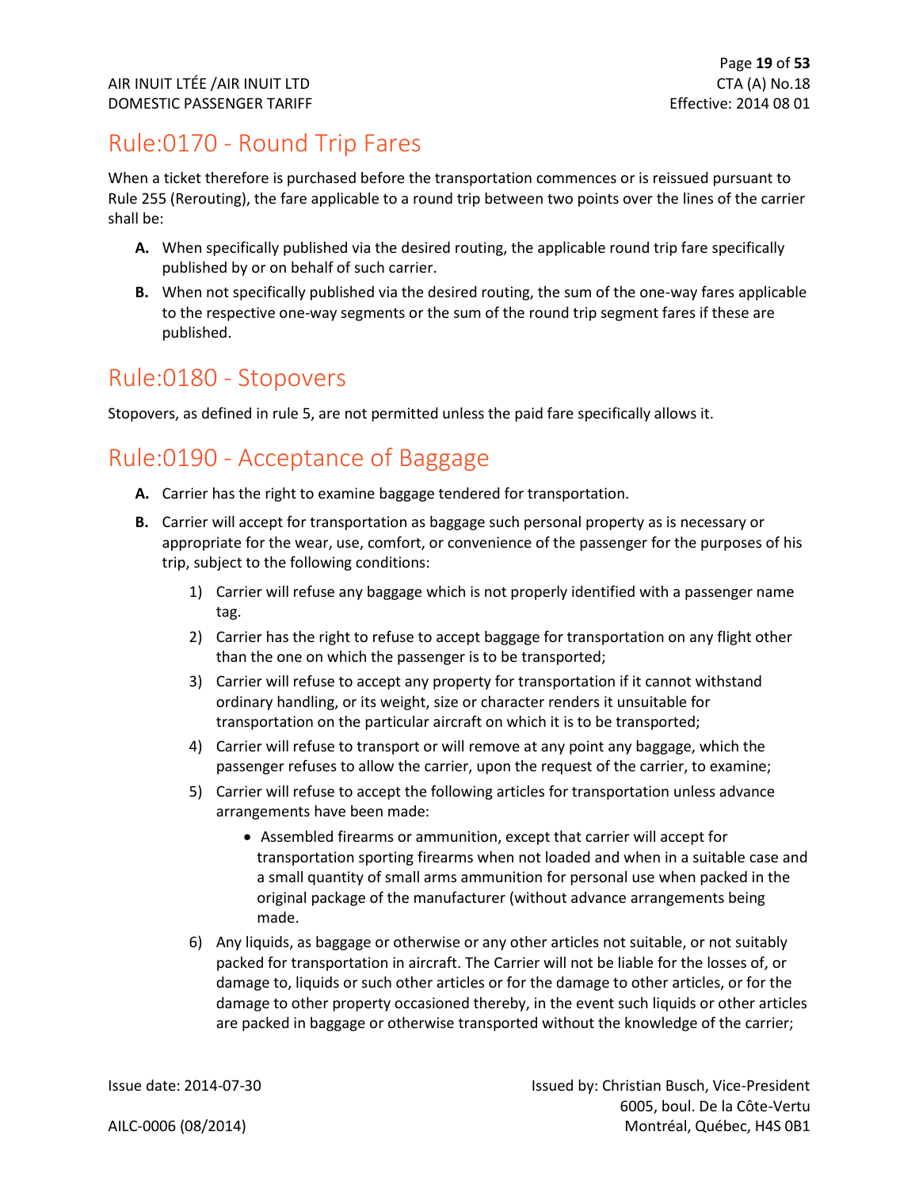### <span id="page-19-0"></span>Rule:0170 - Round Trip Fares

When a ticket therefore is purchased before the transportation commences or is reissued pursuant to Rule 255 (Rerouting), the fare applicable to a round trip between two points over the lines of the carrier shall be:

- **A.** When specifically published via the desired routing, the applicable round trip fare specifically published by or on behalf of such carrier.
- **B.** When not specifically published via the desired routing, the sum of the one-way fares applicable to the respective one-way segments or the sum of the round trip segment fares if these are published.

### <span id="page-19-1"></span>Rule:0180 - Stopovers

Stopovers, as defined in rule 5, are not permitted unless the paid fare specifically allows it.

### <span id="page-19-2"></span>Rule:0190 - Acceptance of Baggage

- **A.** Carrier has the right to examine baggage tendered for transportation.
- **B.** Carrier will accept for transportation as baggage such personal property as is necessary or appropriate for the wear, use, comfort, or convenience of the passenger for the purposes of his trip, subject to the following conditions:
	- 1) Carrier will refuse any baggage which is not properly identified with a passenger name tag.
	- 2) Carrier has the right to refuse to accept baggage for transportation on any flight other than the one on which the passenger is to be transported;
	- 3) Carrier will refuse to accept any property for transportation if it cannot withstand ordinary handling, or its weight, size or character renders it unsuitable for transportation on the particular aircraft on which it is to be transported;
	- 4) Carrier will refuse to transport or will remove at any point any baggage, which the passenger refuses to allow the carrier, upon the request of the carrier, to examine;
	- 5) Carrier will refuse to accept the following articles for transportation unless advance arrangements have been made:
		- Assembled firearms or ammunition, except that carrier will accept for transportation sporting firearms when not loaded and when in a suitable case and a small quantity of small arms ammunition for personal use when packed in the original package of the manufacturer (without advance arrangements being made.
	- 6) Any liquids, as baggage or otherwise or any other articles not suitable, or not suitably packed for transportation in aircraft. The Carrier will not be liable for the losses of, or damage to, liquids or such other articles or for the damage to other articles, or for the damage to other property occasioned thereby, in the event such liquids or other articles are packed in baggage or otherwise transported without the knowledge of the carrier;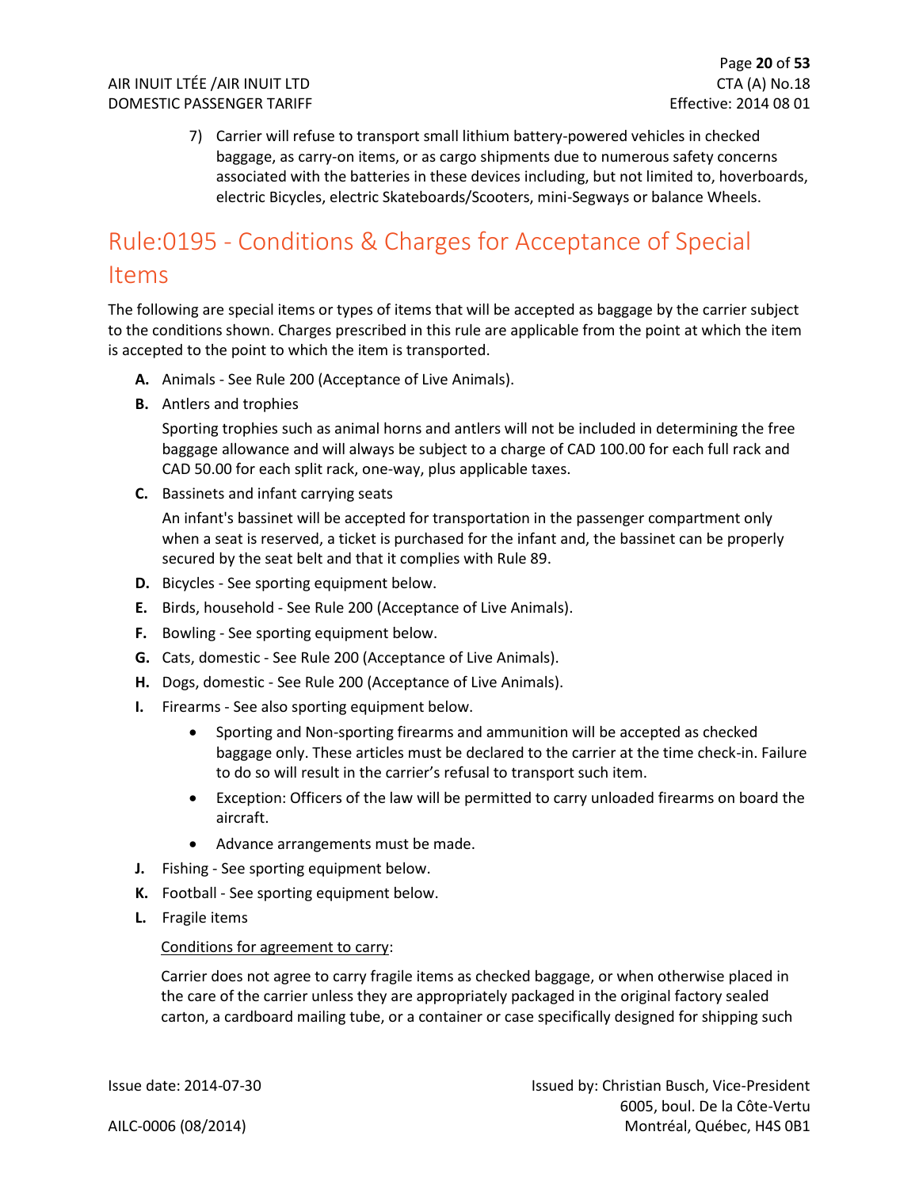7) Carrier will refuse to transport small lithium battery-powered vehicles in checked baggage, as carry-on items, or as cargo shipments due to numerous safety concerns associated with the batteries in these devices including, but not limited to, hoverboards, electric Bicycles, electric Skateboards/Scooters, mini-Segways or balance Wheels.

### <span id="page-20-0"></span>Rule:0195 - Conditions & Charges for Acceptance of Special Items

The following are special items or types of items that will be accepted as baggage by the carrier subject to the conditions shown. Charges prescribed in this rule are applicable from the point at which the item is accepted to the point to which the item is transported.

- **A.** Animals See Rule 200 (Acceptance of Live Animals).
- **B.** Antlers and trophies

Sporting trophies such as animal horns and antlers will not be included in determining the free baggage allowance and will always be subject to a charge of CAD 100.00 for each full rack and CAD 50.00 for each split rack, one-way, plus applicable taxes.

**C.** Bassinets and infant carrying seats

An infant's bassinet will be accepted for transportation in the passenger compartment only when a seat is reserved, a ticket is purchased for the infant and, the bassinet can be properly secured by the seat belt and that it complies with Rule 89.

- **D.** Bicycles See sporting equipment below.
- **E.** Birds, household See Rule 200 (Acceptance of Live Animals).
- **F.** Bowling See sporting equipment below.
- **G.** Cats, domestic See Rule 200 (Acceptance of Live Animals).
- **H.** Dogs, domestic See Rule 200 (Acceptance of Live Animals).
- **I.** Firearms See also sporting equipment below.
	- Sporting and Non-sporting firearms and ammunition will be accepted as checked baggage only. These articles must be declared to the carrier at the time check-in. Failure to do so will result in the carrier's refusal to transport such item.
	- Exception: Officers of the law will be permitted to carry unloaded firearms on board the aircraft.
	- Advance arrangements must be made.
- **J.** Fishing See sporting equipment below.
- **K.** Football See sporting equipment below.
- **L.** Fragile items

#### Conditions for agreement to carry:

Carrier does not agree to carry fragile items as checked baggage, or when otherwise placed in the care of the carrier unless they are appropriately packaged in the original factory sealed carton, a cardboard mailing tube, or a container or case specifically designed for shipping such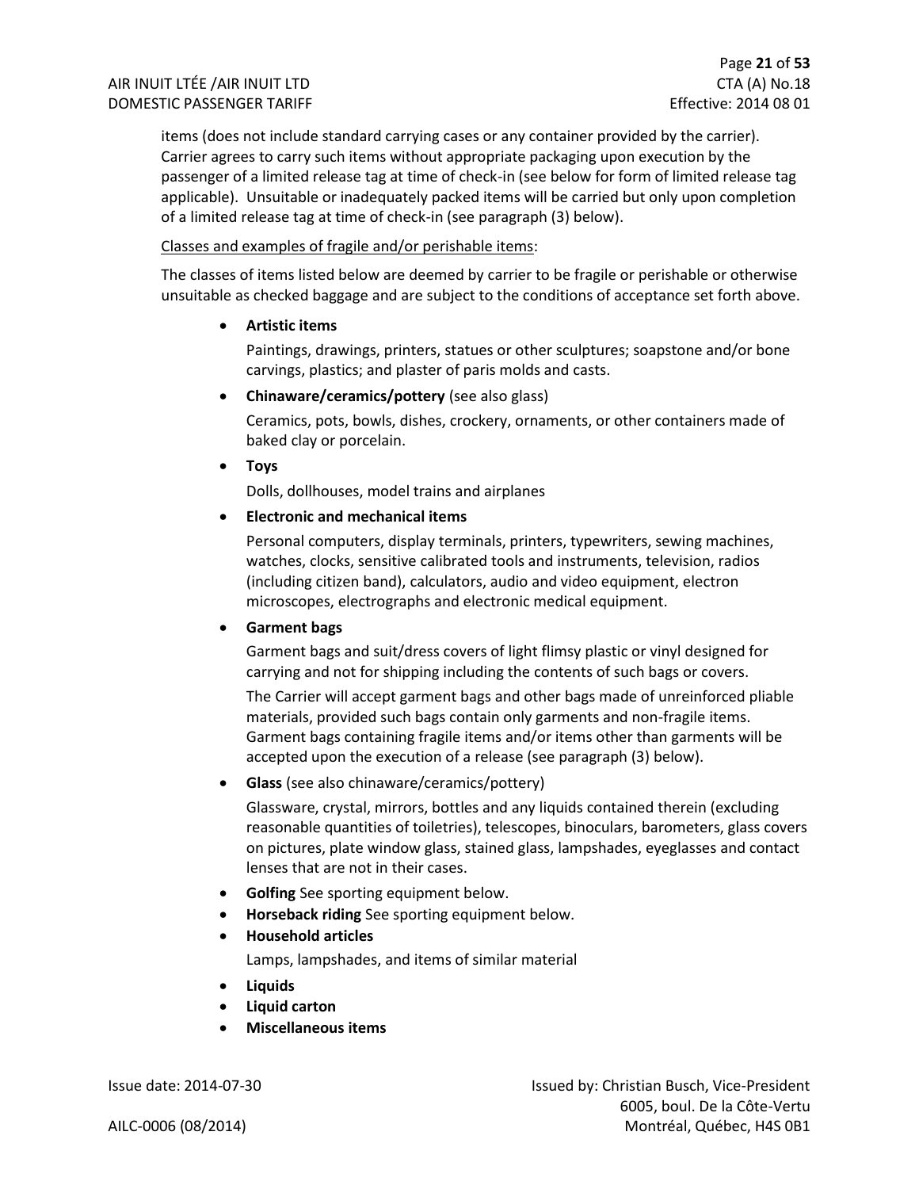items (does not include standard carrying cases or any container provided by the carrier). Carrier agrees to carry such items without appropriate packaging upon execution by the passenger of a limited release tag at time of check-in (see below for form of limited release tag applicable). Unsuitable or inadequately packed items will be carried but only upon completion of a limited release tag at time of check-in (see paragraph (3) below).

#### Classes and examples of fragile and/or perishable items:

The classes of items listed below are deemed by carrier to be fragile or perishable or otherwise unsuitable as checked baggage and are subject to the conditions of acceptance set forth above.

• **Artistic items**

Paintings, drawings, printers, statues or other sculptures; soapstone and/or bone carvings, plastics; and plaster of paris molds and casts.

• **Chinaware/ceramics/pottery** (see also glass)

Ceramics, pots, bowls, dishes, crockery, ornaments, or other containers made of baked clay or porcelain.

• **Toys**

Dolls, dollhouses, model trains and airplanes

#### • **Electronic and mechanical items**

Personal computers, display terminals, printers, typewriters, sewing machines, watches, clocks, sensitive calibrated tools and instruments, television, radios (including citizen band), calculators, audio and video equipment, electron microscopes, electrographs and electronic medical equipment.

#### • **Garment bags**

Garment bags and suit/dress covers of light flimsy plastic or vinyl designed for carrying and not for shipping including the contents of such bags or covers.

The Carrier will accept garment bags and other bags made of unreinforced pliable materials, provided such bags contain only garments and non-fragile items. Garment bags containing fragile items and/or items other than garments will be accepted upon the execution of a release (see paragraph (3) below).

• **Glass** (see also chinaware/ceramics/pottery)

Glassware, crystal, mirrors, bottles and any liquids contained therein (excluding reasonable quantities of toiletries), telescopes, binoculars, barometers, glass covers on pictures, plate window glass, stained glass, lampshades, eyeglasses and contact lenses that are not in their cases.

- **Golfing** See sporting equipment below.
- **Horseback riding** See sporting equipment below.
- **Household articles**

Lamps, lampshades, and items of similar material

- **Liquids**
- **Liquid carton**
- **Miscellaneous items**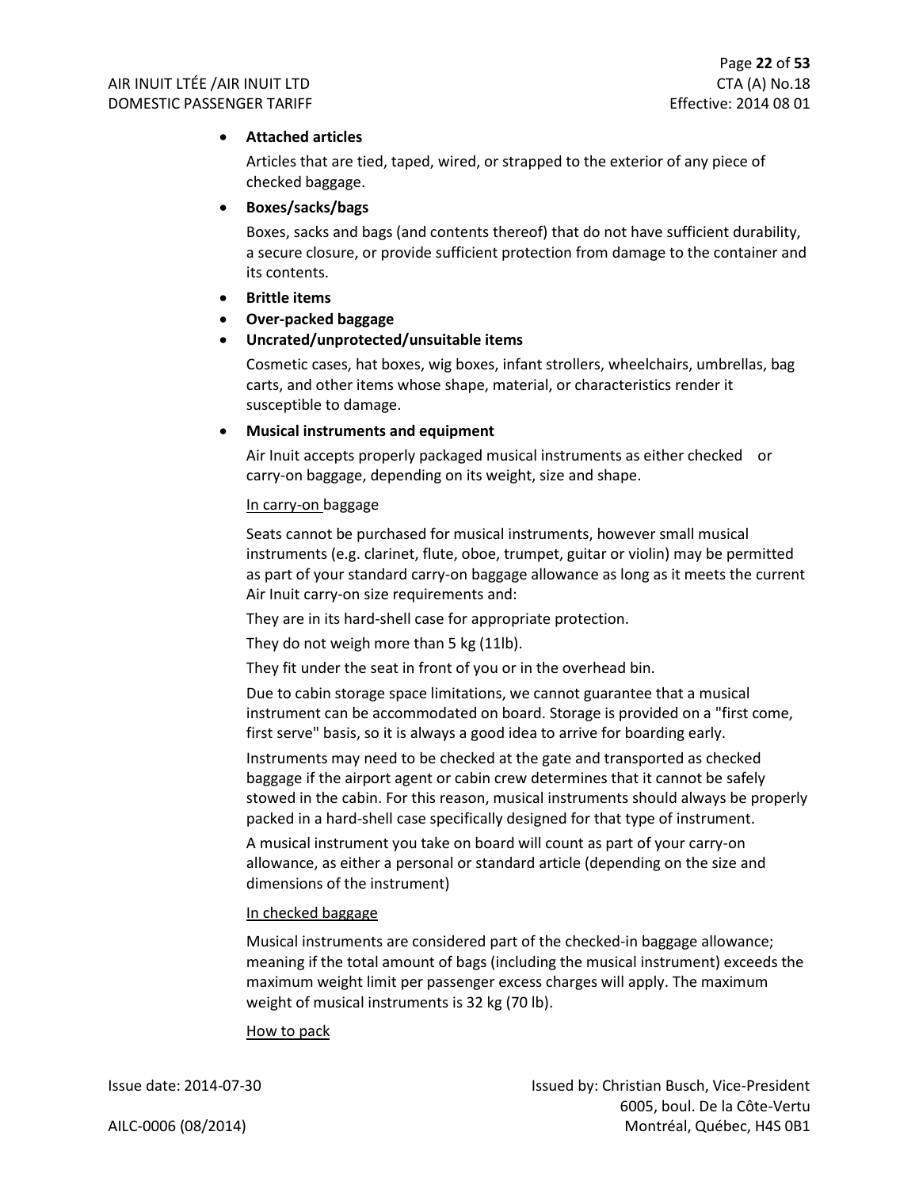#### • **Attached articles**

Articles that are tied, taped, wired, or strapped to the exterior of any piece of checked baggage.

#### • **Boxes/sacks/bags**

Boxes, sacks and bags (and contents thereof) that do not have sufficient durability, a secure closure, or provide sufficient protection from damage to the container and its contents.

- **Brittle items**
- **Over-packed baggage**

#### • **Uncrated/unprotected/unsuitable items**

Cosmetic cases, hat boxes, wig boxes, infant strollers, wheelchairs, umbrellas, bag carts, and other items whose shape, material, or characteristics render it susceptible to damage.

#### • **Musical instruments and equipment**

Air Inuit accepts properly packaged musical instruments as either checked or carry-on baggage, depending on its weight, size and shape.

#### In carry-on baggage

Seats cannot be purchased for musical instruments, however small musical instruments (e.g. clarinet, flute, oboe, trumpet, guitar or violin) may be permitted as part of your standard carry-on baggage allowance as long as it meets the current Air Inuit carry-on size requirements and:

They are in its hard-shell case for appropriate protection.

They do not weigh more than 5 kg (11lb).

They fit under the seat in front of you or in the overhead bin.

Due to cabin storage space limitations, we cannot guarantee that a musical instrument can be accommodated on board. Storage is provided on a "first come, first serve" basis, so it is always a good idea to arrive for boarding early.

Instruments may need to be checked at the gate and transported as checked baggage if the airport agent or cabin crew determines that it cannot be safely stowed in the cabin. For this reason, musical instruments should always be properly packed in a hard-shell case specifically designed for that type of instrument.

A musical instrument you take on board will count as part of your carry-on allowance, as either a personal or standard article (depending on the size and dimensions of the instrument)

#### In checked baggage

Musical instruments are considered part of the checked-in baggage allowance; meaning if the total amount of bags (including the musical instrument) exceeds the maximum weight limit per passenger excess charges will apply. The maximum weight of musical instruments is 32 kg (70 lb).

#### How to pack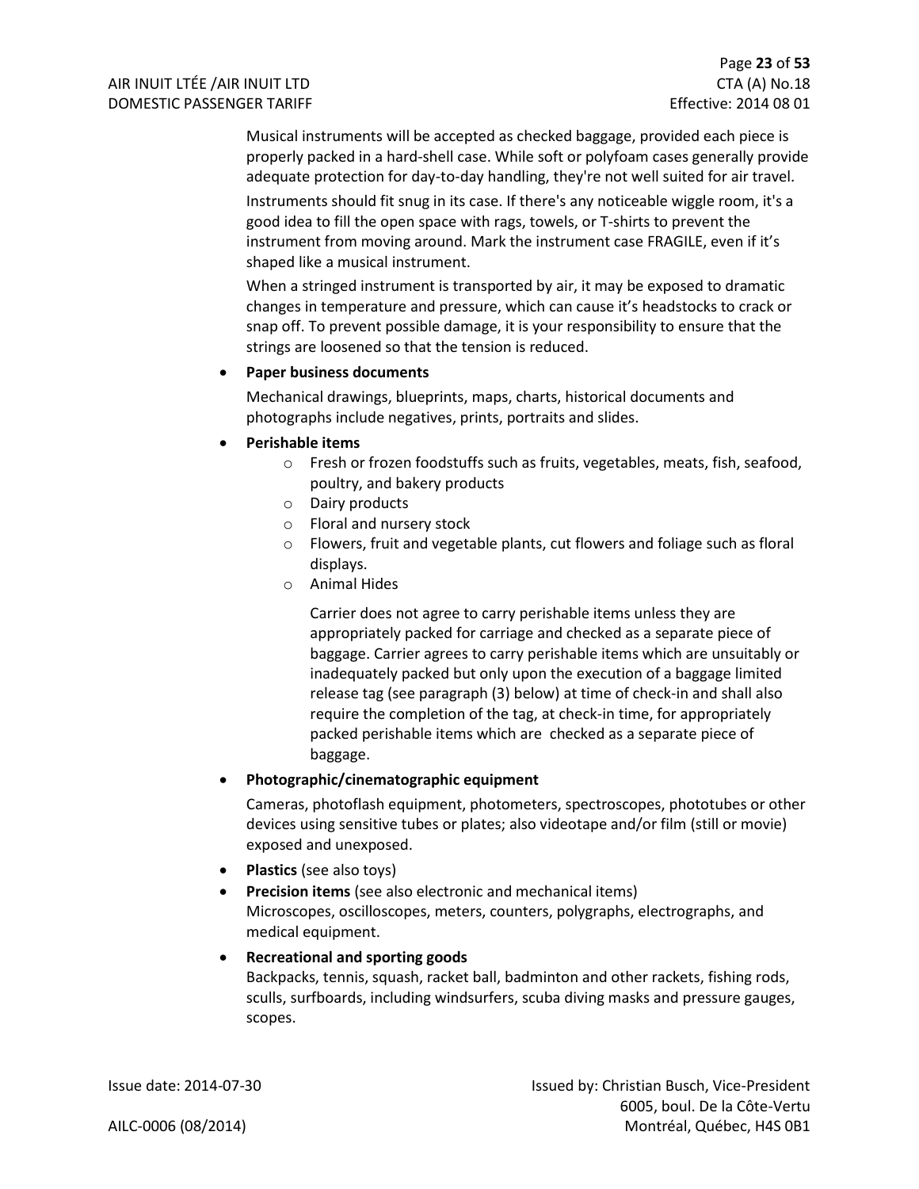Musical instruments will be accepted as checked baggage, provided each piece is properly packed in a hard-shell case. While soft or polyfoam cases generally provide adequate protection for day-to-day handling, they're not well suited for air travel.

Instruments should fit snug in its case. If there's any noticeable wiggle room, it's a good idea to fill the open space with rags, towels, or T-shirts to prevent the instrument from moving around. Mark the instrument case FRAGILE, even if it's shaped like a musical instrument.

When a stringed instrument is transported by air, it may be exposed to dramatic changes in temperature and pressure, which can cause it's headstocks to crack or snap off. To prevent possible damage, it is your responsibility to ensure that the strings are loosened so that the tension is reduced.

#### • **Paper business documents**

Mechanical drawings, blueprints, maps, charts, historical documents and photographs include negatives, prints, portraits and slides.

#### • **Perishable items**

- o Fresh or frozen foodstuffs such as fruits, vegetables, meats, fish, seafood, poultry, and bakery products
- o Dairy products
- o Floral and nursery stock
- o Flowers, fruit and vegetable plants, cut flowers and foliage such as floral displays.
- o Animal Hides

Carrier does not agree to carry perishable items unless they are appropriately packed for carriage and checked as a separate piece of baggage. Carrier agrees to carry perishable items which are unsuitably or inadequately packed but only upon the execution of a baggage limited release tag (see paragraph (3) below) at time of check-in and shall also require the completion of the tag, at check-in time, for appropriately packed perishable items which are checked as a separate piece of baggage.

#### • **Photographic/cinematographic equipment**

Cameras, photoflash equipment, photometers, spectroscopes, phototubes or other devices using sensitive tubes or plates; also videotape and/or film (still or movie) exposed and unexposed.

- **Plastics** (see also toys)
- **Precision items** (see also electronic and mechanical items) Microscopes, oscilloscopes, meters, counters, polygraphs, electrographs, and medical equipment.

#### • **Recreational and sporting goods**

Backpacks, tennis, squash, racket ball, badminton and other rackets, fishing rods, sculls, surfboards, including windsurfers, scuba diving masks and pressure gauges, scopes.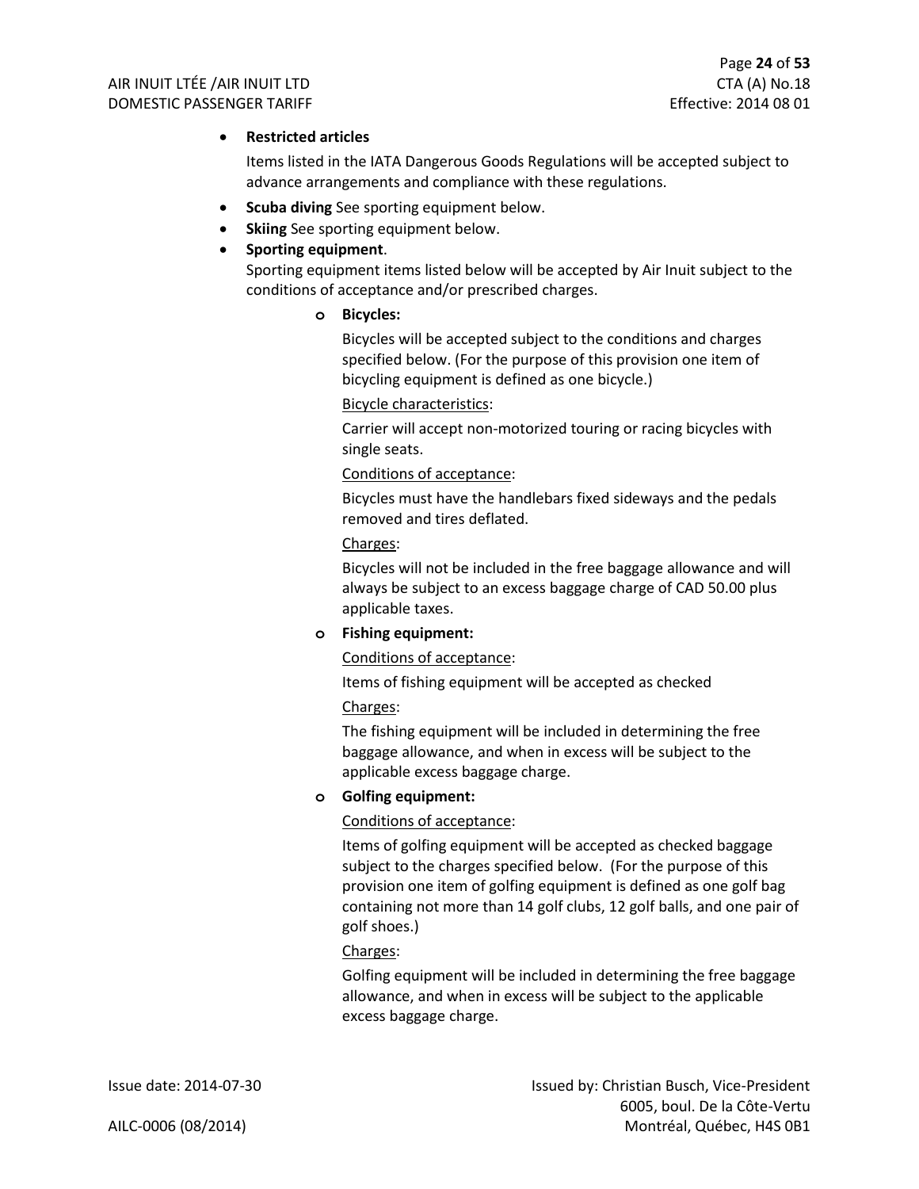#### • **Restricted articles**

Items listed in the IATA Dangerous Goods Regulations will be accepted subject to advance arrangements and compliance with these regulations.

- **Scuba diving** See sporting equipment below.
- **Skiing** See sporting equipment below.

#### • **Sporting equipment**.

Sporting equipment items listed below will be accepted by Air Inuit subject to the conditions of acceptance and/or prescribed charges.

#### **o Bicycles:**

Bicycles will be accepted subject to the conditions and charges specified below. (For the purpose of this provision one item of bicycling equipment is defined as one bicycle.)

#### Bicycle characteristics:

Carrier will accept non-motorized touring or racing bicycles with single seats.

Conditions of acceptance:

Bicycles must have the handlebars fixed sideways and the pedals removed and tires deflated.

#### Charges:

Bicycles will not be included in the free baggage allowance and will always be subject to an excess baggage charge of CAD 50.00 plus applicable taxes.

#### **o Fishing equipment:**

#### Conditions of acceptance:

Items of fishing equipment will be accepted as checked

#### Charges:

The fishing equipment will be included in determining the free baggage allowance, and when in excess will be subject to the applicable excess baggage charge.

#### **o Golfing equipment:**

#### Conditions of acceptance:

Items of golfing equipment will be accepted as checked baggage subject to the charges specified below. (For the purpose of this provision one item of golfing equipment is defined as one golf bag containing not more than 14 golf clubs, 12 golf balls, and one pair of golf shoes.)

#### Charges:

Golfing equipment will be included in determining the free baggage allowance, and when in excess will be subject to the applicable excess baggage charge.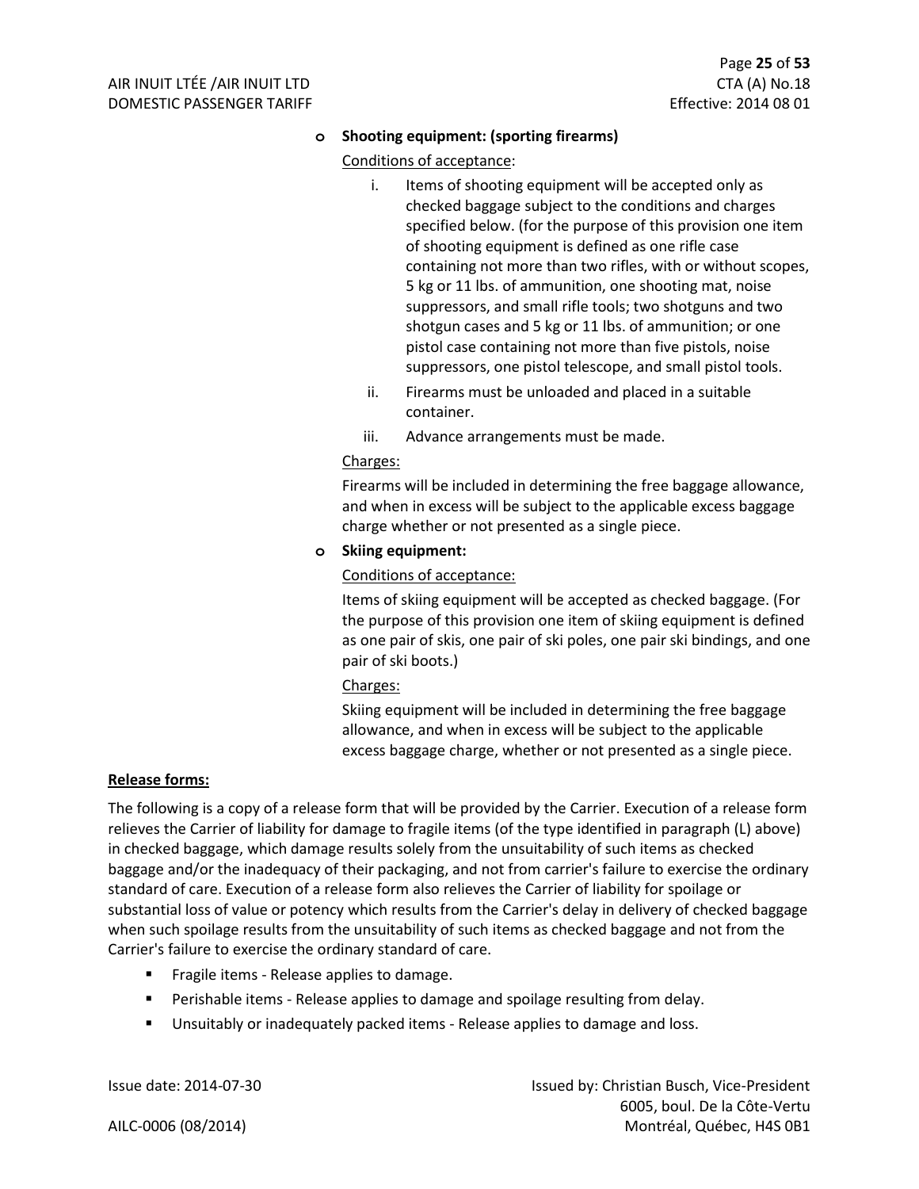#### **o Shooting equipment: (sporting firearms)**

#### Conditions of acceptance:

- i. Items of shooting equipment will be accepted only as checked baggage subject to the conditions and charges specified below. (for the purpose of this provision one item of shooting equipment is defined as one rifle case containing not more than two rifles, with or without scopes, 5 kg or 11 lbs. of ammunition, one shooting mat, noise suppressors, and small rifle tools; two shotguns and two shotgun cases and 5 kg or 11 lbs. of ammunition; or one pistol case containing not more than five pistols, noise suppressors, one pistol telescope, and small pistol tools.
- ii. Firearms must be unloaded and placed in a suitable container.
- iii. Advance arrangements must be made.

#### Charges:

Firearms will be included in determining the free baggage allowance, and when in excess will be subject to the applicable excess baggage charge whether or not presented as a single piece.

#### **o Skiing equipment:**

#### Conditions of acceptance:

Items of skiing equipment will be accepted as checked baggage. (For the purpose of this provision one item of skiing equipment is defined as one pair of skis, one pair of ski poles, one pair ski bindings, and one pair of ski boots.)

#### Charges:

Skiing equipment will be included in determining the free baggage allowance, and when in excess will be subject to the applicable excess baggage charge, whether or not presented as a single piece.

#### **Release forms:**

The following is a copy of a release form that will be provided by the Carrier. Execution of a release form relieves the Carrier of liability for damage to fragile items (of the type identified in paragraph (L) above) in checked baggage, which damage results solely from the unsuitability of such items as checked baggage and/or the inadequacy of their packaging, and not from carrier's failure to exercise the ordinary standard of care. Execution of a release form also relieves the Carrier of liability for spoilage or substantial loss of value or potency which results from the Carrier's delay in delivery of checked baggage when such spoilage results from the unsuitability of such items as checked baggage and not from the Carrier's failure to exercise the ordinary standard of care.

- Fragile items Release applies to damage.
- Perishable items Release applies to damage and spoilage resulting from delay.
- Unsuitably or inadequately packed items Release applies to damage and loss.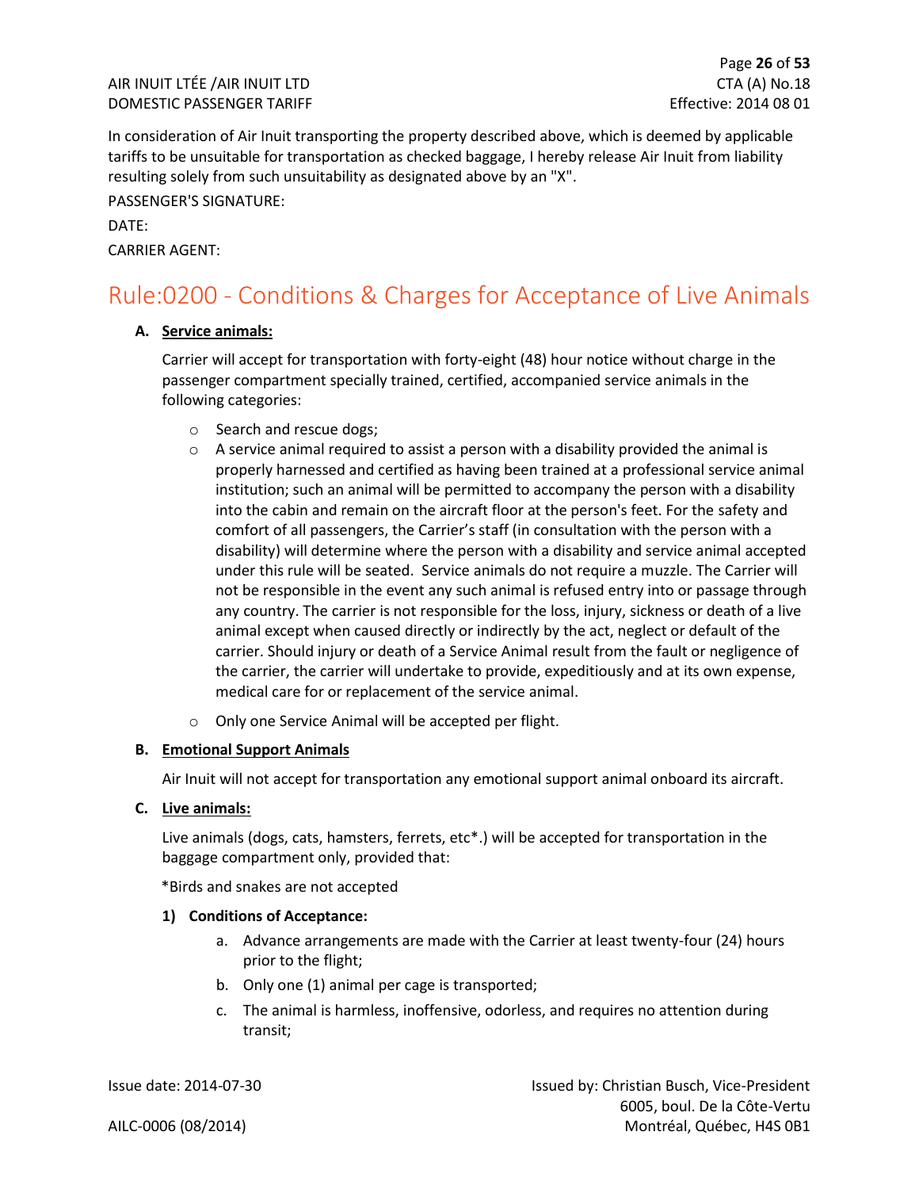In consideration of Air Inuit transporting the property described above, which is deemed by applicable tariffs to be unsuitable for transportation as checked baggage, I hereby release Air Inuit from liability resulting solely from such unsuitability as designated above by an "X".

PASSENGER'S SIGNATURE:

#### DATE:

CARRIER AGENT:

### <span id="page-26-0"></span>Rule:0200 - Conditions & Charges for Acceptance of Live Animals

#### **A. Service animals:**

Carrier will accept for transportation with forty-eight (48) hour notice without charge in the passenger compartment specially trained, certified, accompanied service animals in the following categories:

- o Search and rescue dogs;
- $\circ$  A service animal required to assist a person with a disability provided the animal is properly harnessed and certified as having been trained at a professional service animal institution; such an animal will be permitted to accompany the person with a disability into the cabin and remain on the aircraft floor at the person's feet. For the safety and comfort of all passengers, the Carrier's staff (in consultation with the person with a disability) will determine where the person with a disability and service animal accepted under this rule will be seated. Service animals do not require a muzzle. The Carrier will not be responsible in the event any such animal is refused entry into or passage through any country. The carrier is not responsible for the loss, injury, sickness or death of a live animal except when caused directly or indirectly by the act, neglect or default of the carrier. Should injury or death of a Service Animal result from the fault or negligence of the carrier, the carrier will undertake to provide, expeditiously and at its own expense, medical care for or replacement of the service animal.
- o Only one Service Animal will be accepted per flight.

#### **B. Emotional Support Animals**

Air Inuit will not accept for transportation any emotional support animal onboard its aircraft.

**C. Live animals:**

Live animals (dogs, cats, hamsters, ferrets, etc\*.) will be accepted for transportation in the baggage compartment only, provided that:

\*Birds and snakes are not accepted

#### **1) Conditions of Acceptance:**

- a. Advance arrangements are made with the Carrier at least twenty-four (24) hours prior to the flight;
- b. Only one (1) animal per cage is transported;
- c. The animal is harmless, inoffensive, odorless, and requires no attention during transit;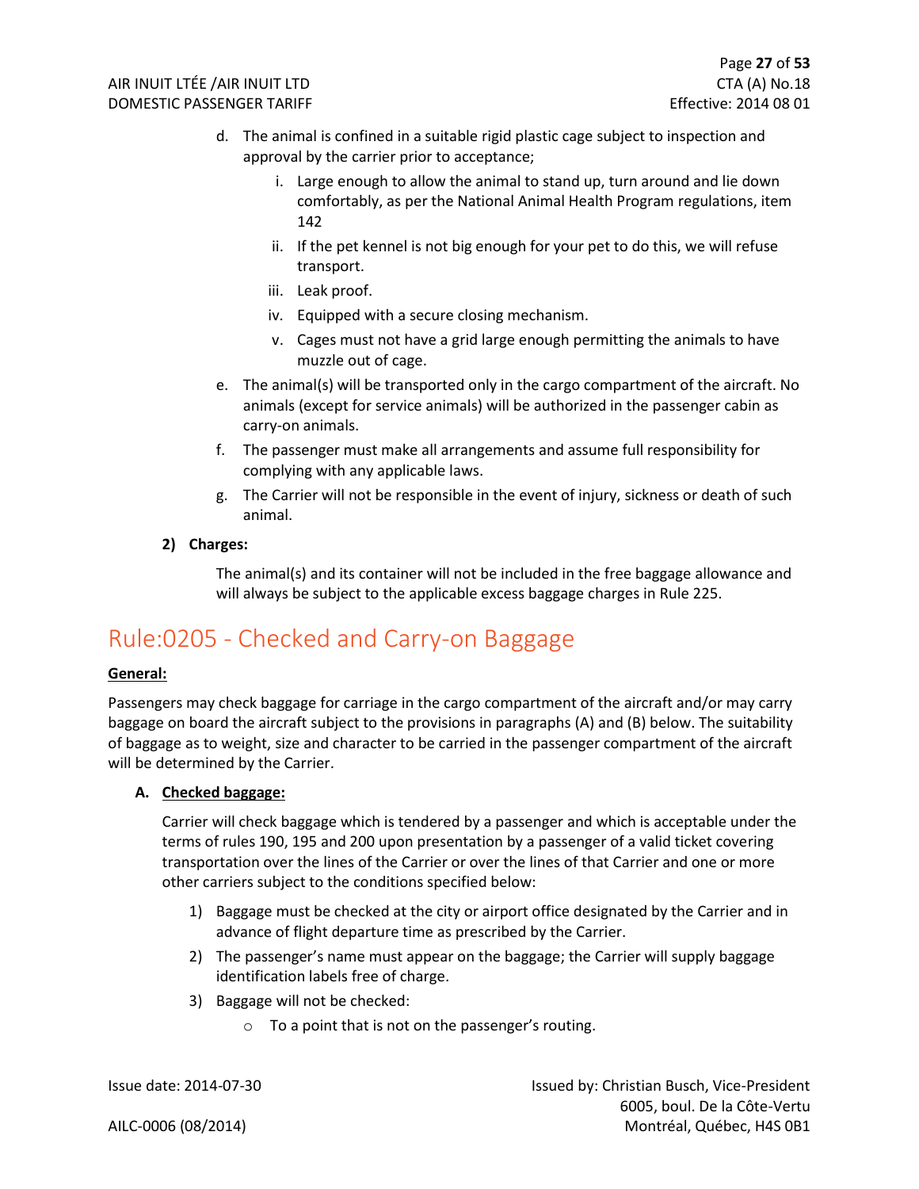- d. The animal is confined in a suitable rigid plastic cage subject to inspection and approval by the carrier prior to acceptance;
	- i. Large enough to allow the animal to stand up, turn around and lie down comfortably, as per the National Animal Health Program regulations, item 142
	- ii. If the pet kennel is not big enough for your pet to do this, we will refuse transport.
	- iii. Leak proof.
	- iv. Equipped with a secure closing mechanism.
	- v. Cages must not have a grid large enough permitting the animals to have muzzle out of cage.
- e. The animal(s) will be transported only in the cargo compartment of the aircraft. No animals (except for service animals) will be authorized in the passenger cabin as carry-on animals.
- f. The passenger must make all arrangements and assume full responsibility for complying with any applicable laws.
- g. The Carrier will not be responsible in the event of injury, sickness or death of such animal.

#### **2) Charges:**

The animal(s) and its container will not be included in the free baggage allowance and will always be subject to the applicable excess baggage charges in Rule 225.

### <span id="page-27-0"></span>Rule:0205 - Checked and Carry-on Baggage

#### **General:**

Passengers may check baggage for carriage in the cargo compartment of the aircraft and/or may carry baggage on board the aircraft subject to the provisions in paragraphs (A) and (B) below. The suitability of baggage as to weight, size and character to be carried in the passenger compartment of the aircraft will be determined by the Carrier.

#### **A. Checked baggage:**

Carrier will check baggage which is tendered by a passenger and which is acceptable under the terms of rules 190, 195 and 200 upon presentation by a passenger of a valid ticket covering transportation over the lines of the Carrier or over the lines of that Carrier and one or more other carriers subject to the conditions specified below:

- 1) Baggage must be checked at the city or airport office designated by the Carrier and in advance of flight departure time as prescribed by the Carrier.
- 2) The passenger's name must appear on the baggage; the Carrier will supply baggage identification labels free of charge.
- 3) Baggage will not be checked:
	- o To a point that is not on the passenger's routing.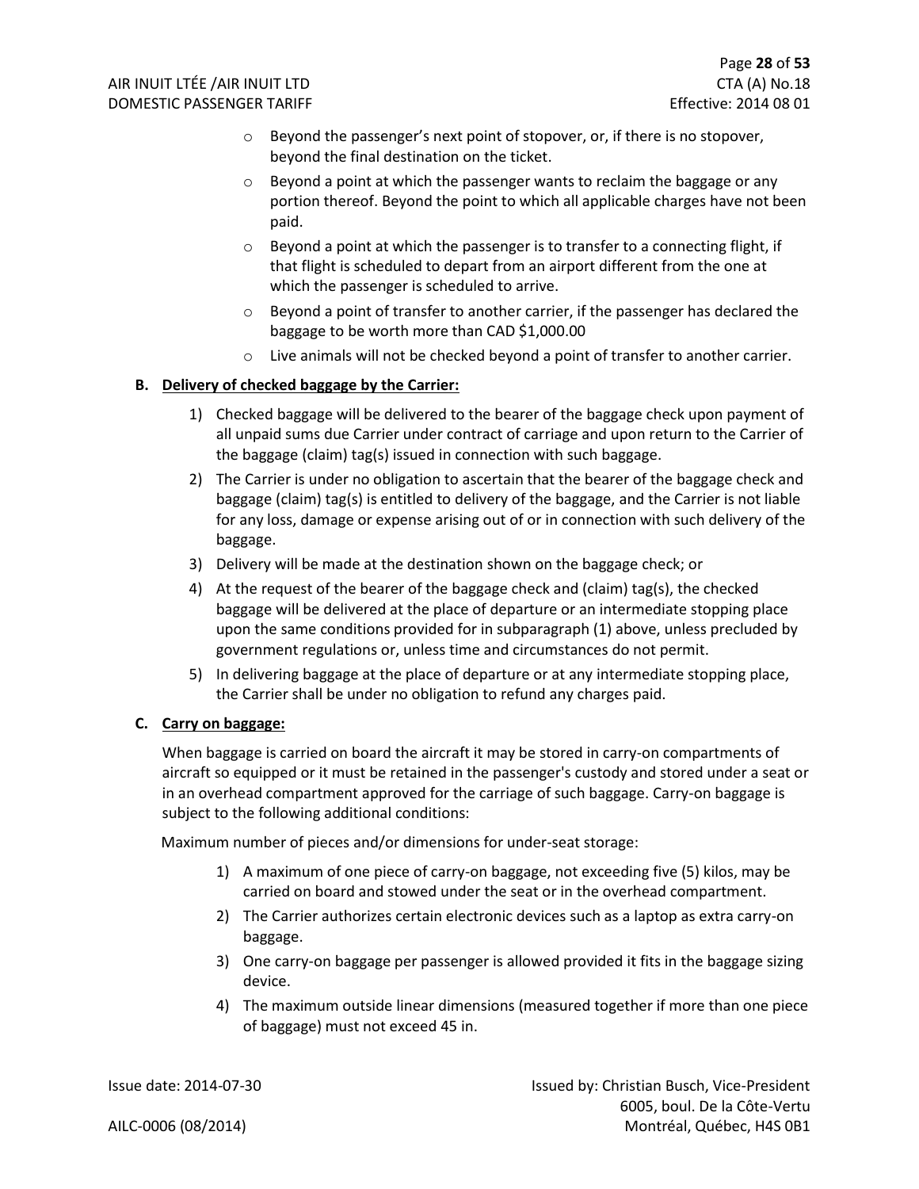- o Beyond the passenger's next point of stopover, or, if there is no stopover, beyond the final destination on the ticket.
- $\circ$  Beyond a point at which the passenger wants to reclaim the baggage or any portion thereof. Beyond the point to which all applicable charges have not been paid.
- o Beyond a point at which the passenger is to transfer to a connecting flight, if that flight is scheduled to depart from an airport different from the one at which the passenger is scheduled to arrive.
- $\circ$  Beyond a point of transfer to another carrier, if the passenger has declared the baggage to be worth more than CAD \$1,000.00
- $\circ$  Live animals will not be checked beyond a point of transfer to another carrier.

#### **B. Delivery of checked baggage by the Carrier:**

- 1) Checked baggage will be delivered to the bearer of the baggage check upon payment of all unpaid sums due Carrier under contract of carriage and upon return to the Carrier of the baggage (claim) tag(s) issued in connection with such baggage.
- 2) The Carrier is under no obligation to ascertain that the bearer of the baggage check and baggage (claim) tag(s) is entitled to delivery of the baggage, and the Carrier is not liable for any loss, damage or expense arising out of or in connection with such delivery of the baggage.
- 3) Delivery will be made at the destination shown on the baggage check; or
- 4) At the request of the bearer of the baggage check and (claim) tag(s), the checked baggage will be delivered at the place of departure or an intermediate stopping place upon the same conditions provided for in subparagraph (1) above, unless precluded by government regulations or, unless time and circumstances do not permit.
- 5) In delivering baggage at the place of departure or at any intermediate stopping place, the Carrier shall be under no obligation to refund any charges paid.

#### **C. Carry on baggage:**

When baggage is carried on board the aircraft it may be stored in carry-on compartments of aircraft so equipped or it must be retained in the passenger's custody and stored under a seat or in an overhead compartment approved for the carriage of such baggage. Carry-on baggage is subject to the following additional conditions:

Maximum number of pieces and/or dimensions for under-seat storage:

- 1) A maximum of one piece of carry-on baggage, not exceeding five (5) kilos, may be carried on board and stowed under the seat or in the overhead compartment.
- 2) The Carrier authorizes certain electronic devices such as a laptop as extra carry-on baggage.
- 3) One carry-on baggage per passenger is allowed provided it fits in the baggage sizing device.
- 4) The maximum outside linear dimensions (measured together if more than one piece of baggage) must not exceed 45 in.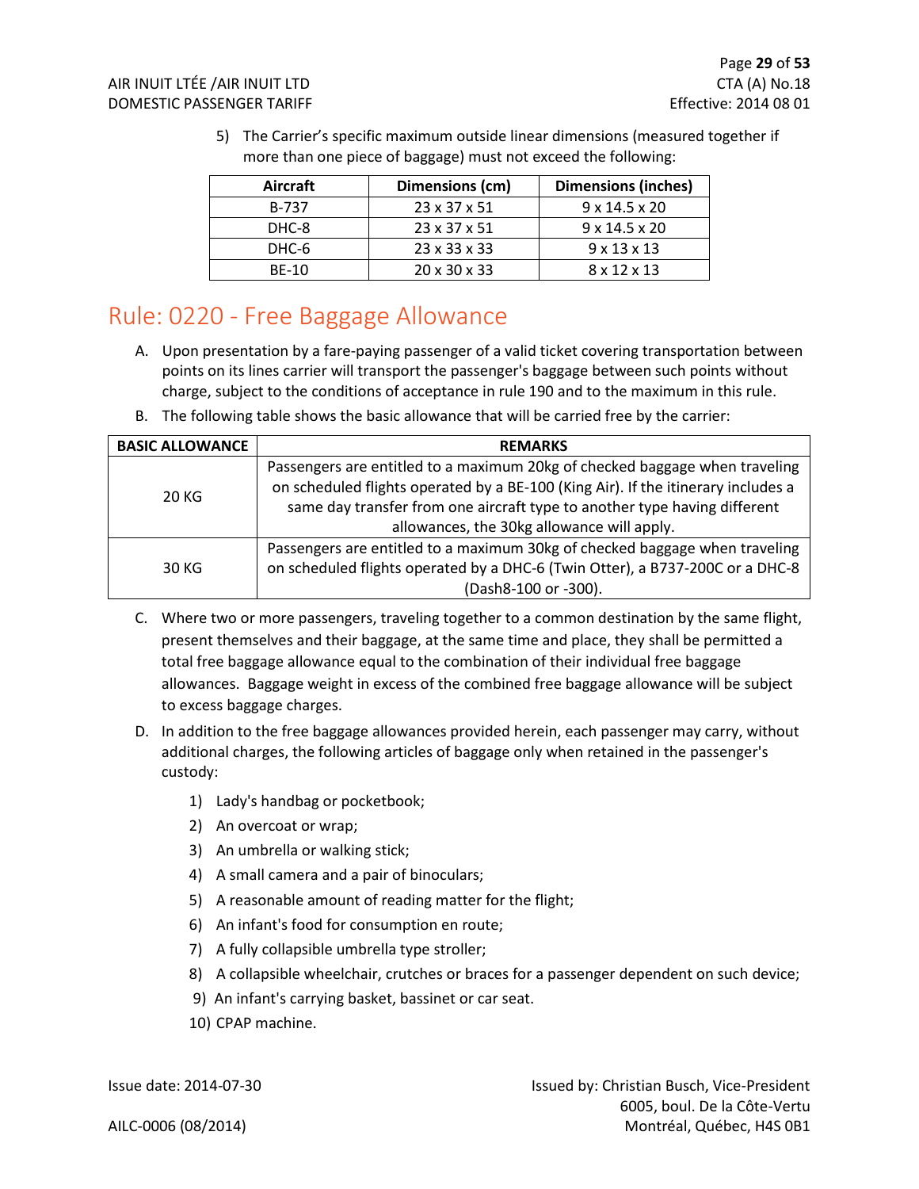| Aircraft     | Dimensions (cm)          | <b>Dimensions (inches)</b> |
|--------------|--------------------------|----------------------------|
| B-737        | $23 \times 37 \times 51$ | $9 \times 14.5 \times 20$  |
| DHC-8        | $23 \times 37 \times 51$ | $9 \times 14.5 \times 20$  |
| DHC-6        | $23 \times 33 \times 33$ | $9 \times 13 \times 13$    |
| <b>BE-10</b> | $20 \times 30 \times 33$ | 8 x 12 x 13                |

5) The Carrier's specific maximum outside linear dimensions (measured together if more than one piece of baggage) must not exceed the following:

### <span id="page-29-0"></span>Rule: 0220 - Free Baggage Allowance

- A. Upon presentation by a fare-paying passenger of a valid ticket covering transportation between points on its lines carrier will transport the passenger's baggage between such points without charge, subject to the conditions of acceptance in rule 190 and to the maximum in this rule.
- B. The following table shows the basic allowance that will be carried free by the carrier:

| <b>BASIC ALLOWANCE</b>                                                                                                                                                                                                                                 | <b>REMARKS</b>                                                                |
|--------------------------------------------------------------------------------------------------------------------------------------------------------------------------------------------------------------------------------------------------------|-------------------------------------------------------------------------------|
| Passengers are entitled to a maximum 20kg of checked baggage when traveling<br>on scheduled flights operated by a BE-100 (King Air). If the itinerary includes a<br>20 KG<br>same day transfer from one aircraft type to another type having different |                                                                               |
|                                                                                                                                                                                                                                                        | allowances, the 30kg allowance will apply.                                    |
|                                                                                                                                                                                                                                                        | Passengers are entitled to a maximum 30kg of checked baggage when traveling   |
| 30 KG                                                                                                                                                                                                                                                  | on scheduled flights operated by a DHC-6 (Twin Otter), a B737-200C or a DHC-8 |
|                                                                                                                                                                                                                                                        | (Dash8-100 or -300).                                                          |

- C. Where two or more passengers, traveling together to a common destination by the same flight, present themselves and their baggage, at the same time and place, they shall be permitted a total free baggage allowance equal to the combination of their individual free baggage allowances. Baggage weight in excess of the combined free baggage allowance will be subject to excess baggage charges.
- D. In addition to the free baggage allowances provided herein, each passenger may carry, without additional charges, the following articles of baggage only when retained in the passenger's custody:
	- 1) Lady's handbag or pocketbook;
	- 2) An overcoat or wrap;
	- 3) An umbrella or walking stick;
	- 4) A small camera and a pair of binoculars;
	- 5) A reasonable amount of reading matter for the flight;
	- 6) An infant's food for consumption en route;
	- 7) A fully collapsible umbrella type stroller;
	- 8) A collapsible wheelchair, crutches or braces for a passenger dependent on such device;
	- 9) An infant's carrying basket, bassinet or car seat.
	- 10) CPAP machine.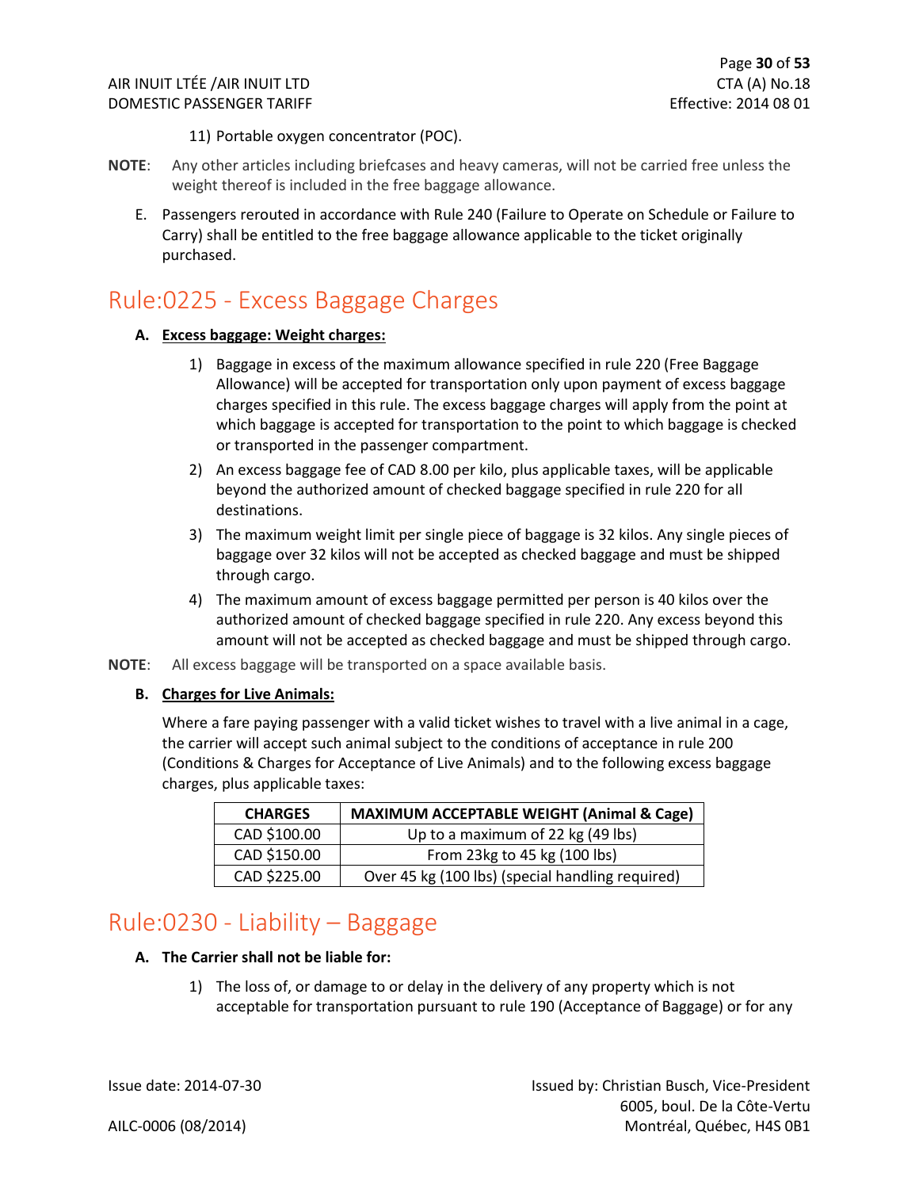11) Portable oxygen concentrator (POC).

- **NOTE**: Any other articles including briefcases and heavy cameras, will not be carried free unless the weight thereof is included in the free baggage allowance.
	- E. Passengers rerouted in accordance with Rule 240 (Failure to Operate on Schedule or Failure to Carry) shall be entitled to the free baggage allowance applicable to the ticket originally purchased.

### <span id="page-30-0"></span>Rule:0225 - Excess Baggage Charges

#### **A. Excess baggage: Weight charges:**

- 1) Baggage in excess of the maximum allowance specified in rule 220 (Free Baggage Allowance) will be accepted for transportation only upon payment of excess baggage charges specified in this rule. The excess baggage charges will apply from the point at which baggage is accepted for transportation to the point to which baggage is checked or transported in the passenger compartment.
- 2) An excess baggage fee of CAD 8.00 per kilo, plus applicable taxes, will be applicable beyond the authorized amount of checked baggage specified in rule 220 for all destinations.
- 3) The maximum weight limit per single piece of baggage is 32 kilos. Any single pieces of baggage over 32 kilos will not be accepted as checked baggage and must be shipped through cargo.
- 4) The maximum amount of excess baggage permitted per person is 40 kilos over the authorized amount of checked baggage specified in rule 220. Any excess beyond this amount will not be accepted as checked baggage and must be shipped through cargo.
- **NOTE**: All excess baggage will be transported on a space available basis.

#### **B. Charges for Live Animals:**

Where a fare paying passenger with a valid ticket wishes to travel with a live animal in a cage, the carrier will accept such animal subject to the conditions of acceptance in rule 200 (Conditions & Charges for Acceptance of Live Animals) and to the following excess baggage charges, plus applicable taxes:

| <b>CHARGES</b> | <b>MAXIMUM ACCEPTABLE WEIGHT (Animal &amp; Cage)</b> |
|----------------|------------------------------------------------------|
| CAD \$100.00   | Up to a maximum of 22 kg (49 lbs)                    |
| CAD \$150.00   | From 23kg to 45 kg (100 lbs)                         |
| CAD \$225.00   | Over 45 kg (100 lbs) (special handling required)     |

### <span id="page-30-1"></span>Rule:0230 - Liability – Baggage

#### **A. The Carrier shall not be liable for:**

1) The loss of, or damage to or delay in the delivery of any property which is not acceptable for transportation pursuant to rule 190 (Acceptance of Baggage) or for any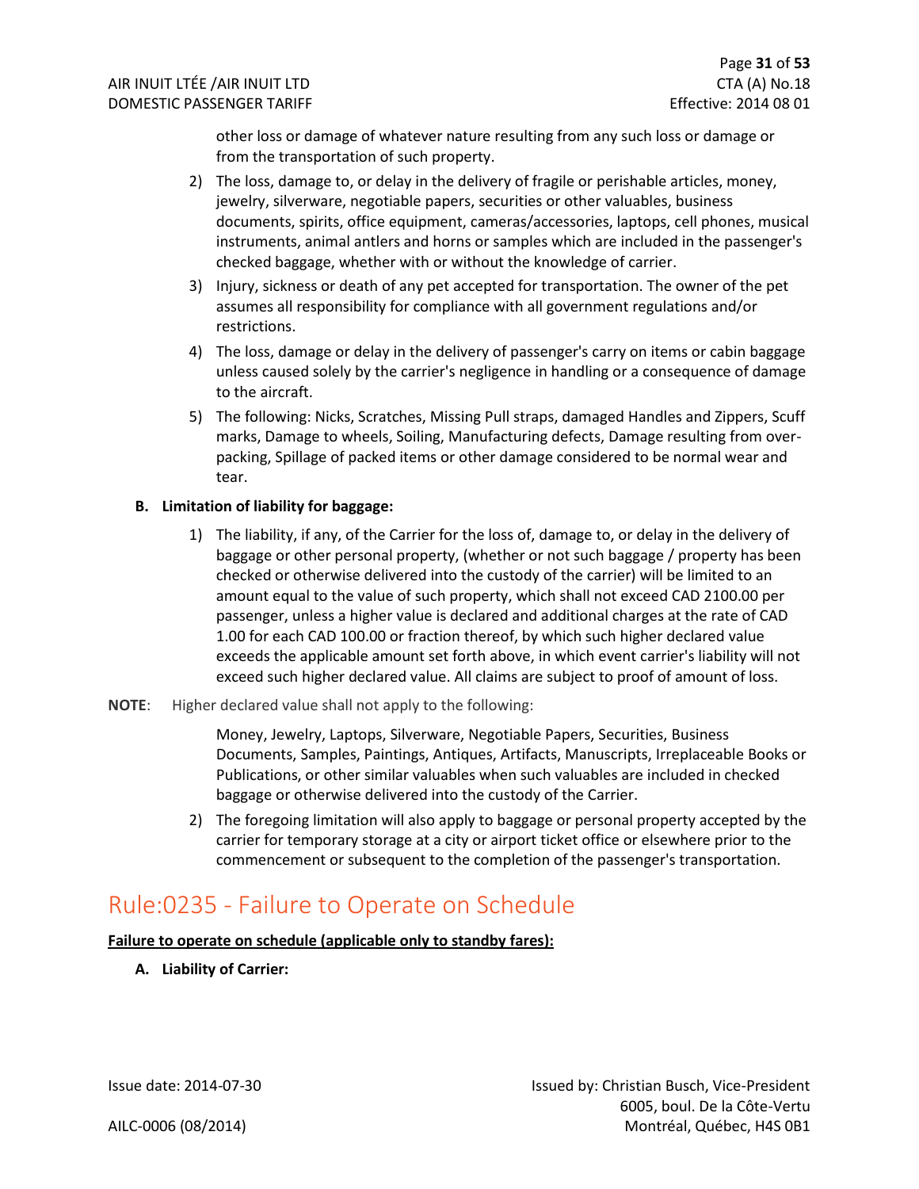other loss or damage of whatever nature resulting from any such loss or damage or from the transportation of such property.

- 2) The loss, damage to, or delay in the delivery of fragile or perishable articles, money, jewelry, silverware, negotiable papers, securities or other valuables, business documents, spirits, office equipment, cameras/accessories, laptops, cell phones, musical instruments, animal antlers and horns or samples which are included in the passenger's checked baggage, whether with or without the knowledge of carrier.
- 3) Injury, sickness or death of any pet accepted for transportation. The owner of the pet assumes all responsibility for compliance with all government regulations and/or restrictions.
- 4) The loss, damage or delay in the delivery of passenger's carry on items or cabin baggage unless caused solely by the carrier's negligence in handling or a consequence of damage to the aircraft.
- 5) The following: Nicks, Scratches, Missing Pull straps, damaged Handles and Zippers, Scuff marks, Damage to wheels, Soiling, Manufacturing defects, Damage resulting from overpacking, Spillage of packed items or other damage considered to be normal wear and tear.

#### **B. Limitation of liability for baggage:**

- 1) The liability, if any, of the Carrier for the loss of, damage to, or delay in the delivery of baggage or other personal property, (whether or not such baggage / property has been checked or otherwise delivered into the custody of the carrier) will be limited to an amount equal to the value of such property, which shall not exceed CAD 2100.00 per passenger, unless a higher value is declared and additional charges at the rate of CAD 1.00 for each CAD 100.00 or fraction thereof, by which such higher declared value exceeds the applicable amount set forth above, in which event carrier's liability will not exceed such higher declared value. All claims are subject to proof of amount of loss.
- **NOTE**: Higher declared value shall not apply to the following:

Money, Jewelry, Laptops, Silverware, Negotiable Papers, Securities, Business Documents, Samples, Paintings, Antiques, Artifacts, Manuscripts, Irreplaceable Books or Publications, or other similar valuables when such valuables are included in checked baggage or otherwise delivered into the custody of the Carrier.

2) The foregoing limitation will also apply to baggage or personal property accepted by the carrier for temporary storage at a city or airport ticket office or elsewhere prior to the commencement or subsequent to the completion of the passenger's transportation.

### <span id="page-31-0"></span>Rule:0235 - Failure to Operate on Schedule

**Failure to operate on schedule (applicable only to standby fares):**

**A. Liability of Carrier:**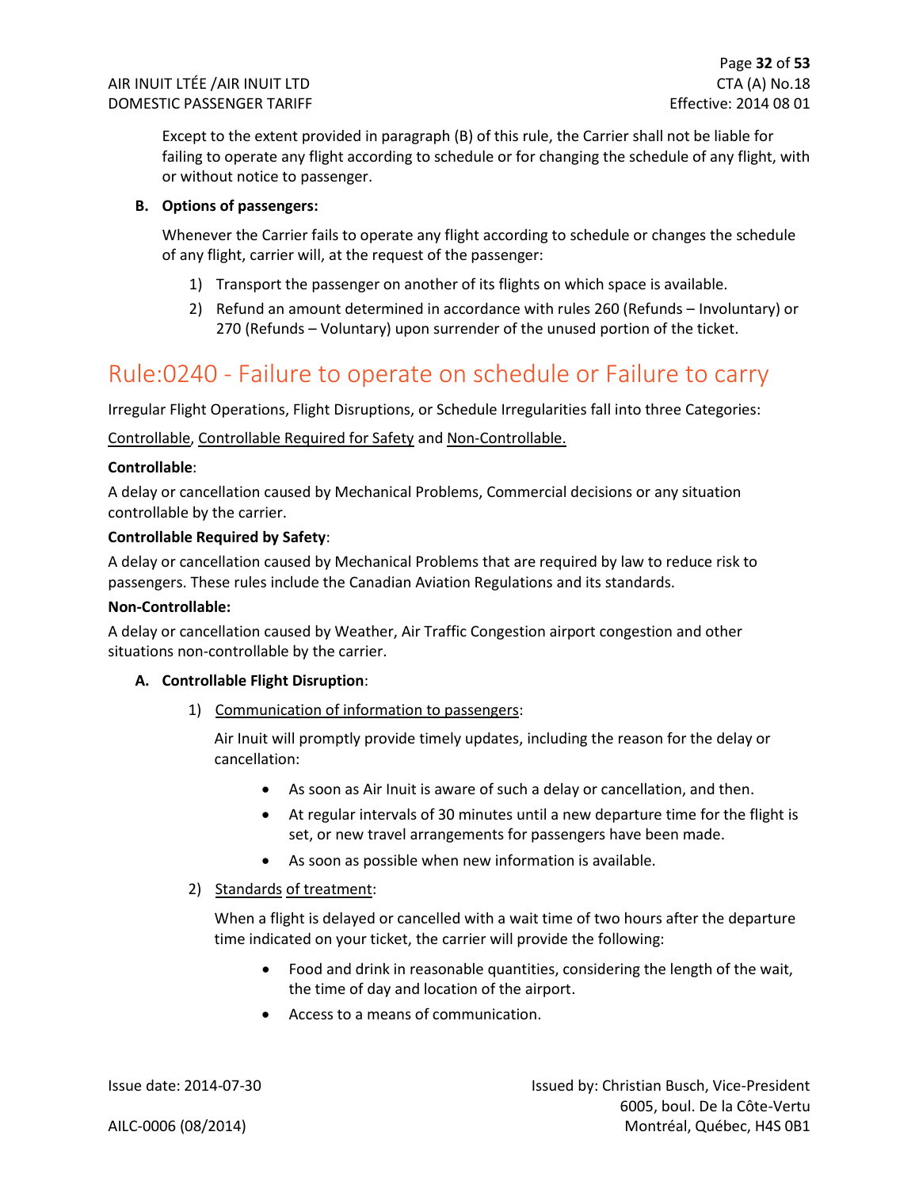Except to the extent provided in paragraph (B) of this rule, the Carrier shall not be liable for failing to operate any flight according to schedule or for changing the schedule of any flight, with or without notice to passenger.

#### **B. Options of passengers:**

Whenever the Carrier fails to operate any flight according to schedule or changes the schedule of any flight, carrier will, at the request of the passenger:

- 1) Transport the passenger on another of its flights on which space is available.
- 2) Refund an amount determined in accordance with rules 260 (Refunds Involuntary) or 270 (Refunds – Voluntary) upon surrender of the unused portion of the ticket.

### <span id="page-32-0"></span>Rule:0240 - Failure to operate on schedule or Failure to carry

Irregular Flight Operations, Flight Disruptions, or Schedule Irregularities fall into three Categories:

Controllable, Controllable Required for Safety and Non-Controllable.

#### **Controllable**:

A delay or cancellation caused by Mechanical Problems, Commercial decisions or any situation controllable by the carrier.

#### **Controllable Required by Safety**:

A delay or cancellation caused by Mechanical Problems that are required by law to reduce risk to passengers. These rules include the Canadian Aviation Regulations and its standards.

#### **Non-Controllable:**

A delay or cancellation caused by Weather, Air Traffic Congestion airport congestion and other situations non-controllable by the carrier.

#### **A. Controllable Flight Disruption**:

1) Communication of information to passengers:

Air Inuit will promptly provide timely updates, including the reason for the delay or cancellation:

- As soon as Air Inuit is aware of such a delay or cancellation, and then.
- At regular intervals of 30 minutes until a new departure time for the flight is set, or new travel arrangements for passengers have been made.
- As soon as possible when new information is available.

#### 2) Standards of treatment:

When a flight is delayed or cancelled with a wait time of two hours after the departure time indicated on your ticket, the carrier will provide the following:

- Food and drink in reasonable quantities, considering the length of the wait, the time of day and location of the airport.
- Access to a means of communication.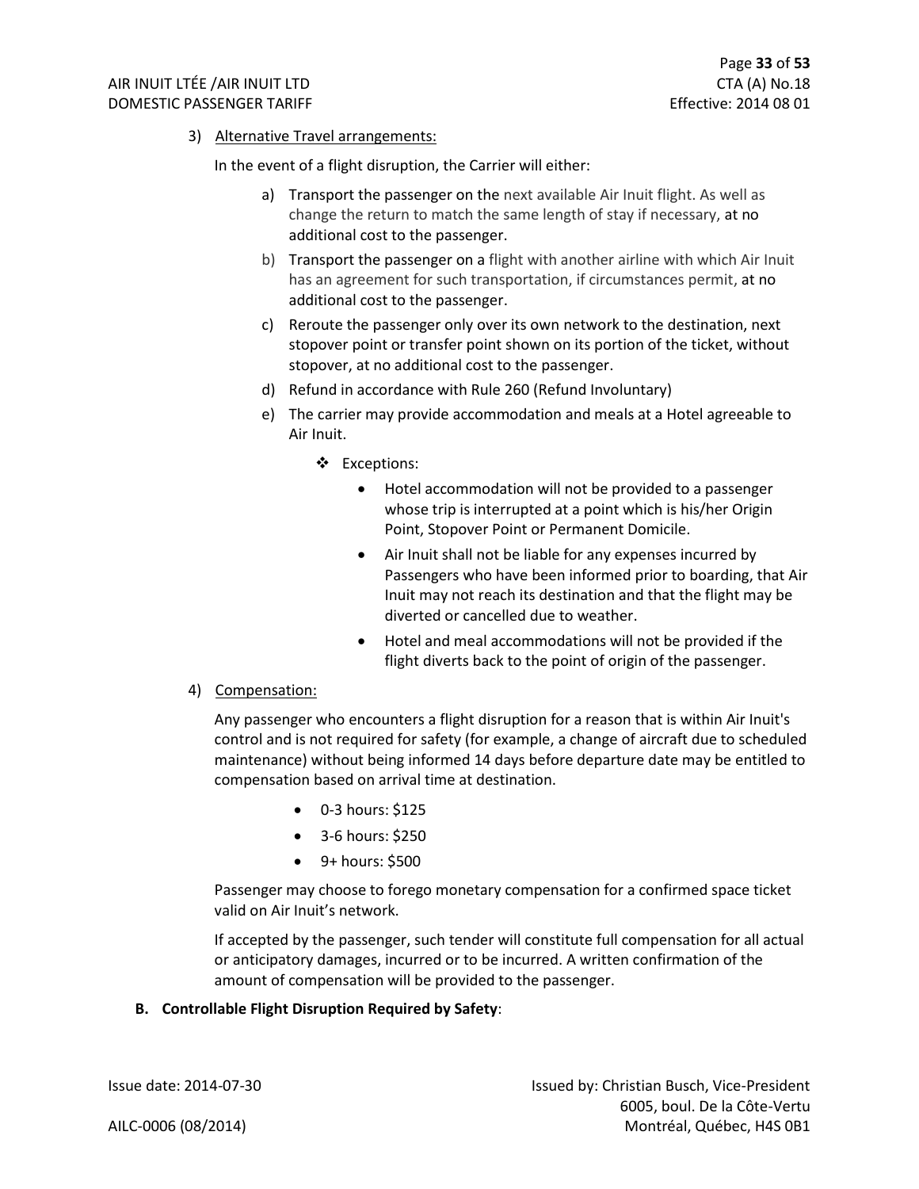3) Alternative Travel arrangements:

In the event of a flight disruption, the Carrier will either:

- a) Transport the passenger on the next available Air Inuit flight. As well as change the return to match the same length of stay if necessary, at no additional cost to the passenger.
- b) Transport the passenger on a flight with another airline with which Air Inuit has an agreement for such transportation, if circumstances permit, at no additional cost to the passenger.
- c) Reroute the passenger only over its own network to the destination, next stopover point or transfer point shown on its portion of the ticket, without stopover, at no additional cost to the passenger.
- d) Refund in accordance with Rule 260 (Refund Involuntary)
- e) The carrier may provide accommodation and meals at a Hotel agreeable to Air Inuit.
	- ❖ Exceptions:
		- Hotel accommodation will not be provided to a passenger whose trip is interrupted at a point which is his/her Origin Point, Stopover Point or Permanent Domicile.
		- Air Inuit shall not be liable for any expenses incurred by Passengers who have been informed prior to boarding, that Air Inuit may not reach its destination and that the flight may be diverted or cancelled due to weather.
		- Hotel and meal accommodations will not be provided if the flight diverts back to the point of origin of the passenger.
- 4) Compensation:

Any passenger who encounters a flight disruption for a reason that is within Air Inuit's control and is not required for safety (for example, a change of aircraft due to scheduled maintenance) without being informed 14 days before departure date may be entitled to compensation based on arrival time at destination.

- 0-3 hours: \$125
- 3-6 hours: \$250
- 9+ hours: \$500

Passenger may choose to forego monetary compensation for a confirmed space ticket valid on Air Inuit's network.

If accepted by the passenger, such tender will constitute full compensation for all actual or anticipatory damages, incurred or to be incurred. A written confirmation of the amount of compensation will be provided to the passenger.

#### **B. Controllable Flight Disruption Required by Safety**: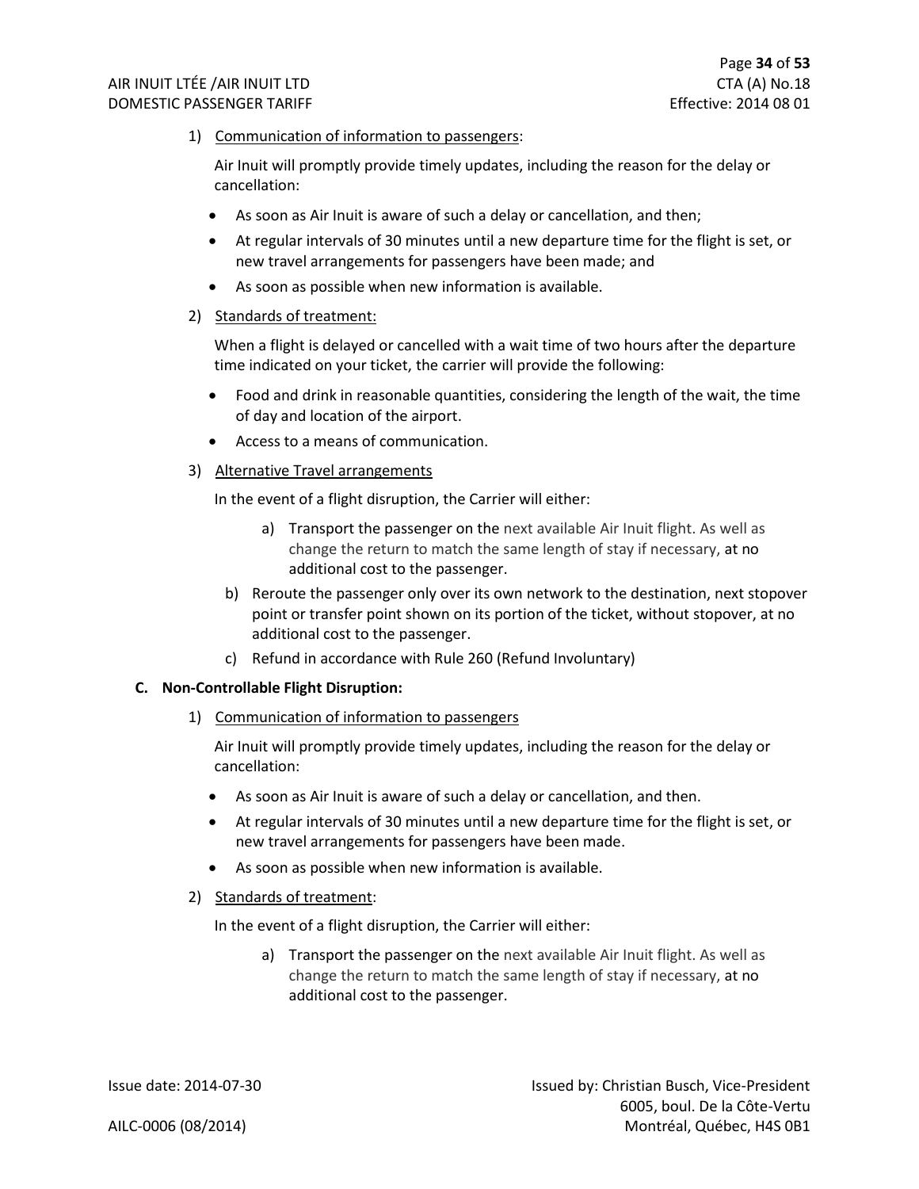1) Communication of information to passengers:

Air Inuit will promptly provide timely updates, including the reason for the delay or cancellation:

- As soon as Air Inuit is aware of such a delay or cancellation, and then;
- At regular intervals of 30 minutes until a new departure time for the flight is set, or new travel arrangements for passengers have been made; and
- As soon as possible when new information is available.
- 2) Standards of treatment:

When a flight is delayed or cancelled with a wait time of two hours after the departure time indicated on your ticket, the carrier will provide the following:

- Food and drink in reasonable quantities, considering the length of the wait, the time of day and location of the airport.
- Access to a means of communication.
- 3) Alternative Travel arrangements

In the event of a flight disruption, the Carrier will either:

- a) Transport the passenger on the next available Air Inuit flight. As well as change the return to match the same length of stay if necessary, at no additional cost to the passenger.
- b) Reroute the passenger only over its own network to the destination, next stopover point or transfer point shown on its portion of the ticket, without stopover, at no additional cost to the passenger.
- c) Refund in accordance with Rule 260 (Refund Involuntary)

#### **C. Non-Controllable Flight Disruption:**

1) Communication of information to passengers

Air Inuit will promptly provide timely updates, including the reason for the delay or cancellation:

- As soon as Air Inuit is aware of such a delay or cancellation, and then.
- At regular intervals of 30 minutes until a new departure time for the flight is set, or new travel arrangements for passengers have been made.
- As soon as possible when new information is available.
- 2) Standards of treatment:

In the event of a flight disruption, the Carrier will either:

a) Transport the passenger on the next available Air Inuit flight. As well as change the return to match the same length of stay if necessary, at no additional cost to the passenger.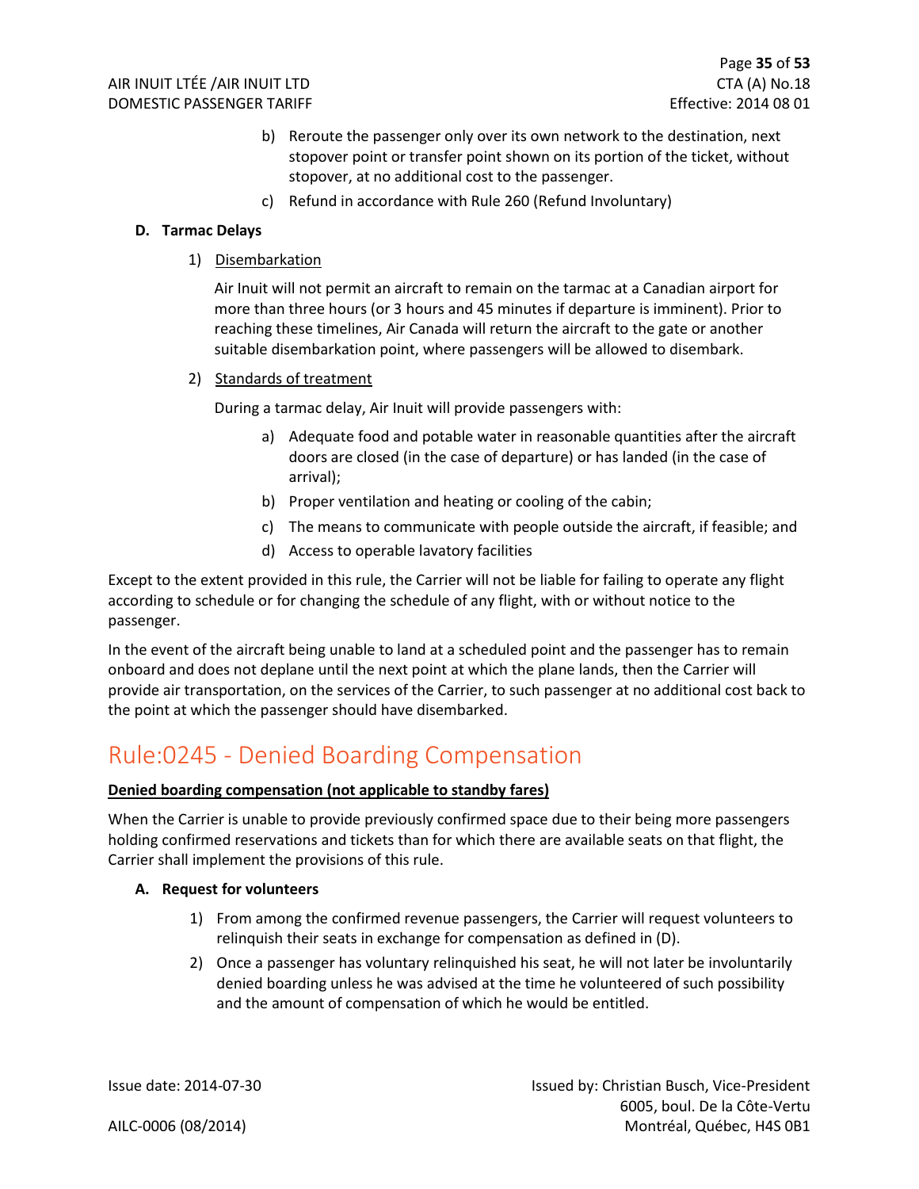- b) Reroute the passenger only over its own network to the destination, next stopover point or transfer point shown on its portion of the ticket, without stopover, at no additional cost to the passenger.
- c) Refund in accordance with Rule 260 (Refund Involuntary)

#### **D. Tarmac Delays**

1) Disembarkation

Air Inuit will not permit an aircraft to remain on the tarmac at a Canadian airport for more than three hours (or 3 hours and 45 minutes if departure is imminent). Prior to reaching these timelines, Air Canada will return the aircraft to the gate or another suitable disembarkation point, where passengers will be allowed to disembark.

2) Standards of treatment

During a tarmac delay, Air Inuit will provide passengers with:

- a) Adequate food and potable water in reasonable quantities after the aircraft doors are closed (in the case of departure) or has landed (in the case of arrival);
- b) Proper ventilation and heating or cooling of the cabin;
- c) The means to communicate with people outside the aircraft, if feasible; and
- d) Access to operable lavatory facilities

Except to the extent provided in this rule, the Carrier will not be liable for failing to operate any flight according to schedule or for changing the schedule of any flight, with or without notice to the passenger.

In the event of the aircraft being unable to land at a scheduled point and the passenger has to remain onboard and does not deplane until the next point at which the plane lands, then the Carrier will provide air transportation, on the services of the Carrier, to such passenger at no additional cost back to the point at which the passenger should have disembarked.

### <span id="page-35-0"></span>Rule:0245 - Denied Boarding Compensation

#### **Denied boarding compensation (not applicable to standby fares)**

When the Carrier is unable to provide previously confirmed space due to their being more passengers holding confirmed reservations and tickets than for which there are available seats on that flight, the Carrier shall implement the provisions of this rule.

#### **A. Request for volunteers**

- 1) From among the confirmed revenue passengers, the Carrier will request volunteers to relinquish their seats in exchange for compensation as defined in (D).
- 2) Once a passenger has voluntary relinquished his seat, he will not later be involuntarily denied boarding unless he was advised at the time he volunteered of such possibility and the amount of compensation of which he would be entitled.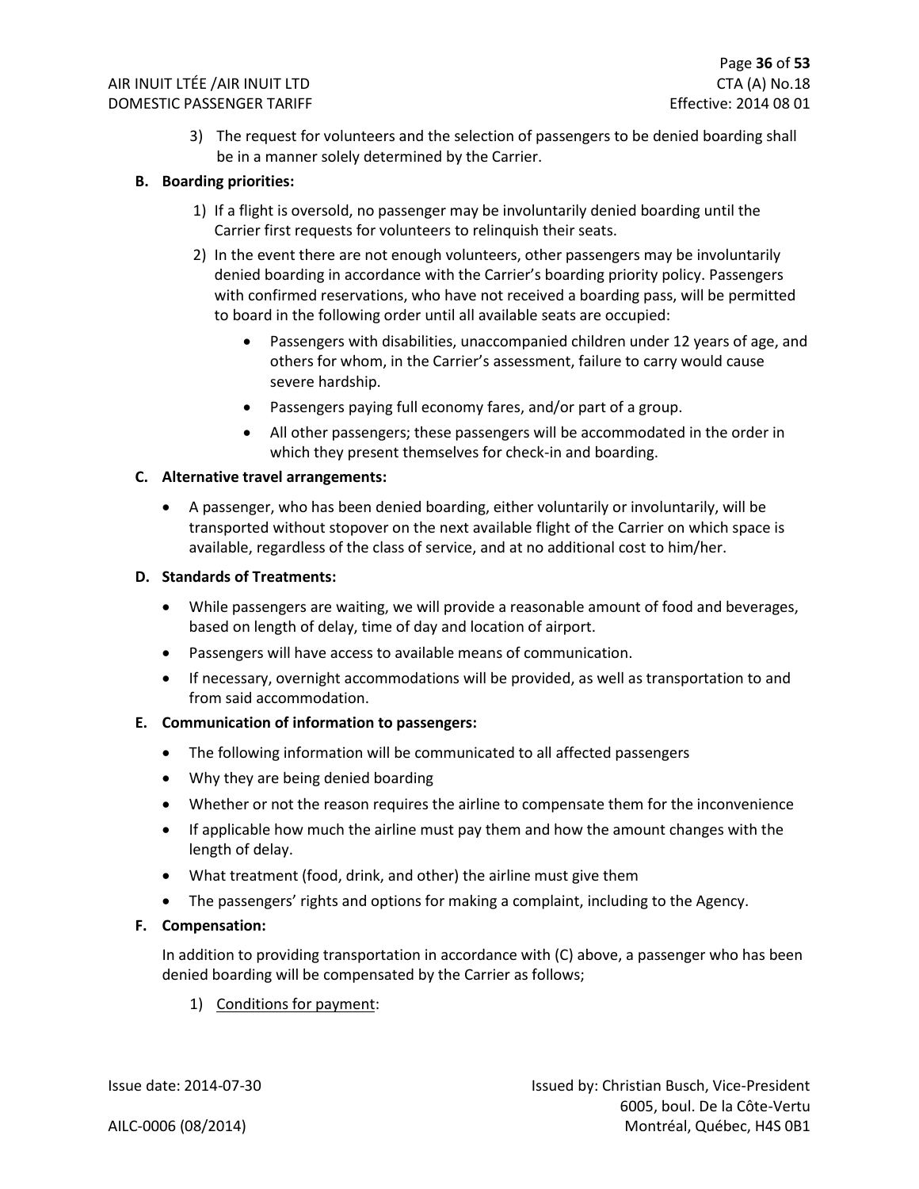3) The request for volunteers and the selection of passengers to be denied boarding shall be in a manner solely determined by the Carrier.

#### **B. Boarding priorities:**

- 1) If a flight is oversold, no passenger may be involuntarily denied boarding until the Carrier first requests for volunteers to relinquish their seats.
- 2) In the event there are not enough volunteers, other passengers may be involuntarily denied boarding in accordance with the Carrier's boarding priority policy. Passengers with confirmed reservations, who have not received a boarding pass, will be permitted to board in the following order until all available seats are occupied:
	- Passengers with disabilities, unaccompanied children under 12 years of age, and others for whom, in the Carrier's assessment, failure to carry would cause severe hardship.
	- Passengers paying full economy fares, and/or part of a group.
	- All other passengers; these passengers will be accommodated in the order in which they present themselves for check-in and boarding.

#### **C. Alternative travel arrangements:**

• A passenger, who has been denied boarding, either voluntarily or involuntarily, will be transported without stopover on the next available flight of the Carrier on which space is available, regardless of the class of service, and at no additional cost to him/her.

#### **D. Standards of Treatments:**

- While passengers are waiting, we will provide a reasonable amount of food and beverages, based on length of delay, time of day and location of airport.
- Passengers will have access to available means of communication.
- If necessary, overnight accommodations will be provided, as well as transportation to and from said accommodation.

#### **E. Communication of information to passengers:**

- The following information will be communicated to all affected passengers
- Why they are being denied boarding
- Whether or not the reason requires the airline to compensate them for the inconvenience
- If applicable how much the airline must pay them and how the amount changes with the length of delay.
- What treatment (food, drink, and other) the airline must give them
- The passengers' rights and options for making a complaint, including to the Agency.

#### **F. Compensation:**

In addition to providing transportation in accordance with (C) above, a passenger who has been denied boarding will be compensated by the Carrier as follows;

1) Conditions for payment: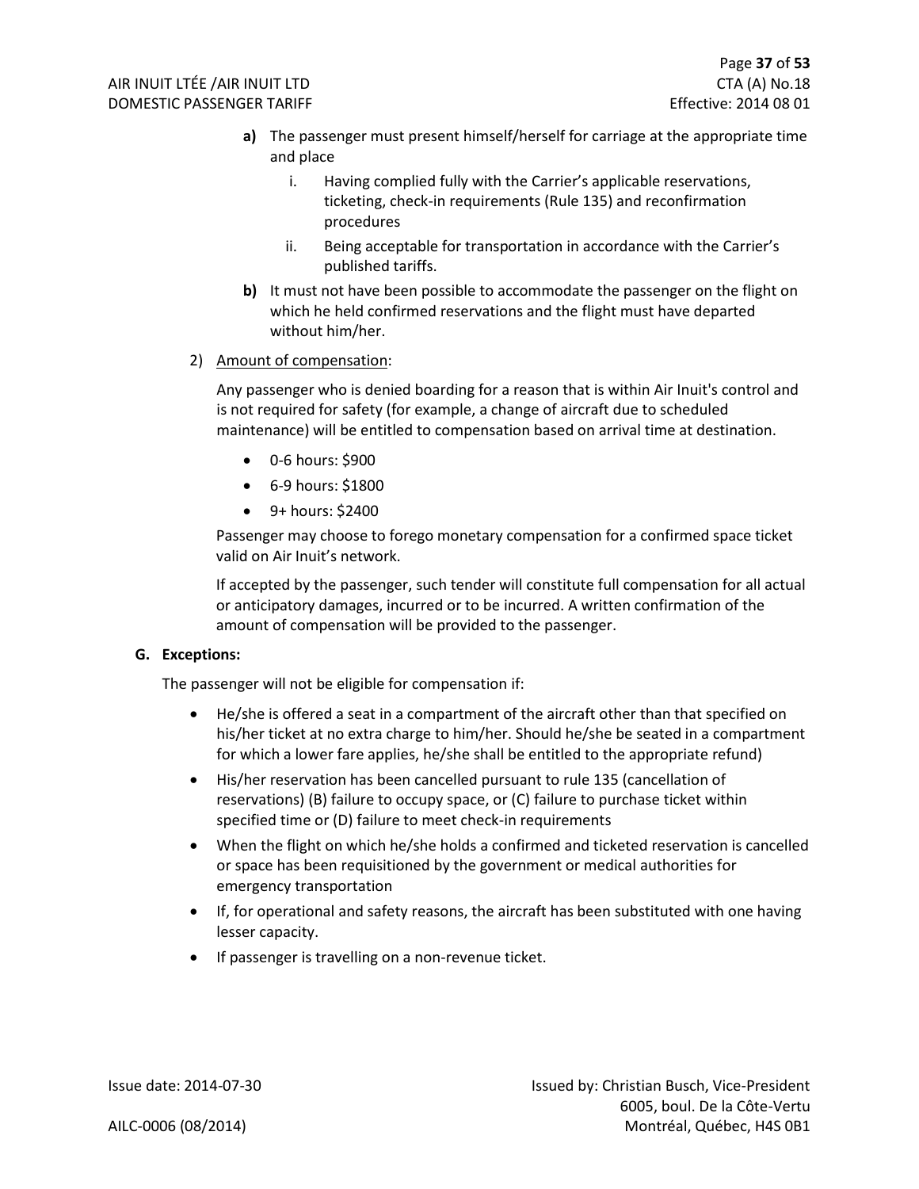- **a)** The passenger must present himself/herself for carriage at the appropriate time and place
	- i. Having complied fully with the Carrier's applicable reservations, ticketing, check-in requirements (Rule 135) and reconfirmation procedures
	- ii. Being acceptable for transportation in accordance with the Carrier's published tariffs.
- **b)** It must not have been possible to accommodate the passenger on the flight on which he held confirmed reservations and the flight must have departed without him/her.

#### 2) Amount of compensation:

Any passenger who is denied boarding for a reason that is within Air Inuit's control and is not required for safety (for example, a change of aircraft due to scheduled maintenance) will be entitled to compensation based on arrival time at destination.

- 0-6 hours: \$900
- 6-9 hours: \$1800
- 9+ hours: \$2400

Passenger may choose to forego monetary compensation for a confirmed space ticket valid on Air Inuit's network.

If accepted by the passenger, such tender will constitute full compensation for all actual or anticipatory damages, incurred or to be incurred. A written confirmation of the amount of compensation will be provided to the passenger.

#### **G. Exceptions:**

The passenger will not be eligible for compensation if:

- He/she is offered a seat in a compartment of the aircraft other than that specified on his/her ticket at no extra charge to him/her. Should he/she be seated in a compartment for which a lower fare applies, he/she shall be entitled to the appropriate refund)
- His/her reservation has been cancelled pursuant to rule 135 (cancellation of reservations) (B) failure to occupy space, or (C) failure to purchase ticket within specified time or (D) failure to meet check-in requirements
- When the flight on which he/she holds a confirmed and ticketed reservation is cancelled or space has been requisitioned by the government or medical authorities for emergency transportation
- If, for operational and safety reasons, the aircraft has been substituted with one having lesser capacity.
- If passenger is travelling on a non-revenue ticket.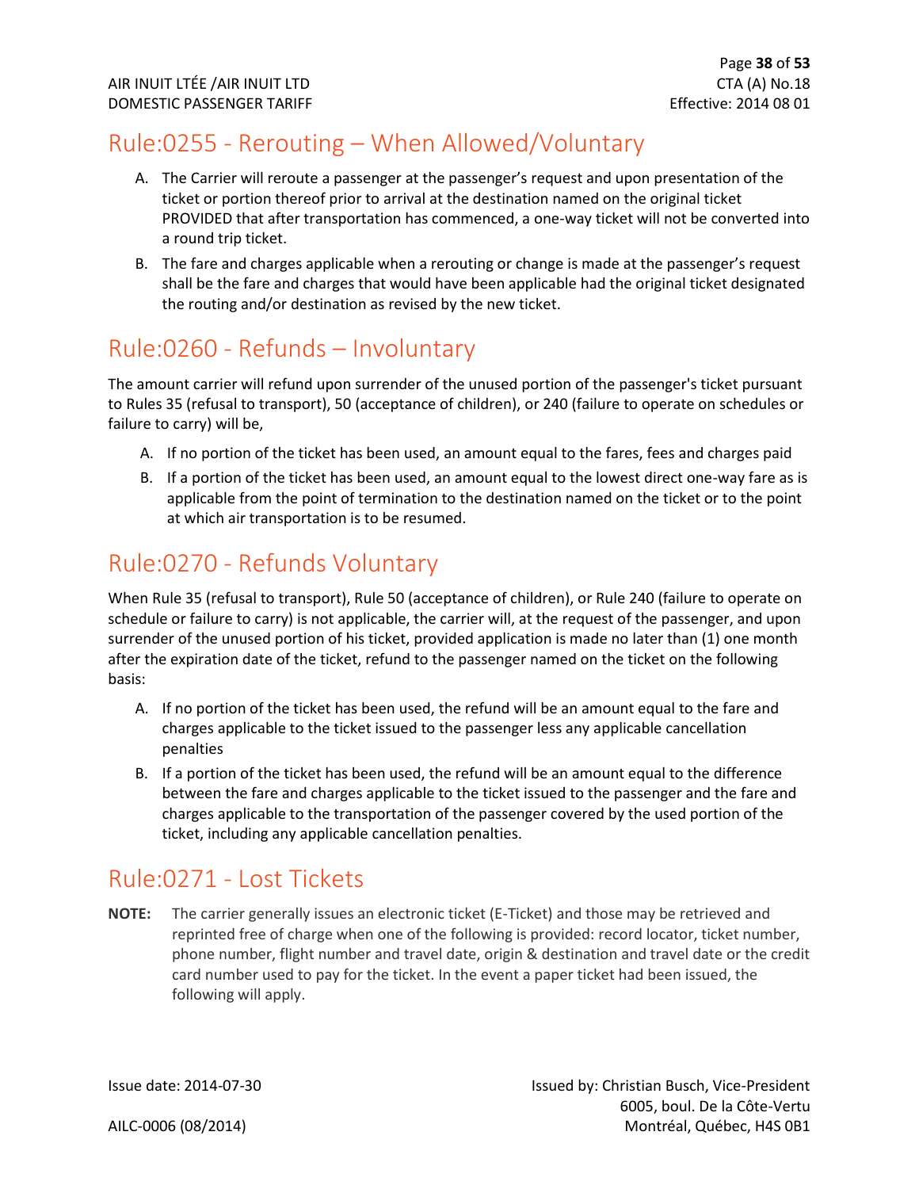### <span id="page-38-0"></span>Rule:0255 - Rerouting – When Allowed/Voluntary

- A. The Carrier will reroute a passenger at the passenger's request and upon presentation of the ticket or portion thereof prior to arrival at the destination named on the original ticket PROVIDED that after transportation has commenced, a one-way ticket will not be converted into a round trip ticket.
- B. The fare and charges applicable when a rerouting or change is made at the passenger's request shall be the fare and charges that would have been applicable had the original ticket designated the routing and/or destination as revised by the new ticket.

### <span id="page-38-1"></span>Rule:0260 - Refunds – Involuntary

The amount carrier will refund upon surrender of the unused portion of the passenger's ticket pursuant to Rules 35 (refusal to transport), 50 (acceptance of children), or 240 (failure to operate on schedules or failure to carry) will be,

- A. If no portion of the ticket has been used, an amount equal to the fares, fees and charges paid
- B. If a portion of the ticket has been used, an amount equal to the lowest direct one-way fare as is applicable from the point of termination to the destination named on the ticket or to the point at which air transportation is to be resumed.

### <span id="page-38-2"></span>Rule:0270 - Refunds Voluntary

When Rule 35 (refusal to transport), Rule 50 (acceptance of children), or Rule 240 (failure to operate on schedule or failure to carry) is not applicable, the carrier will, at the request of the passenger, and upon surrender of the unused portion of his ticket, provided application is made no later than (1) one month after the expiration date of the ticket, refund to the passenger named on the ticket on the following basis:

- A. If no portion of the ticket has been used, the refund will be an amount equal to the fare and charges applicable to the ticket issued to the passenger less any applicable cancellation penalties
- B. If a portion of the ticket has been used, the refund will be an amount equal to the difference between the fare and charges applicable to the ticket issued to the passenger and the fare and charges applicable to the transportation of the passenger covered by the used portion of the ticket, including any applicable cancellation penalties.

### <span id="page-38-3"></span>Rule:0271 - Lost Tickets

**NOTE:** The carrier generally issues an electronic ticket (E-Ticket) and those may be retrieved and reprinted free of charge when one of the following is provided: record locator, ticket number, phone number, flight number and travel date, origin & destination and travel date or the credit card number used to pay for the ticket. In the event a paper ticket had been issued, the following will apply.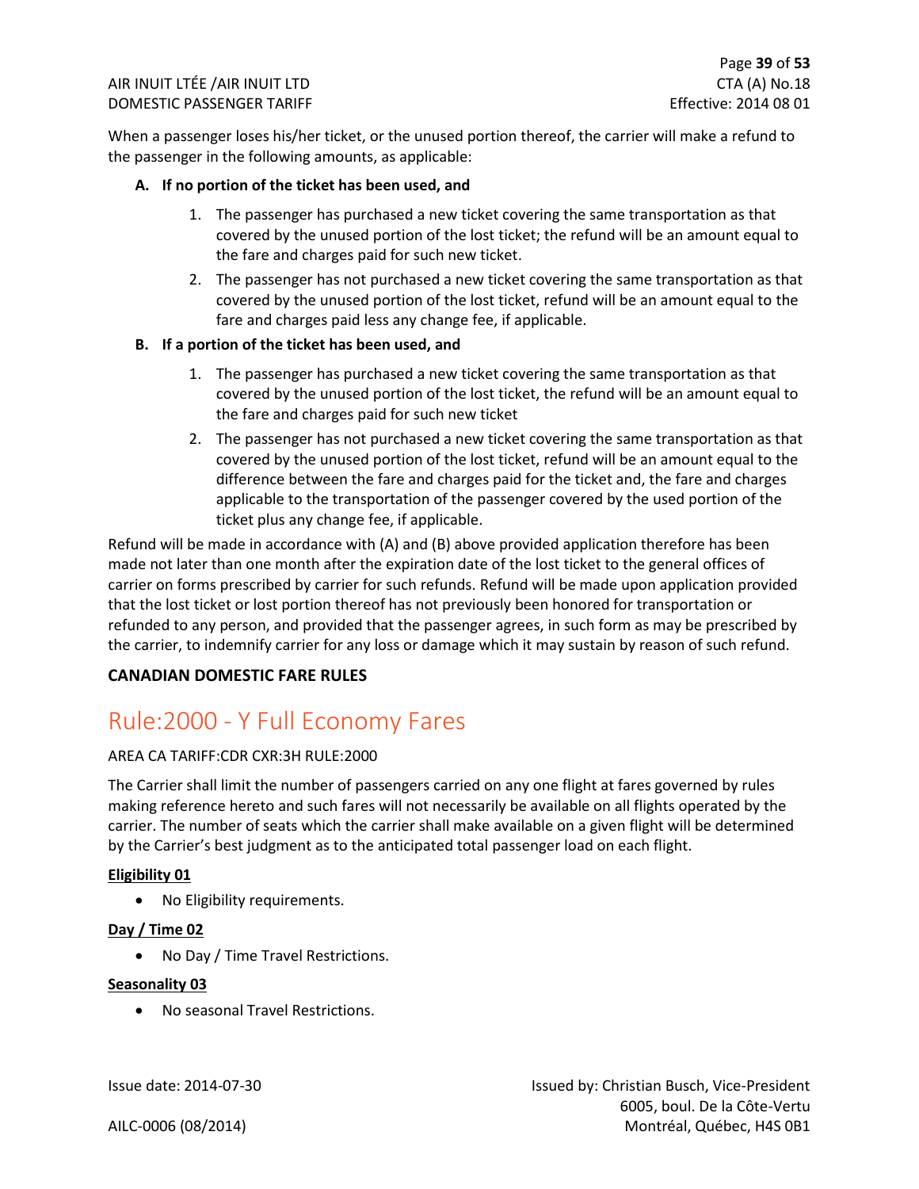When a passenger loses his/her ticket, or the unused portion thereof, the carrier will make a refund to the passenger in the following amounts, as applicable:

#### **A. If no portion of the ticket has been used, and**

- 1. The passenger has purchased a new ticket covering the same transportation as that covered by the unused portion of the lost ticket; the refund will be an amount equal to the fare and charges paid for such new ticket.
- 2. The passenger has not purchased a new ticket covering the same transportation as that covered by the unused portion of the lost ticket, refund will be an amount equal to the fare and charges paid less any change fee, if applicable.

#### **B. If a portion of the ticket has been used, and**

- 1. The passenger has purchased a new ticket covering the same transportation as that covered by the unused portion of the lost ticket, the refund will be an amount equal to the fare and charges paid for such new ticket
- 2. The passenger has not purchased a new ticket covering the same transportation as that covered by the unused portion of the lost ticket, refund will be an amount equal to the difference between the fare and charges paid for the ticket and, the fare and charges applicable to the transportation of the passenger covered by the used portion of the ticket plus any change fee, if applicable.

Refund will be made in accordance with (A) and (B) above provided application therefore has been made not later than one month after the expiration date of the lost ticket to the general offices of carrier on forms prescribed by carrier for such refunds. Refund will be made upon application provided that the lost ticket or lost portion thereof has not previously been honored for transportation or refunded to any person, and provided that the passenger agrees, in such form as may be prescribed by the carrier, to indemnify carrier for any loss or damage which it may sustain by reason of such refund.

#### **CANADIAN DOMESTIC FARE RULES**

### <span id="page-39-0"></span>Rule:2000 - Y Full Economy Fares

#### AREA CA TARIFF:CDR CXR:3H RULE:2000

The Carrier shall limit the number of passengers carried on any one flight at fares governed by rules making reference hereto and such fares will not necessarily be available on all flights operated by the carrier. The number of seats which the carrier shall make available on a given flight will be determined by the Carrier's best judgment as to the anticipated total passenger load on each flight.

#### **Eligibility 01**

• No Eligibility requirements.

#### **Day / Time 02**

• No Day / Time Travel Restrictions.

#### **Seasonality 03**

• No seasonal Travel Restrictions.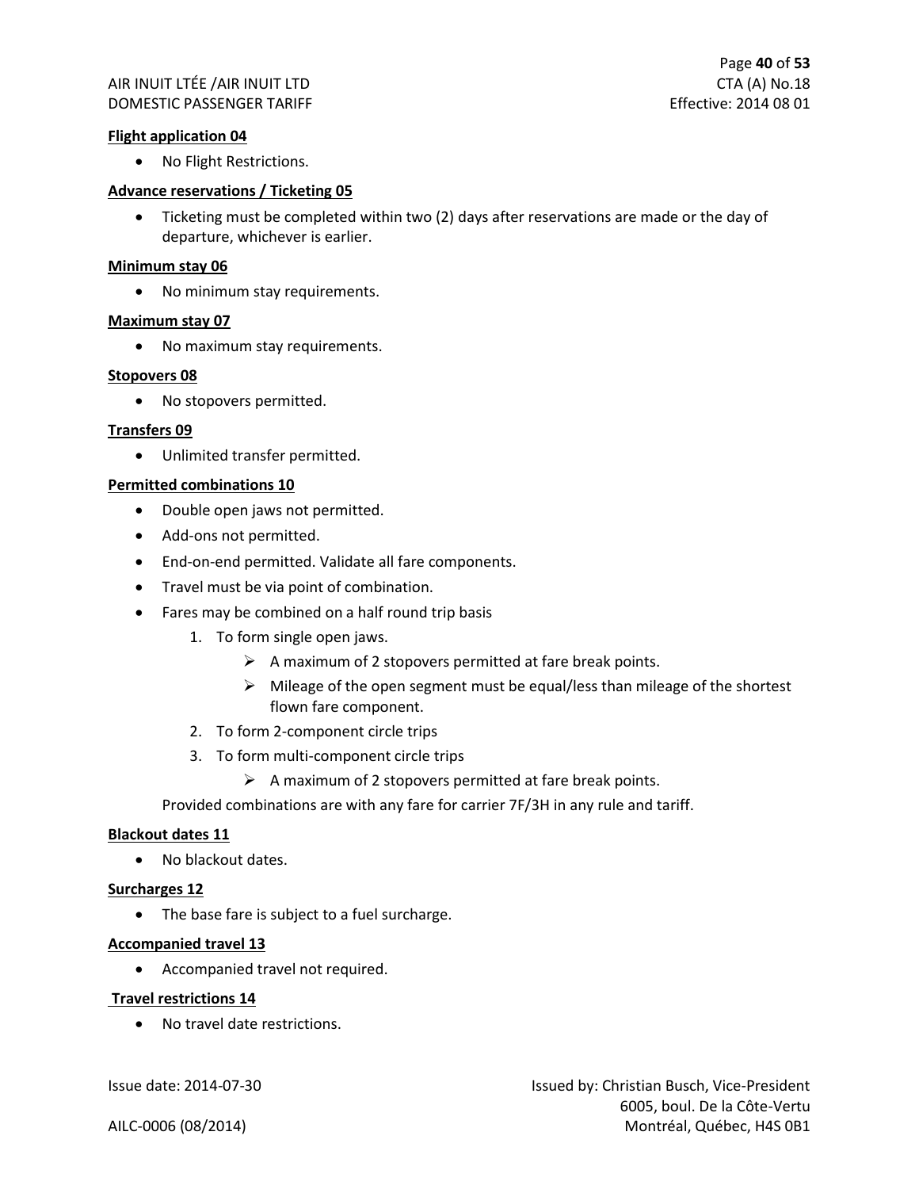#### **Flight application 04**

• No Flight Restrictions.

#### **Advance reservations / Ticketing 05**

• Ticketing must be completed within two (2) days after reservations are made or the day of departure, whichever is earlier.

#### **Minimum stay 06**

• No minimum stay requirements.

#### **Maximum stay 07**

• No maximum stay requirements.

#### **Stopovers 08**

• No stopovers permitted.

#### **Transfers 09**

• Unlimited transfer permitted.

#### **Permitted combinations 10**

- Double open jaws not permitted.
- Add-ons not permitted.
- End-on-end permitted. Validate all fare components.
- Travel must be via point of combination.
- Fares may be combined on a half round trip basis
	- 1. To form single open jaws.
		- $\triangleright$  A maximum of 2 stopovers permitted at fare break points.
		- ➢ Mileage of the open segment must be equal/less than mileage of the shortest flown fare component.
	- 2. To form 2-component circle trips
	- 3. To form multi-component circle trips
		- $\triangleright$  A maximum of 2 stopovers permitted at fare break points.

Provided combinations are with any fare for carrier 7F/3H in any rule and tariff.

#### **Blackout dates 11**

• No blackout dates.

#### **Surcharges 12**

• The base fare is subject to a fuel surcharge.

#### **Accompanied travel 13**

• Accompanied travel not required.

#### **Travel restrictions 14**

• No travel date restrictions.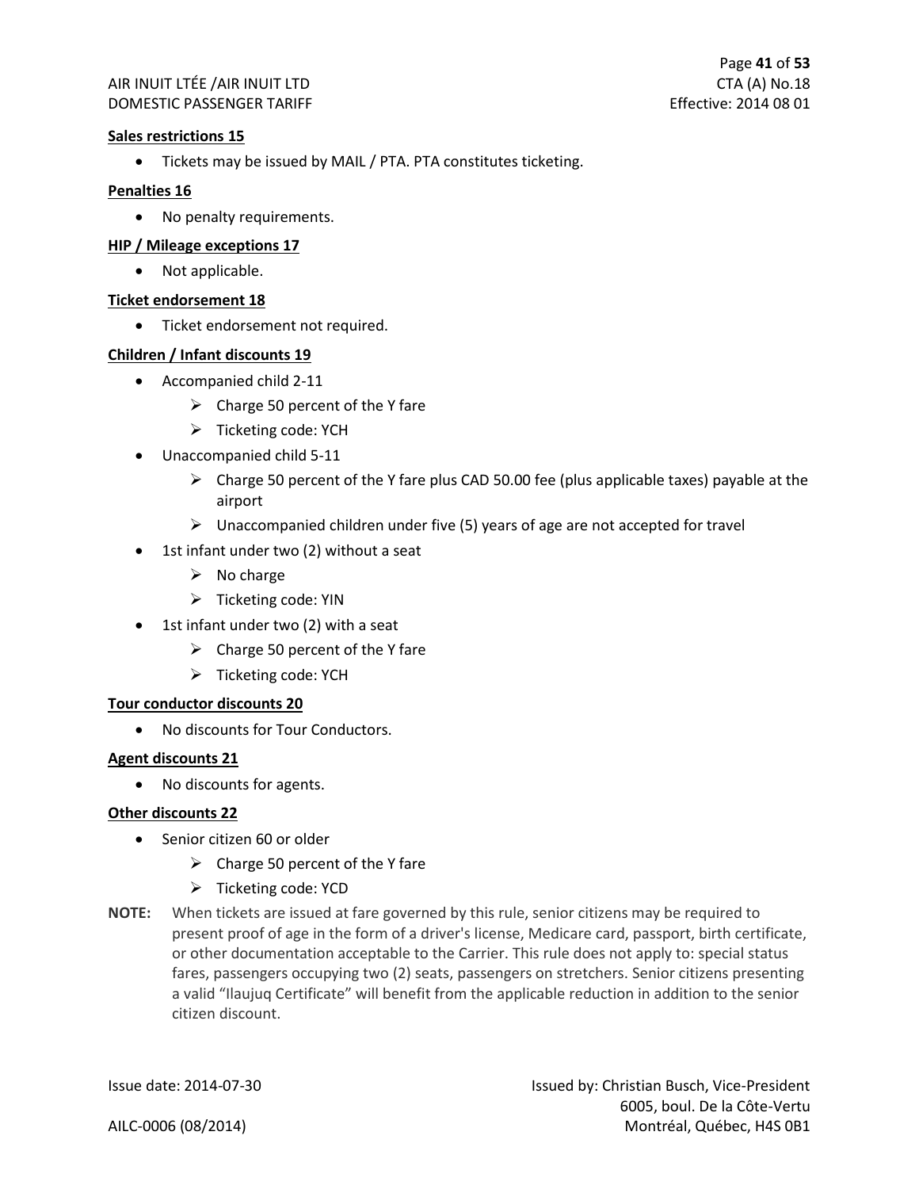#### **Sales restrictions 15**

• Tickets may be issued by MAIL / PTA. PTA constitutes ticketing.

#### **Penalties 16**

• No penalty requirements.

#### **HIP / Mileage exceptions 17**

• Not applicable.

#### **Ticket endorsement 18**

• Ticket endorsement not required.

#### **Children / Infant discounts 19**

- Accompanied child 2-11
	- $\triangleright$  Charge 50 percent of the Y fare
	- ➢ Ticketing code: YCH
- Unaccompanied child 5-11
	- $\triangleright$  Charge 50 percent of the Y fare plus CAD 50.00 fee (plus applicable taxes) payable at the airport
	- $\triangleright$  Unaccompanied children under five (5) years of age are not accepted for travel
- 1st infant under two (2) without a seat
	- $\triangleright$  No charge
	- $\triangleright$  Ticketing code: YIN
- 1st infant under two (2) with a seat
	- $\triangleright$  Charge 50 percent of the Y fare
	- ➢ Ticketing code: YCH

#### **Tour conductor discounts 20**

• No discounts for Tour Conductors.

#### **Agent discounts 21**

• No discounts for agents.

#### **Other discounts 22**

- Senior citizen 60 or older
	- $\triangleright$  Charge 50 percent of the Y fare
	- ➢ Ticketing code: YCD
- **NOTE:** When tickets are issued at fare governed by this rule, senior citizens may be required to present proof of age in the form of a driver's license, Medicare card, passport, birth certificate, or other documentation acceptable to the Carrier. This rule does not apply to: special status fares, passengers occupying two (2) seats, passengers on stretchers. Senior citizens presenting a valid "Ilaujuq Certificate" will benefit from the applicable reduction in addition to the senior citizen discount.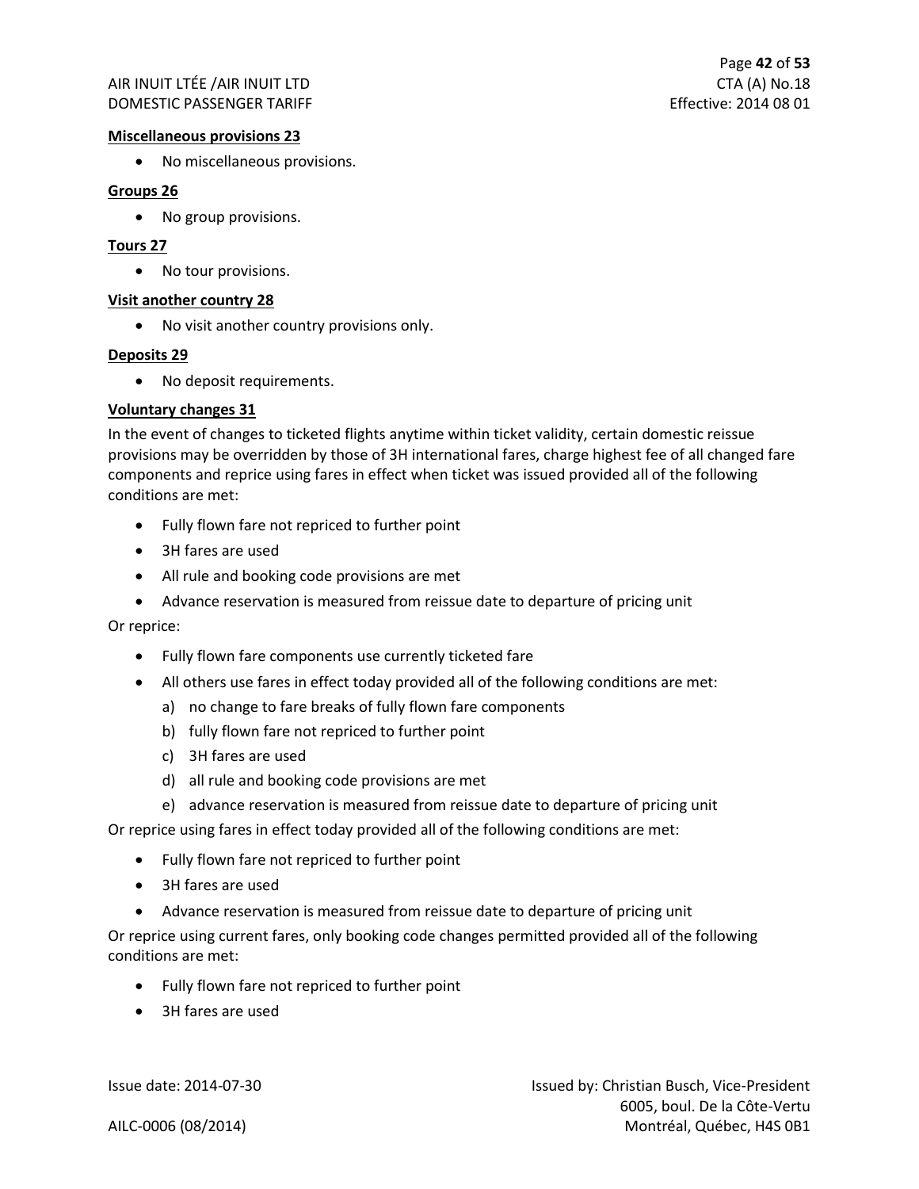#### **Miscellaneous provisions 23**

• No miscellaneous provisions.

#### **Groups 26**

• No group provisions.

#### **Tours 27**

• No tour provisions.

#### **Visit another country 28**

• No visit another country provisions only.

#### **Deposits 29**

• No deposit requirements.

#### **Voluntary changes 31**

In the event of changes to ticketed flights anytime within ticket validity, certain domestic reissue provisions may be overridden by those of 3H international fares, charge highest fee of all changed fare components and reprice using fares in effect when ticket was issued provided all of the following conditions are met:

- Fully flown fare not repriced to further point
- 3H fares are used
- All rule and booking code provisions are met
- Advance reservation is measured from reissue date to departure of pricing unit

Or reprice:

- Fully flown fare components use currently ticketed fare
- All others use fares in effect today provided all of the following conditions are met:
	- a) no change to fare breaks of fully flown fare components
	- b) fully flown fare not repriced to further point
	- c) 3H fares are used
	- d) all rule and booking code provisions are met
	- e) advance reservation is measured from reissue date to departure of pricing unit

Or reprice using fares in effect today provided all of the following conditions are met:

- Fully flown fare not repriced to further point
- 3H fares are used
- Advance reservation is measured from reissue date to departure of pricing unit

Or reprice using current fares, only booking code changes permitted provided all of the following conditions are met:

- Fully flown fare not repriced to further point
- 3H fares are used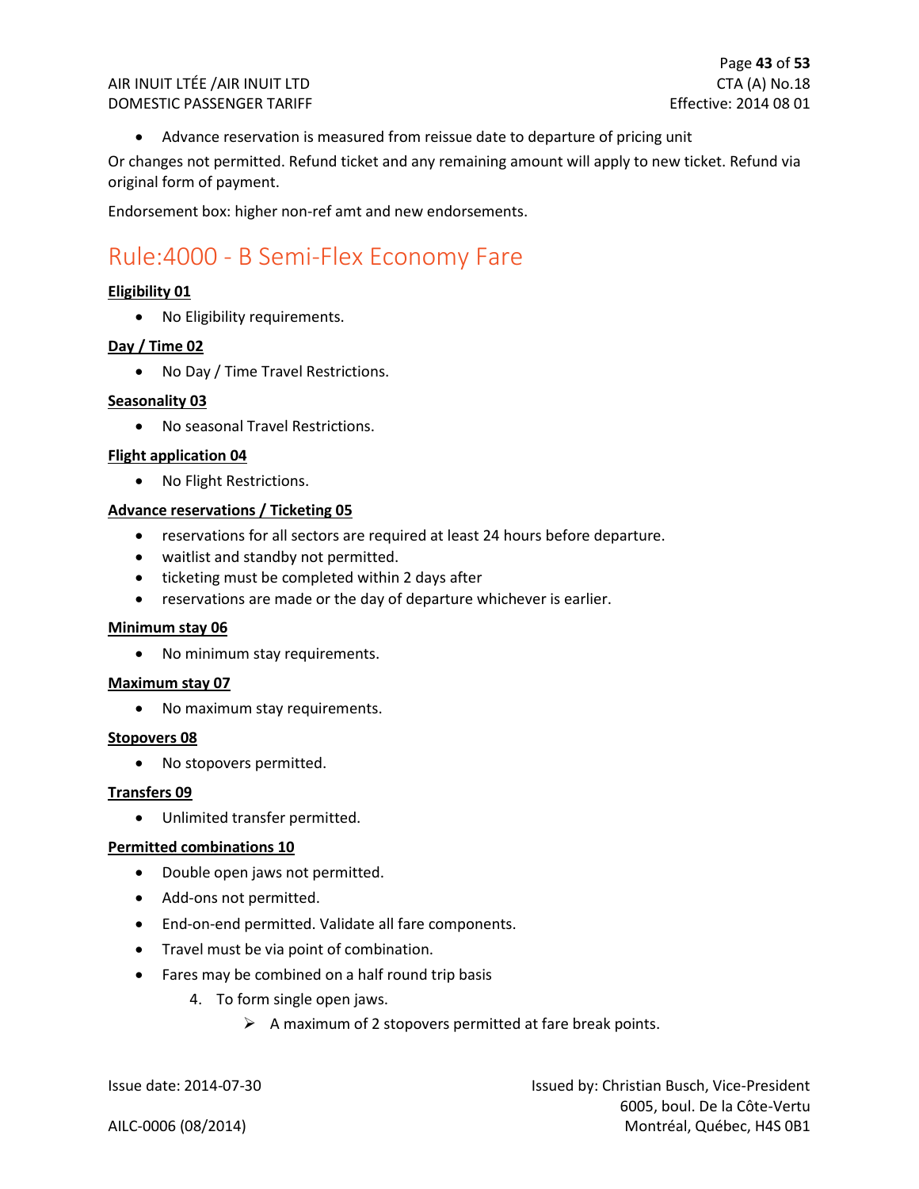• Advance reservation is measured from reissue date to departure of pricing unit

Or changes not permitted. Refund ticket and any remaining amount will apply to new ticket. Refund via original form of payment.

Endorsement box: higher non-ref amt and new endorsements.

### <span id="page-43-0"></span>Rule:4000 - B Semi-Flex Economy Fare

#### **Eligibility 01**

• No Eligibility requirements.

#### **Day / Time 02**

• No Day / Time Travel Restrictions.

#### **Seasonality 03**

• No seasonal Travel Restrictions.

#### **Flight application 04**

• No Flight Restrictions.

#### **Advance reservations / Ticketing 05**

- reservations for all sectors are required at least 24 hours before departure.
- waitlist and standby not permitted.
- ticketing must be completed within 2 days after
- reservations are made or the day of departure whichever is earlier.

#### **Minimum stay 06**

• No minimum stay requirements.

#### **Maximum stay 07**

• No maximum stay requirements.

#### **Stopovers 08**

• No stopovers permitted.

#### **Transfers 09**

• Unlimited transfer permitted.

#### **Permitted combinations 10**

- Double open jaws not permitted.
- Add-ons not permitted.
- End-on-end permitted. Validate all fare components.
- Travel must be via point of combination.
- Fares may be combined on a half round trip basis
	- 4. To form single open jaws.
		- $\triangleright$  A maximum of 2 stopovers permitted at fare break points.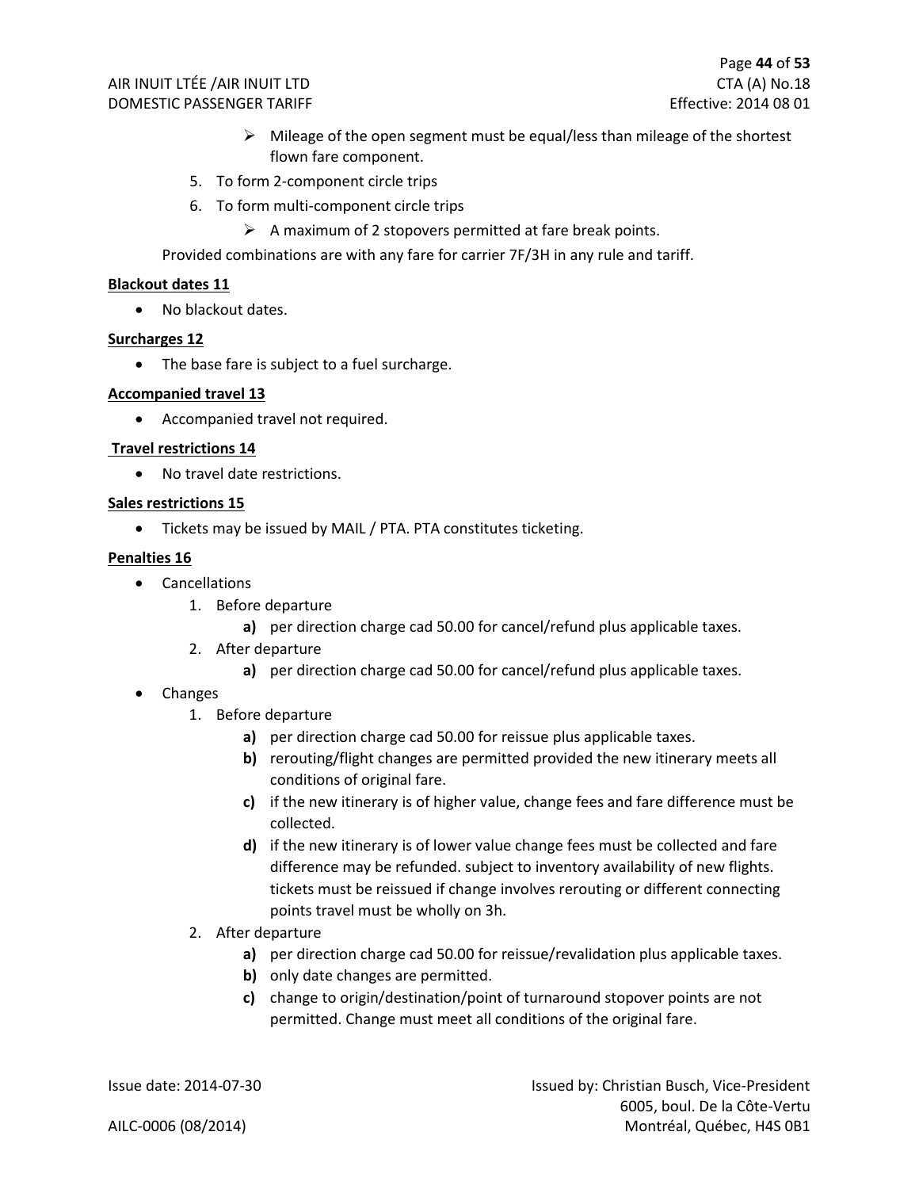- ➢ Mileage of the open segment must be equal/less than mileage of the shortest flown fare component.
- 5. To form 2-component circle trips
- 6. To form multi-component circle trips
	- $\triangleright$  A maximum of 2 stopovers permitted at fare break points.

Provided combinations are with any fare for carrier 7F/3H in any rule and tariff.

#### **Blackout dates 11**

• No blackout dates.

#### **Surcharges 12**

• The base fare is subject to a fuel surcharge.

#### **Accompanied travel 13**

• Accompanied travel not required.

#### **Travel restrictions 14**

• No travel date restrictions.

#### **Sales restrictions 15**

• Tickets may be issued by MAIL / PTA. PTA constitutes ticketing.

#### **Penalties 16**

- Cancellations
	- 1. Before departure
		- **a)** per direction charge cad 50.00 for cancel/refund plus applicable taxes.
	- 2. After departure
		- **a)** per direction charge cad 50.00 for cancel/refund plus applicable taxes.
- Changes
	- 1. Before departure
		- **a)** per direction charge cad 50.00 for reissue plus applicable taxes.
		- **b)** rerouting/flight changes are permitted provided the new itinerary meets all conditions of original fare.
		- **c)** if the new itinerary is of higher value, change fees and fare difference must be collected.
		- **d)** if the new itinerary is of lower value change fees must be collected and fare difference may be refunded. subject to inventory availability of new flights. tickets must be reissued if change involves rerouting or different connecting points travel must be wholly on 3h.
	- 2. After departure
		- **a)** per direction charge cad 50.00 for reissue/revalidation plus applicable taxes.
		- **b)** only date changes are permitted.
		- **c)** change to origin/destination/point of turnaround stopover points are not permitted. Change must meet all conditions of the original fare.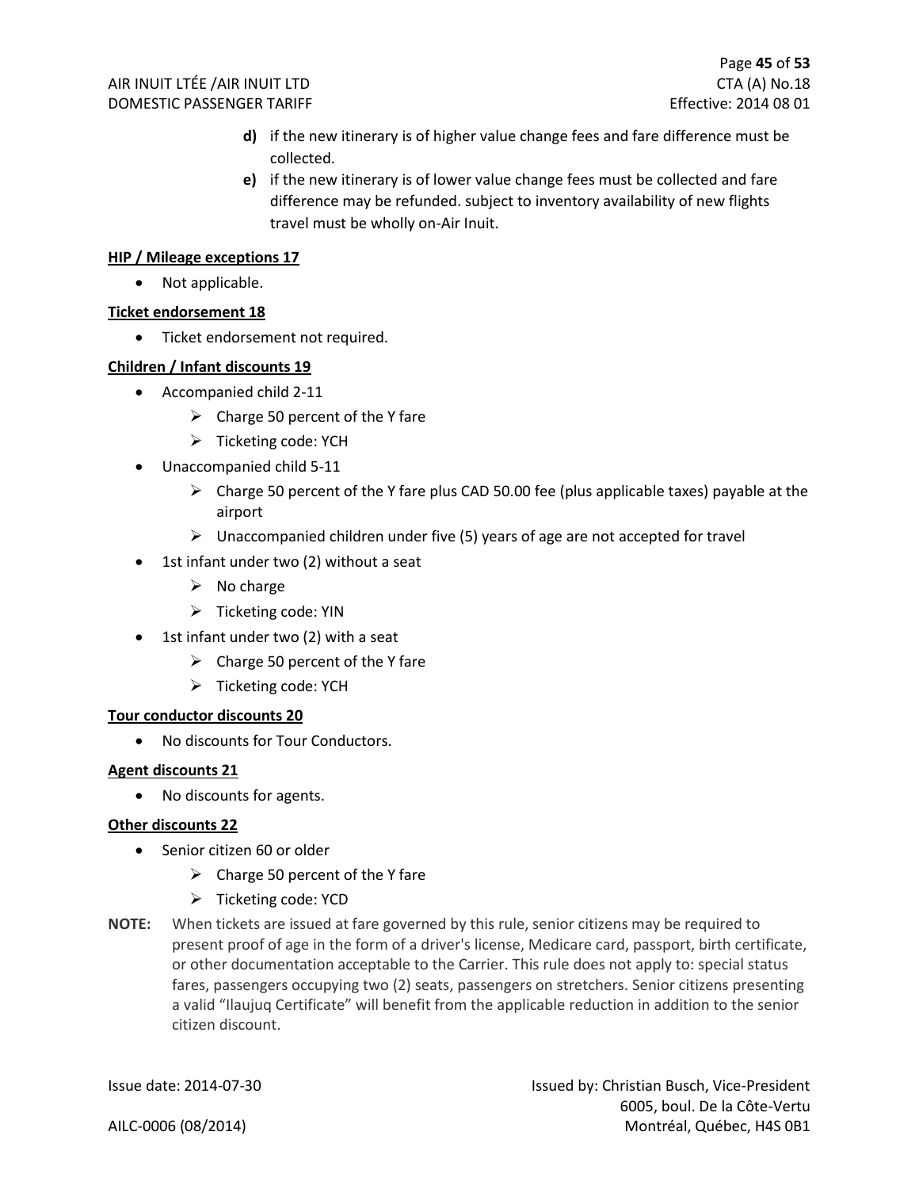- **d)** if the new itinerary is of higher value change fees and fare difference must be collected.
- **e)** if the new itinerary is of lower value change fees must be collected and fare difference may be refunded. subject to inventory availability of new flights travel must be wholly on-Air Inuit.

#### **HIP / Mileage exceptions 17**

• Not applicable.

#### **Ticket endorsement 18**

• Ticket endorsement not required.

#### **Children / Infant discounts 19**

- Accompanied child 2-11
	- $\triangleright$  Charge 50 percent of the Y fare
	- ➢ Ticketing code: YCH
- Unaccompanied child 5-11
	- $\triangleright$  Charge 50 percent of the Y fare plus CAD 50.00 fee (plus applicable taxes) payable at the airport
	- $\triangleright$  Unaccompanied children under five (5) years of age are not accepted for travel
- 1st infant under two (2) without a seat
	- $\triangleright$  No charge
	- ➢ Ticketing code: YIN
- 1st infant under two (2) with a seat
	- $\triangleright$  Charge 50 percent of the Y fare
	- ➢ Ticketing code: YCH

#### **Tour conductor discounts 20**

• No discounts for Tour Conductors.

#### **Agent discounts 21**

• No discounts for agents.

#### **Other discounts 22**

- Senior citizen 60 or older
	- $\triangleright$  Charge 50 percent of the Y fare
	- ➢ Ticketing code: YCD
- **NOTE:** When tickets are issued at fare governed by this rule, senior citizens may be required to present proof of age in the form of a driver's license, Medicare card, passport, birth certificate, or other documentation acceptable to the Carrier. This rule does not apply to: special status fares, passengers occupying two (2) seats, passengers on stretchers. Senior citizens presenting a valid "Ilaujuq Certificate" will benefit from the applicable reduction in addition to the senior citizen discount.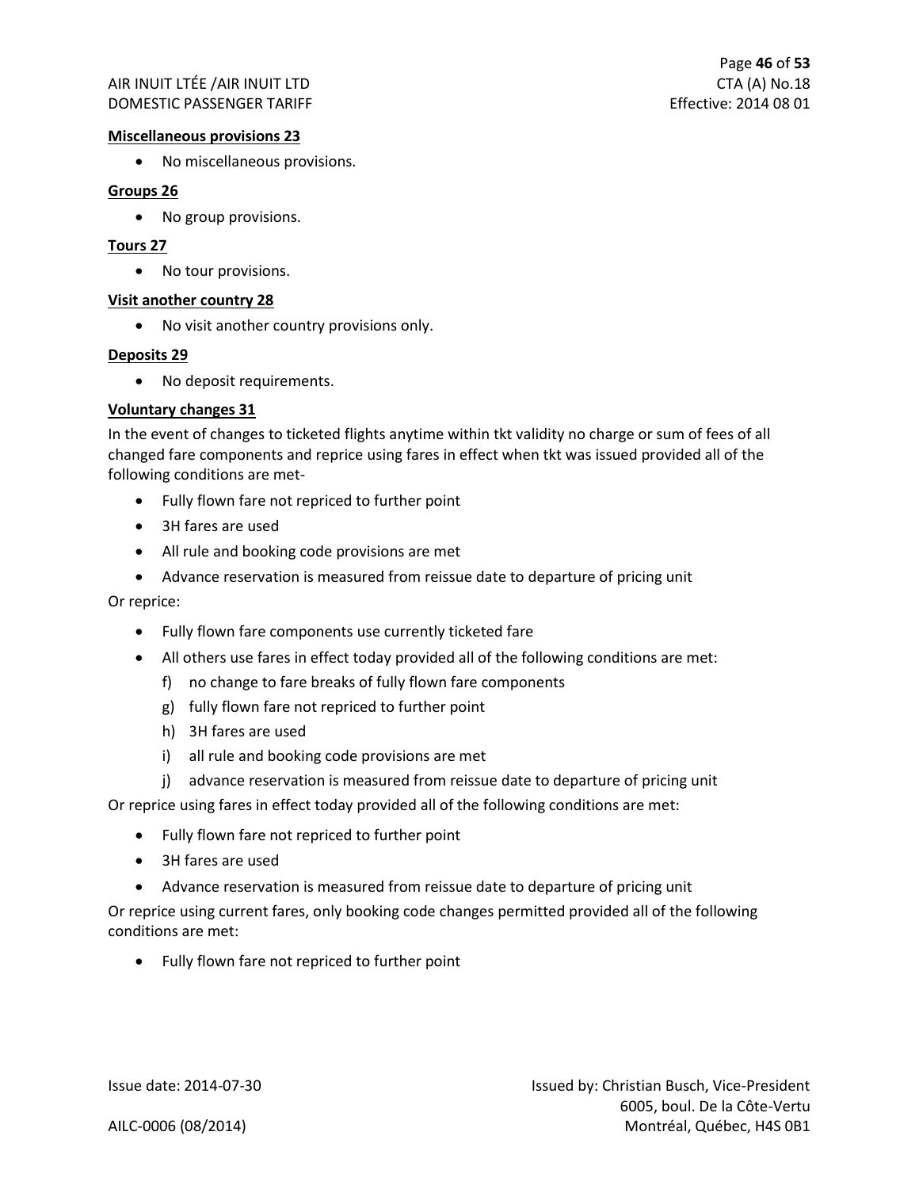#### **Miscellaneous provisions 23**

• No miscellaneous provisions.

#### **Groups 26**

• No group provisions.

#### **Tours 27**

• No tour provisions.

#### **Visit another country 28**

• No visit another country provisions only.

#### **Deposits 29**

• No deposit requirements.

#### **Voluntary changes 31**

In the event of changes to ticketed flights anytime within tkt validity no charge or sum of fees of all changed fare components and reprice using fares in effect when tkt was issued provided all of the following conditions are met-

- Fully flown fare not repriced to further point
- 3H fares are used
- All rule and booking code provisions are met
- Advance reservation is measured from reissue date to departure of pricing unit

Or reprice:

- Fully flown fare components use currently ticketed fare
- All others use fares in effect today provided all of the following conditions are met:
	- f) no change to fare breaks of fully flown fare components
	- g) fully flown fare not repriced to further point
	- h) 3H fares are used
	- i) all rule and booking code provisions are met
	- j) advance reservation is measured from reissue date to departure of pricing unit

Or reprice using fares in effect today provided all of the following conditions are met:

- Fully flown fare not repriced to further point
- 3H fares are used
- Advance reservation is measured from reissue date to departure of pricing unit

Or reprice using current fares, only booking code changes permitted provided all of the following conditions are met:

• Fully flown fare not repriced to further point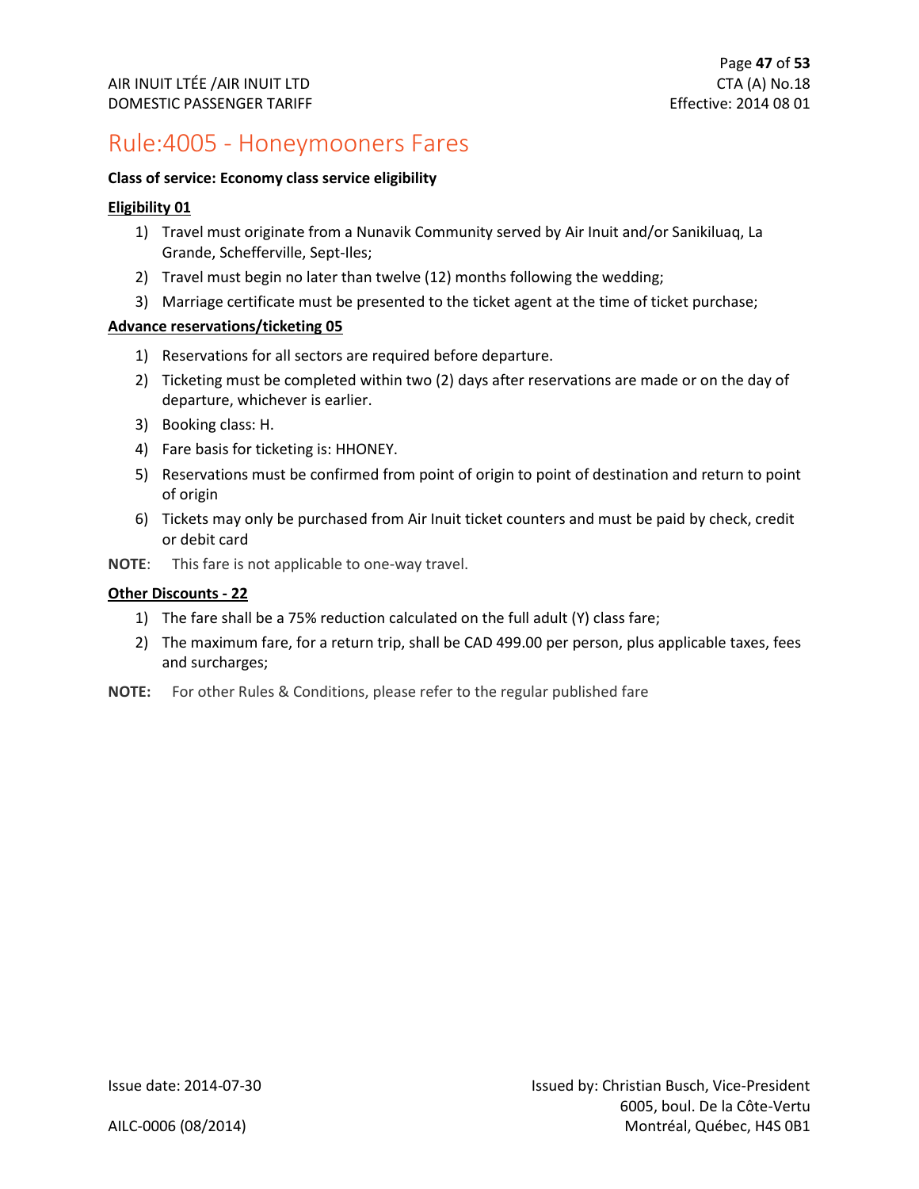### <span id="page-47-0"></span>Rule:4005 - Honeymooners Fares

#### **Class of service: Economy class service eligibility**

#### **Eligibility 01**

- 1) Travel must originate from a Nunavik Community served by Air Inuit and/or Sanikiluaq, La Grande, Schefferville, Sept-Iles;
- 2) Travel must begin no later than twelve (12) months following the wedding;
- 3) Marriage certificate must be presented to the ticket agent at the time of ticket purchase;

#### **Advance reservations/ticketing 05**

- 1) Reservations for all sectors are required before departure.
- 2) Ticketing must be completed within two (2) days after reservations are made or on the day of departure, whichever is earlier.
- 3) Booking class: H.
- 4) Fare basis for ticketing is: HHONEY.
- 5) Reservations must be confirmed from point of origin to point of destination and return to point of origin
- 6) Tickets may only be purchased from Air Inuit ticket counters and must be paid by check, credit or debit card
- **NOTE**: This fare is not applicable to one-way travel.

#### **Other Discounts - 22**

- 1) The fare shall be a 75% reduction calculated on the full adult (Y) class fare;
- 2) The maximum fare, for a return trip, shall be CAD 499.00 per person, plus applicable taxes, fees and surcharges;
- **NOTE:** For other Rules & Conditions, please refer to the regular published fare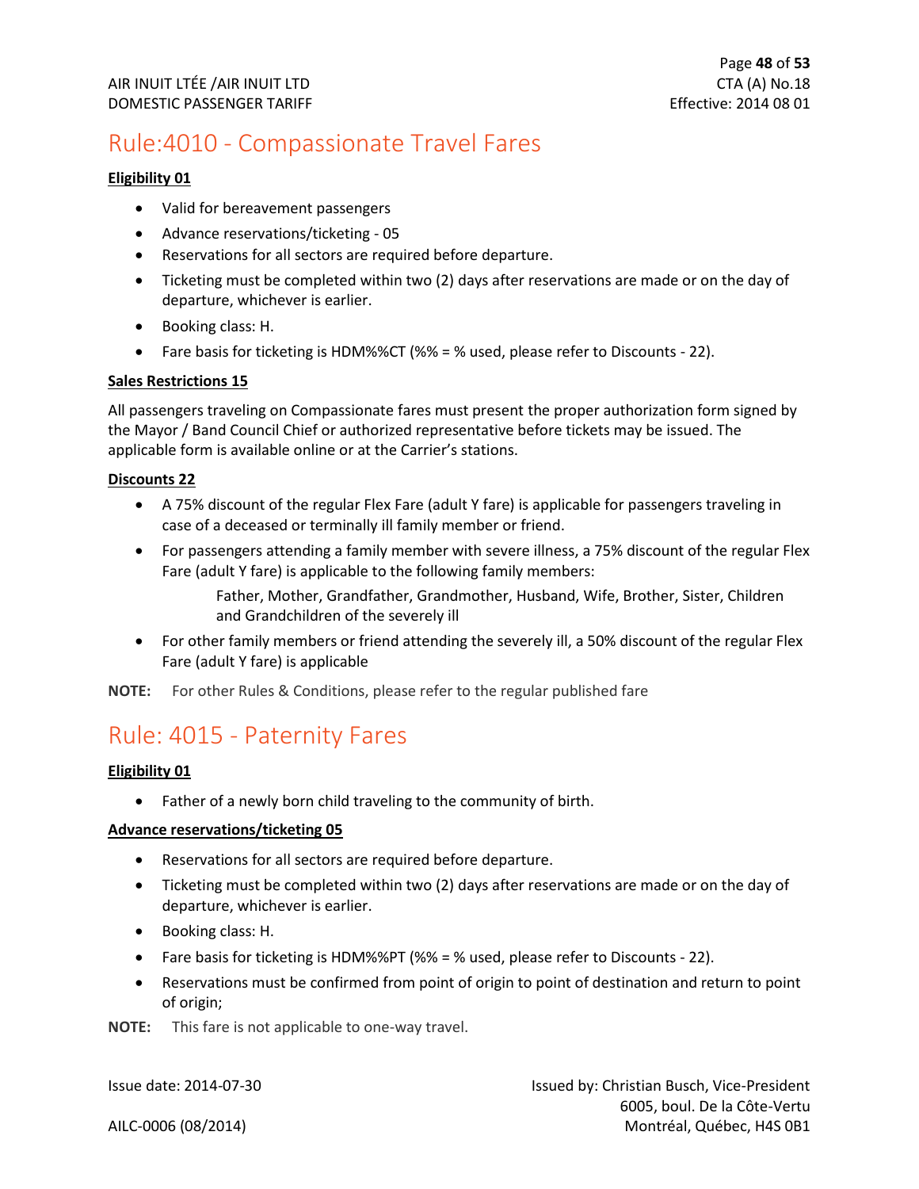### <span id="page-48-0"></span>Rule:4010 - Compassionate Travel Fares

#### **Eligibility 01**

- Valid for bereavement passengers
- Advance reservations/ticketing 05
- Reservations for all sectors are required before departure.
- Ticketing must be completed within two (2) days after reservations are made or on the day of departure, whichever is earlier.
- Booking class: H.
- Fare basis for ticketing is HDM%%CT (%% = % used, please refer to Discounts 22).

#### **Sales Restrictions 15**

All passengers traveling on Compassionate fares must present the proper authorization form signed by the Mayor / Band Council Chief or authorized representative before tickets may be issued. The applicable form is available online or at the Carrier's stations.

#### **Discounts 22**

- A 75% discount of the regular Flex Fare (adult Y fare) is applicable for passengers traveling in case of a deceased or terminally ill family member or friend.
- For passengers attending a family member with severe illness, a 75% discount of the regular Flex Fare (adult Y fare) is applicable to the following family members:

Father, Mother, Grandfather, Grandmother, Husband, Wife, Brother, Sister, Children and Grandchildren of the severely ill

• For other family members or friend attending the severely ill, a 50% discount of the regular Flex Fare (adult Y fare) is applicable

**NOTE:** For other Rules & Conditions, please refer to the regular published fare

### <span id="page-48-1"></span>Rule: 4015 - Paternity Fares

#### **Eligibility 01**

• Father of a newly born child traveling to the community of birth.

#### **Advance reservations/ticketing 05**

- Reservations for all sectors are required before departure.
- Ticketing must be completed within two (2) days after reservations are made or on the day of departure, whichever is earlier.
- Booking class: H.
- Fare basis for ticketing is HDM%%PT (%% = % used, please refer to Discounts 22).
- Reservations must be confirmed from point of origin to point of destination and return to point of origin;

**NOTE:** This fare is not applicable to one-way travel.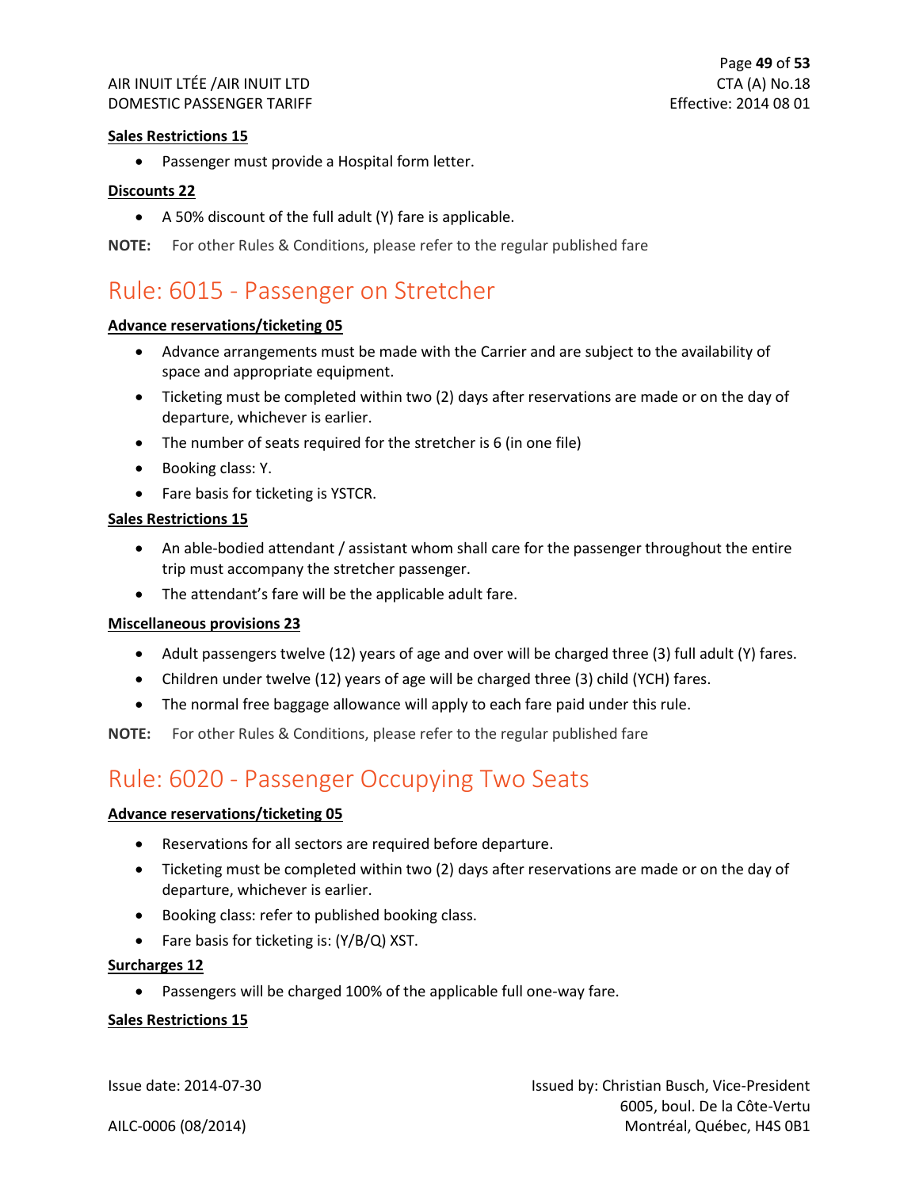#### **Sales Restrictions 15**

• Passenger must provide a Hospital form letter.

#### **Discounts 22**

• A 50% discount of the full adult (Y) fare is applicable.

**NOTE:** For other Rules & Conditions, please refer to the regular published fare

### <span id="page-49-0"></span>Rule: 6015 - Passenger on Stretcher

#### **Advance reservations/ticketing 05**

- Advance arrangements must be made with the Carrier and are subject to the availability of space and appropriate equipment.
- Ticketing must be completed within two (2) days after reservations are made or on the day of departure, whichever is earlier.
- The number of seats required for the stretcher is 6 (in one file)
- Booking class: Y.
- Fare basis for ticketing is YSTCR.

#### **Sales Restrictions 15**

- An able-bodied attendant / assistant whom shall care for the passenger throughout the entire trip must accompany the stretcher passenger.
- The attendant's fare will be the applicable adult fare.

#### **Miscellaneous provisions 23**

- Adult passengers twelve (12) years of age and over will be charged three (3) full adult (Y) fares.
- Children under twelve (12) years of age will be charged three (3) child (YCH) fares.
- The normal free baggage allowance will apply to each fare paid under this rule.

**NOTE:** For other Rules & Conditions, please refer to the regular published fare

### <span id="page-49-1"></span>Rule: 6020 - Passenger Occupying Two Seats

#### **Advance reservations/ticketing 05**

- Reservations for all sectors are required before departure.
- Ticketing must be completed within two (2) days after reservations are made or on the day of departure, whichever is earlier.
- Booking class: refer to published booking class.
- Fare basis for ticketing is: (Y/B/Q) XST.

#### **Surcharges 12**

• Passengers will be charged 100% of the applicable full one-way fare.

#### **Sales Restrictions 15**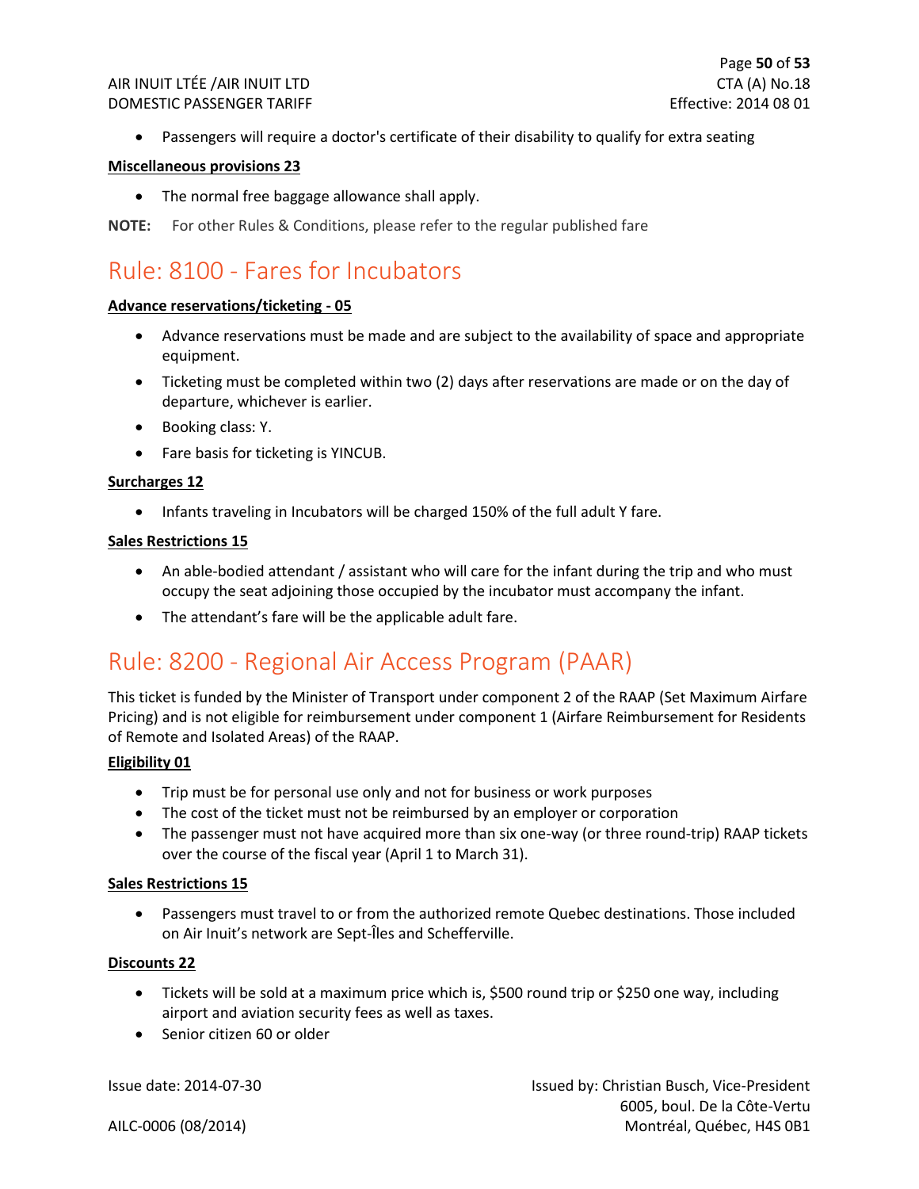• Passengers will require a doctor's certificate of their disability to qualify for extra seating

#### **Miscellaneous provisions 23**

• The normal free baggage allowance shall apply.

**NOTE:** For other Rules & Conditions, please refer to the regular published fare

### <span id="page-50-0"></span>Rule: 8100 - Fares for Incubators

#### **Advance reservations/ticketing - 05**

- Advance reservations must be made and are subject to the availability of space and appropriate equipment.
- Ticketing must be completed within two (2) days after reservations are made or on the day of departure, whichever is earlier.
- Booking class: Y.
- Fare basis for ticketing is YINCUB.

#### **Surcharges 12**

• Infants traveling in Incubators will be charged 150% of the full adult Y fare.

#### **Sales Restrictions 15**

- An able-bodied attendant / assistant who will care for the infant during the trip and who must occupy the seat adjoining those occupied by the incubator must accompany the infant.
- The attendant's fare will be the applicable adult fare.

### <span id="page-50-1"></span>Rule: 8200 - Regional Air Access Program (PAAR)

This ticket is funded by the Minister of Transport under component 2 of the RAAP (Set Maximum Airfare Pricing) and is not eligible for reimbursement under component 1 (Airfare Reimbursement for Residents of Remote and Isolated Areas) of the RAAP.

#### **Eligibility 01**

- Trip must be for personal use only and not for business or work purposes
- The cost of the ticket must not be reimbursed by an employer or corporation
- The passenger must not have acquired more than six one-way (or three round-trip) RAAP tickets over the course of the fiscal year (April 1 to March 31).

#### **Sales Restrictions 15**

• Passengers must travel to or from the authorized remote Quebec destinations. Those included on Air Inuit's network are Sept-Îles and Schefferville.

#### **Discounts 22**

- Tickets will be sold at a maximum price which is, \$500 round trip or \$250 one way, including airport and aviation security fees as well as taxes.
- Senior citizen 60 or older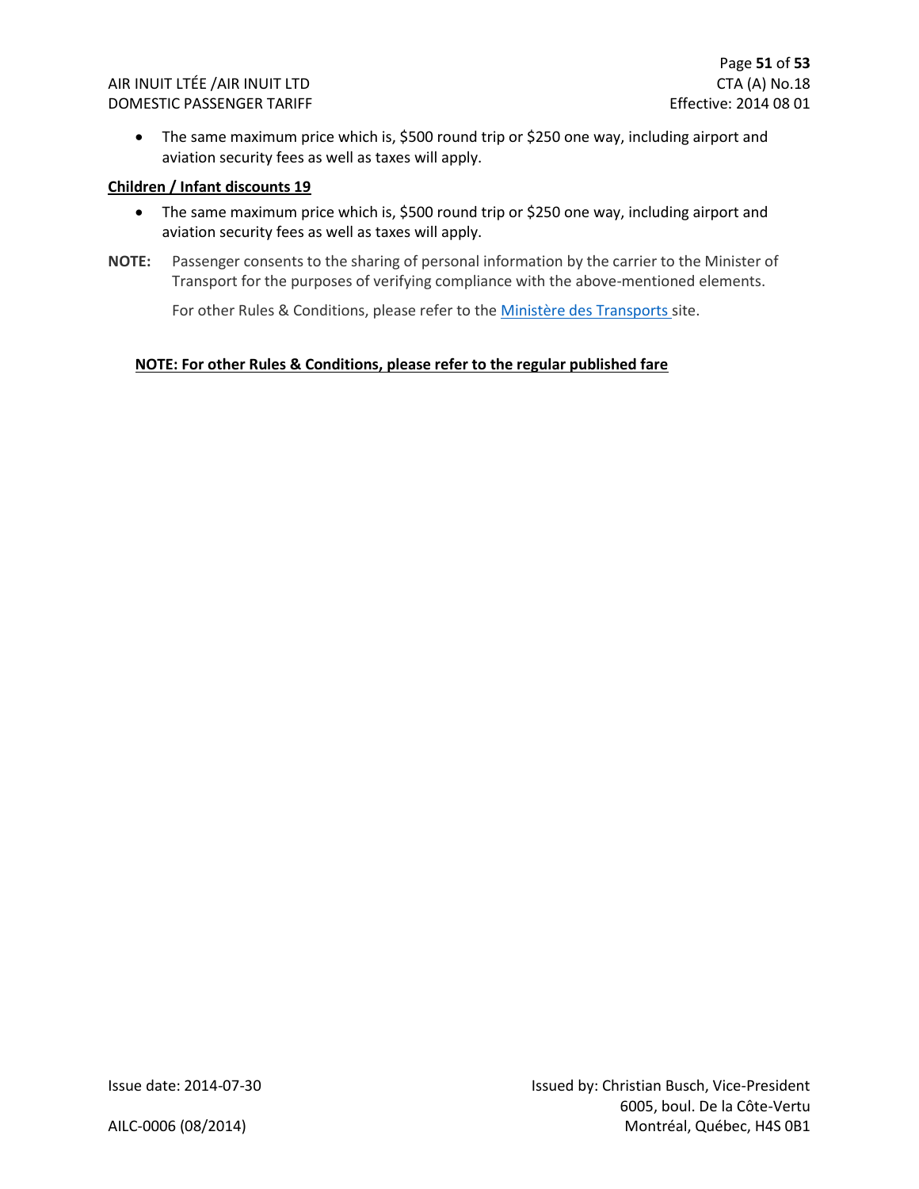• The same maximum price which is, \$500 round trip or \$250 one way, including airport and aviation security fees as well as taxes will apply.

#### **Children / Infant discounts 19**

- The same maximum price which is, \$500 round trip or \$250 one way, including airport and aviation security fees as well as taxes will apply.
- **NOTE:** Passenger consents to the sharing of personal information by the carrier to the Minister of Transport for the purposes of verifying compliance with the above-mentioned elements.

For other Rules & Conditions, please refer to th[e Ministère des Transports](https://www.transports.gouv.qc.ca/fr/aide-finan/usagers-transports/programme-reduction-tarifs-aeriens/Pages/reduction-tarifs-aeriens.aspx) site.

#### **NOTE: For other Rules & Conditions, please refer to the regular published fare**